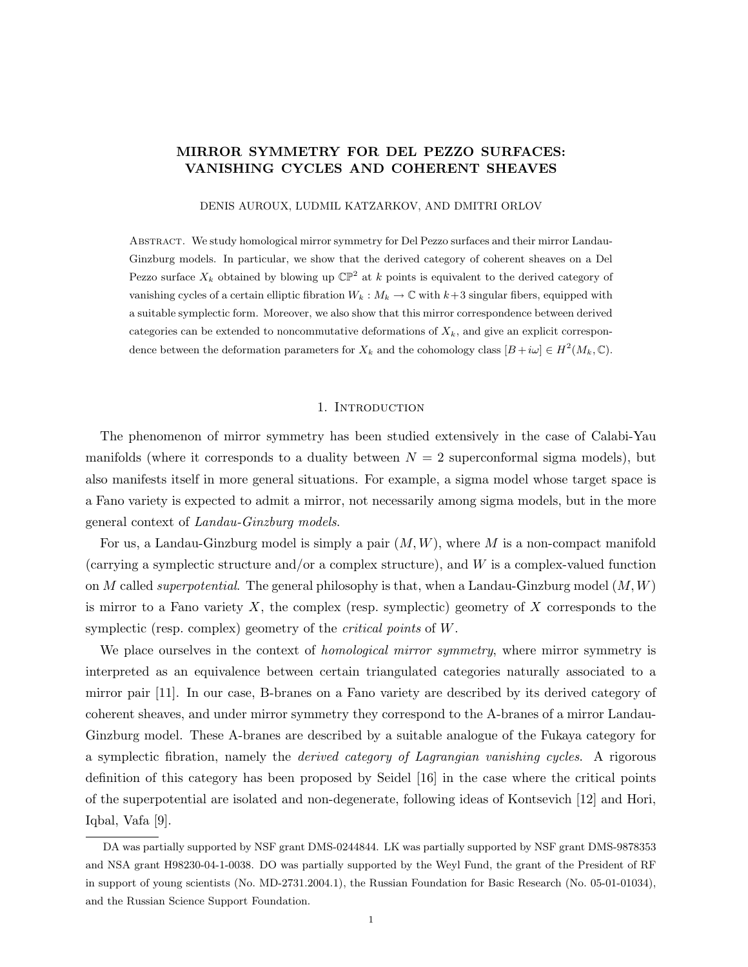## MIRROR SYMMETRY FOR DEL PEZZO SURFACES: VANISHING CYCLES AND COHERENT SHEAVES

DENIS AUROUX, LUDMIL KATZARKOV, AND DMITRI ORLOV

Abstract. We study homological mirror symmetry for Del Pezzo surfaces and their mirror Landau-Ginzburg models. In particular, we show that the derived category of coherent sheaves on a Del Pezzo surface  $X_k$  obtained by blowing up  $\mathbb{CP}^2$  at k points is equivalent to the derived category of vanishing cycles of a certain elliptic fibration  $W_k : M_k \to \mathbb{C}$  with  $k+3$  singular fibers, equipped with a suitable symplectic form. Moreover, we also show that this mirror correspondence between derived categories can be extended to noncommutative deformations of  $X_k$ , and give an explicit correspondence between the deformation parameters for  $X_k$  and the cohomology class  $[B + i\omega] \in H^2(M_k, \mathbb{C})$ .

#### 1. INTRODUCTION

The phenomenon of mirror symmetry has been studied extensively in the case of Calabi-Yau manifolds (where it corresponds to a duality between  $N = 2$  superconformal sigma models), but also manifests itself in more general situations. For example, a sigma model whose target space is a Fano variety is expected to admit a mirror, not necessarily among sigma models, but in the more general context of Landau-Ginzburg models.

For us, a Landau-Ginzburg model is simply a pair  $(M, W)$ , where M is a non-compact manifold (carrying a symplectic structure and/or a complex structure), and W is a complex-valued function on M called *superpotential*. The general philosophy is that, when a Landau-Ginzburg model  $(M, W)$ is mirror to a Fano variety  $X$ , the complex (resp. symplectic) geometry of  $X$  corresponds to the symplectic (resp. complex) geometry of the *critical points* of W.

We place ourselves in the context of *homological mirror symmetry*, where mirror symmetry is interpreted as an equivalence between certain triangulated categories naturally associated to a mirror pair [11]. In our case, B-branes on a Fano variety are described by its derived category of coherent sheaves, and under mirror symmetry they correspond to the A-branes of a mirror Landau-Ginzburg model. These A-branes are described by a suitable analogue of the Fukaya category for a symplectic fibration, namely the derived category of Lagrangian vanishing cycles. A rigorous definition of this category has been proposed by Seidel [16] in the case where the critical points of the superpotential are isolated and non-degenerate, following ideas of Kontsevich [12] and Hori, Iqbal, Vafa [9].

DA was partially supported by NSF grant DMS-0244844. LK was partially supported by NSF grant DMS-9878353 and NSA grant H98230-04-1-0038. DO was partially supported by the Weyl Fund, the grant of the President of RF in support of young scientists (No. MD-2731.2004.1), the Russian Foundation for Basic Research (No. 05-01-01034), and the Russian Science Support Foundation.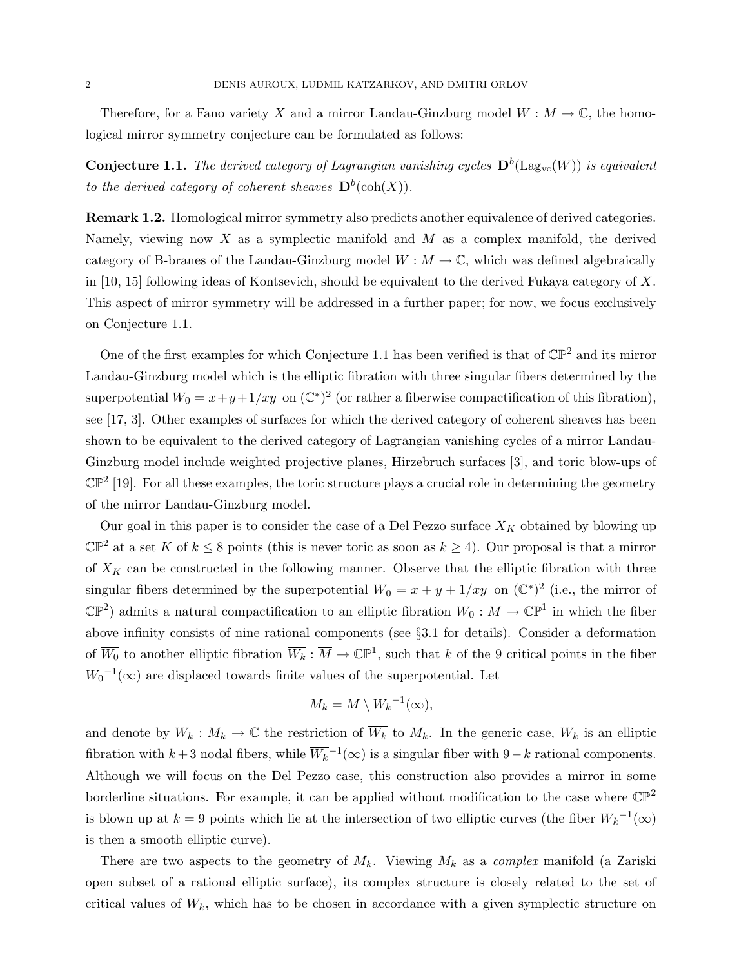Therefore, for a Fano variety X and a mirror Landau-Ginzburg model  $W : M \to \mathbb{C}$ , the homological mirror symmetry conjecture can be formulated as follows:

**Conjecture 1.1.** The derived category of Lagrangian vanishing cycles  $\mathbf{D}^b(\mathrm{Lag}_{vc}(W))$  is equivalent to the derived category of coherent sheaves  $\mathbf{D}^b(\operatorname{coh}(X)).$ 

Remark 1.2. Homological mirror symmetry also predicts another equivalence of derived categories. Namely, viewing now X as a symplectic manifold and  $M$  as a complex manifold, the derived category of B-branes of the Landau-Ginzburg model  $W : M \to \mathbb{C}$ , which was defined algebraically in [10, 15] following ideas of Kontsevich, should be equivalent to the derived Fukaya category of X. This aspect of mirror symmetry will be addressed in a further paper; for now, we focus exclusively on Conjecture 1.1.

One of the first examples for which Conjecture 1.1 has been verified is that of  $\mathbb{CP}^2$  and its mirror Landau-Ginzburg model which is the elliptic fibration with three singular fibers determined by the superpotential  $W_0 = x + y + 1/xy$  on  $(\mathbb{C}^*)^2$  (or rather a fiberwise compactification of this fibration), see [17, 3]. Other examples of surfaces for which the derived category of coherent sheaves has been shown to be equivalent to the derived category of Lagrangian vanishing cycles of a mirror Landau-Ginzburg model include weighted projective planes, Hirzebruch surfaces [3], and toric blow-ups of  $\mathbb{CP}^2$  [19]. For all these examples, the toric structure plays a crucial role in determining the geometry of the mirror Landau-Ginzburg model.

Our goal in this paper is to consider the case of a Del Pezzo surface  $X_K$  obtained by blowing up  $\mathbb{CP}^2$  at a set K of  $k \leq 8$  points (this is never toric as soon as  $k \geq 4$ ). Our proposal is that a mirror of  $X_K$  can be constructed in the following manner. Observe that the elliptic fibration with three singular fibers determined by the superpotential  $W_0 = x + y + 1/xy$  on  $(\mathbb{C}^*)^2$  (i.e., the mirror of  $\mathbb{CP}^2$ ) admits a natural compactification to an elliptic fibration  $\overline{W_0}$  :  $\overline{M} \to \mathbb{CP}^1$  in which the fiber above infinity consists of nine rational components (see §3.1 for details). Consider a deformation of  $\overline{W_0}$  to another elliptic fibration  $\overline{W_k} : \overline{M} \to \mathbb{CP}^1$ , such that k of the 9 critical points in the fiber  $\overline{W_0}^{-1}(\infty)$  are displaced towards finite values of the superpotential. Let

$$
M_k = \overline{M} \setminus \overline{W_k}^{-1}(\infty),
$$

and denote by  $W_k : M_k \to \mathbb{C}$  the restriction of  $\overline{W_k}$  to  $M_k$ . In the generic case,  $W_k$  is an elliptic fibration with  $k+3$  nodal fibers, while  $\overline{W_k}^{-1}(\infty)$  is a singular fiber with  $9-k$  rational components. Although we will focus on the Del Pezzo case, this construction also provides a mirror in some borderline situations. For example, it can be applied without modification to the case where  $\mathbb{CP}^2$ is blown up at  $k = 9$  points which lie at the intersection of two elliptic curves (the fiber  $\overline{W_k}^{-1}(\infty)$ is then a smooth elliptic curve).

There are two aspects to the geometry of  $M_k$ . Viewing  $M_k$  as a *complex* manifold (a Zariski open subset of a rational elliptic surface), its complex structure is closely related to the set of critical values of  $W_k$ , which has to be chosen in accordance with a given symplectic structure on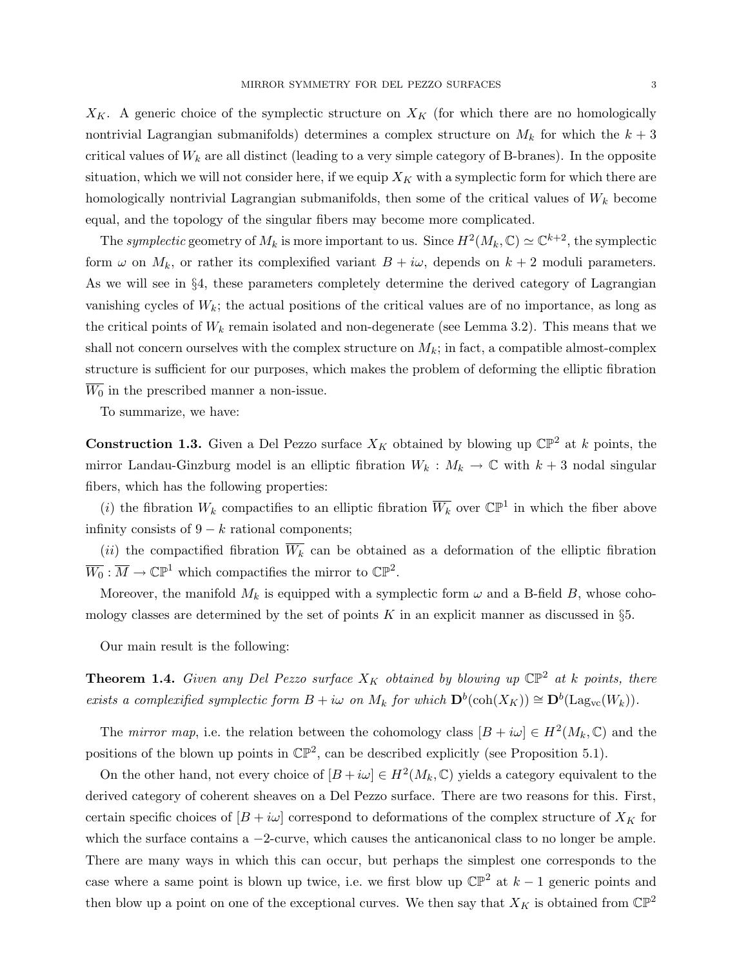$X_K$ . A generic choice of the symplectic structure on  $X_K$  (for which there are no homologically nontrivial Lagrangian submanifolds) determines a complex structure on  $M_k$  for which the  $k+3$ critical values of  $W_k$  are all distinct (leading to a very simple category of B-branes). In the opposite situation, which we will not consider here, if we equip  $X_K$  with a symplectic form for which there are homologically nontrivial Lagrangian submanifolds, then some of the critical values of  $W_k$  become equal, and the topology of the singular fibers may become more complicated.

The symplectic geometry of  $M_k$  is more important to us. Since  $H^2(M_k, \mathbb{C}) \simeq \mathbb{C}^{k+2}$ , the symplectic form  $\omega$  on  $M_k$ , or rather its complexified variant  $B + i\omega$ , depends on  $k + 2$  moduli parameters. As we will see in §4, these parameters completely determine the derived category of Lagrangian vanishing cycles of  $W_k$ ; the actual positions of the critical values are of no importance, as long as the critical points of  $W_k$  remain isolated and non-degenerate (see Lemma 3.2). This means that we shall not concern ourselves with the complex structure on  $M_k$ ; in fact, a compatible almost-complex structure is sufficient for our purposes, which makes the problem of deforming the elliptic fibration  $\overline{W_0}$  in the prescribed manner a non-issue.

To summarize, we have:

**Construction 1.3.** Given a Del Pezzo surface  $X_K$  obtained by blowing up  $\mathbb{CP}^2$  at k points, the mirror Landau-Ginzburg model is an elliptic fibration  $W_k : M_k \to \mathbb{C}$  with  $k+3$  nodal singular fibers, which has the following properties:

(*i*) the fibration  $W_k$  compactifies to an elliptic fibration  $\overline{W_k}$  over  $\mathbb{CP}^1$  in which the fiber above infinity consists of  $9 - k$  rational components;

(ii) the compactified fibration  $\overline{W_k}$  can be obtained as a deformation of the elliptic fibration  $\overline{W_0}: \overline{M} \to \mathbb{CP}^1$  which compactifies the mirror to  $\mathbb{CP}^2$ .

Moreover, the manifold  $M_k$  is equipped with a symplectic form  $\omega$  and a B-field B, whose cohomology classes are determined by the set of points K in an explicit manner as discussed in  $\S5$ .

Our main result is the following:

**Theorem 1.4.** Given any Del Pezzo surface  $X_K$  obtained by blowing up  $\mathbb{CP}^2$  at k points, there exists a complexified symplectic form  $B + i\omega$  on  $M_k$  for which  $\mathbf{D}^b(\text{coh}(X_K)) \cong \mathbf{D}^b(\text{Lag}_{vc}(W_k)).$ 

The *mirror map*, i.e. the relation between the cohomology class  $[B + i\omega] \in H^2(M_k, \mathbb{C})$  and the positions of the blown up points in  $\mathbb{CP}^2$ , can be described explicitly (see Proposition 5.1).

On the other hand, not every choice of  $[B + i\omega] \in H^2(M_k, \mathbb{C})$  yields a category equivalent to the derived category of coherent sheaves on a Del Pezzo surface. There are two reasons for this. First, certain specific choices of  $[B + i\omega]$  correspond to deformations of the complex structure of  $X_K$  for which the surface contains a  $-2$ -curve, which causes the anticanonical class to no longer be ample. There are many ways in which this can occur, but perhaps the simplest one corresponds to the case where a same point is blown up twice, i.e. we first blow up  $\mathbb{CP}^2$  at  $k-1$  generic points and then blow up a point on one of the exceptional curves. We then say that  $X_K$  is obtained from  $\mathbb{CP}^2$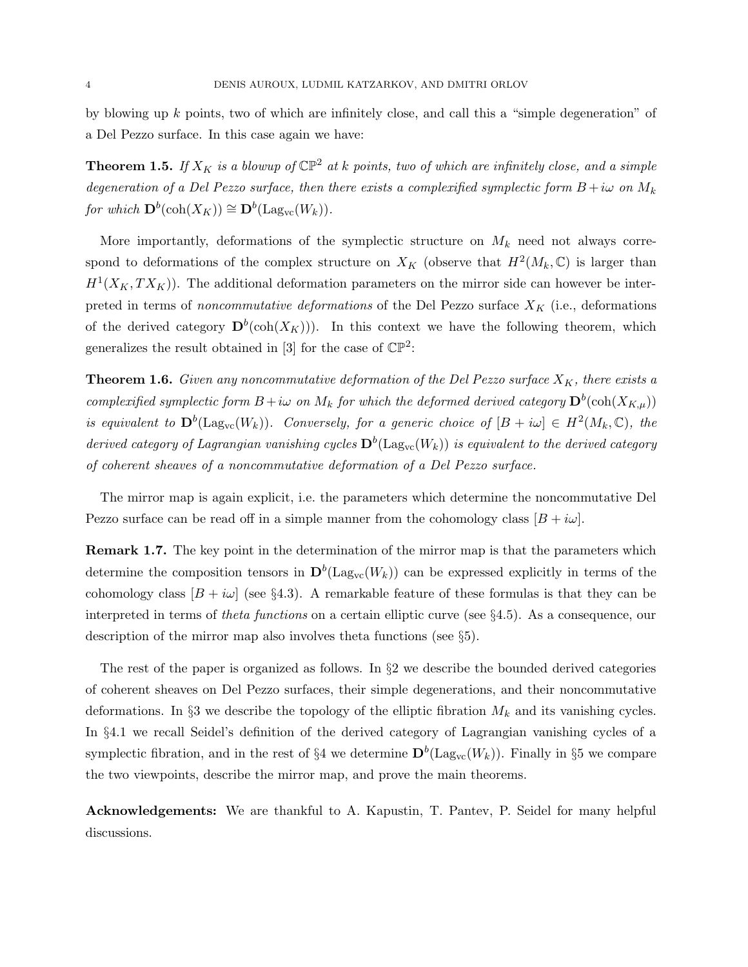by blowing up  $k$  points, two of which are infinitely close, and call this a "simple degeneration" of a Del Pezzo surface. In this case again we have:

**Theorem 1.5.** If  $X_K$  is a blowup of  $\mathbb{CP}^2$  at k points, two of which are infinitely close, and a simple degeneration of a Del Pezzo surface, then there exists a complexified symplectic form  $B + i\omega$  on  $M_k$ for which  $\mathbf{D}^b(\text{coh}(X_K)) \cong \mathbf{D}^b(\text{Lag}_{vc}(W_k)).$ 

More importantly, deformations of the symplectic structure on  $M_k$  need not always correspond to deformations of the complex structure on  $X_K$  (observe that  $H^2(M_k, \mathbb{C})$  is larger than  $H<sup>1</sup>(X<sub>K</sub>, TX<sub>K</sub>)$ . The additional deformation parameters on the mirror side can however be interpreted in terms of noncommutative deformations of the Del Pezzo surface  $X_K$  (i.e., deformations of the derived category  $\mathbf{D}^b(\text{coh}(X_K)))$ . In this context we have the following theorem, which generalizes the result obtained in [3] for the case of  $\mathbb{CP}^2$ :

**Theorem 1.6.** Given any noncommutative deformation of the Del Pezzo surface  $X_K$ , there exists a complexified symplectic form  $B + i\omega$  on  $M_k$  for which the deformed derived category  $\mathbf{D}^b(\coh(X_{K,\mu}))$ is equivalent to  $\mathbf{D}^b(\mathrm{Lag}_{vc}(W_k))$ . Conversely, for a generic choice of  $[B + i\omega] \in H^2(M_k, \mathbb{C})$ , the derived category of Lagrangian vanishing cycles  $\mathbf{D}^b(\mathrm{Lag_{vc}}(W_k))$  is equivalent to the derived category of coherent sheaves of a noncommutative deformation of a Del Pezzo surface.

The mirror map is again explicit, i.e. the parameters which determine the noncommutative Del Pezzo surface can be read off in a simple manner from the cohomology class  $[B + i\omega]$ .

Remark 1.7. The key point in the determination of the mirror map is that the parameters which determine the composition tensors in  $\mathbf{D}^b(\mathrm{Lag}_{vc}(W_k))$  can be expressed explicitly in terms of the cohomology class  $[B + i\omega]$  (see §4.3). A remarkable feature of these formulas is that they can be interpreted in terms of theta functions on a certain elliptic curve (see §4.5). As a consequence, our description of the mirror map also involves theta functions (see §5).

The rest of the paper is organized as follows. In  $\S2$  we describe the bounded derived categories of coherent sheaves on Del Pezzo surfaces, their simple degenerations, and their noncommutative deformations. In §3 we describe the topology of the elliptic fibration  $M_k$  and its vanishing cycles. In §4.1 we recall Seidel's definition of the derived category of Lagrangian vanishing cycles of a symplectic fibration, and in the rest of §4 we determine  $\mathbf{D}^b(\mathrm{Lag}_{vc}(W_k))$ . Finally in §5 we compare the two viewpoints, describe the mirror map, and prove the main theorems.

Acknowledgements: We are thankful to A. Kapustin, T. Pantev, P. Seidel for many helpful discussions.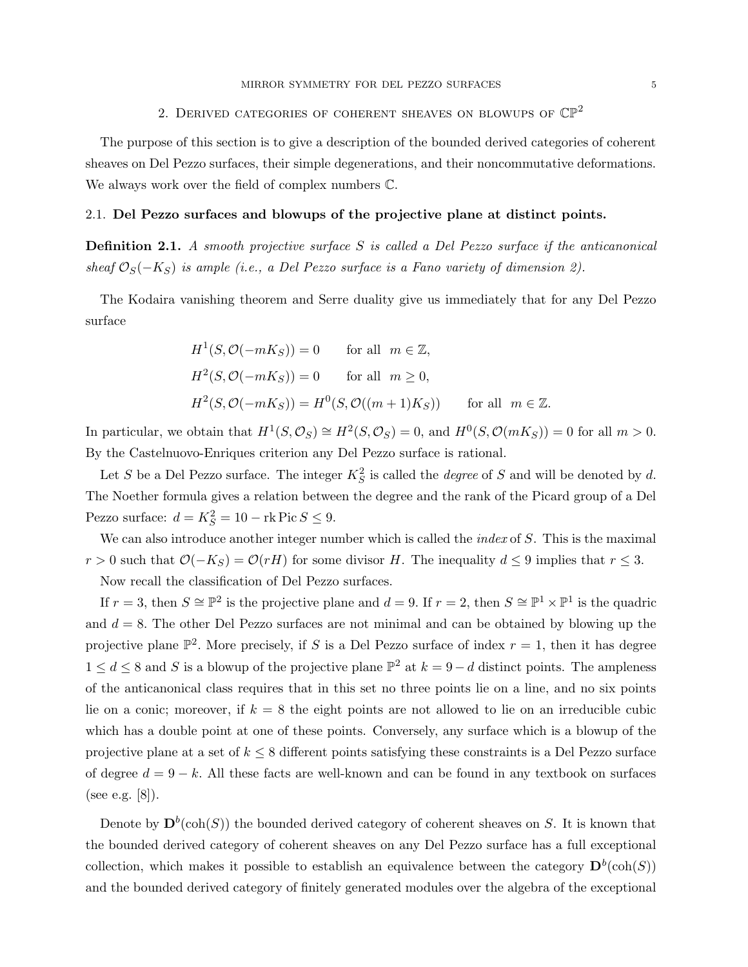# 2. DERIVED CATEGORIES OF COHERENT SHEAVES ON BLOWUPS OF  $\mathbb{CP}^2$

The purpose of this section is to give a description of the bounded derived categories of coherent sheaves on Del Pezzo surfaces, their simple degenerations, and their noncommutative deformations. We always work over the field of complex numbers C.

#### 2.1. Del Pezzo surfaces and blowups of the projective plane at distinct points.

**Definition 2.1.** A smooth projective surface S is called a Del Pezzo surface if the anticanonical sheaf  $\mathcal{O}_S(-K_S)$  is ample (i.e., a Del Pezzo surface is a Fano variety of dimension 2).

The Kodaira vanishing theorem and Serre duality give us immediately that for any Del Pezzo surface

$$
H1(S, O(-mKS)) = 0 \tfor all  $m \in \mathbb{Z}$ ,
$$
  
\n
$$
H2(S, O(-mKS)) = 0 \tfor all  $m \ge 0$ ,
$$
  
\n
$$
H2(S, O(-mKS)) = H0(S, O((m+1)KS)) \tfor all  $m \in \mathbb{Z}$ .
$$

In particular, we obtain that  $H^1(S, \mathcal{O}_S) \cong H^2(S, \mathcal{O}_S) = 0$ , and  $H^0(S, \mathcal{O}(mK_S)) = 0$  for all  $m > 0$ . By the Castelnuovo-Enriques criterion any Del Pezzo surface is rational.

Let S be a Del Pezzo surface. The integer  $K_S^2$  is called the *degree* of S and will be denoted by d. The Noether formula gives a relation between the degree and the rank of the Picard group of a Del Pezzo surface:  $d = K_S^2 = 10 - \text{rk Pic } S \leq 9.$ 

We can also introduce another integer number which is called the *index* of  $S$ . This is the maximal  $r > 0$  such that  $\mathcal{O}(-K_S) = \mathcal{O}(rH)$  for some divisor H. The inequality  $d \leq 9$  implies that  $r \leq 3$ .

Now recall the classification of Del Pezzo surfaces.

If  $r = 3$ , then  $S \cong \mathbb{P}^2$  is the projective plane and  $d = 9$ . If  $r = 2$ , then  $S \cong \mathbb{P}^1 \times \mathbb{P}^1$  is the quadric and  $d = 8$ . The other Del Pezzo surfaces are not minimal and can be obtained by blowing up the projective plane  $\mathbb{P}^2$ . More precisely, if S is a Del Pezzo surface of index  $r=1$ , then it has degree  $1 \leq d \leq 8$  and S is a blowup of the projective plane  $\mathbb{P}^2$  at  $k = 9 - d$  distinct points. The ampleness of the anticanonical class requires that in this set no three points lie on a line, and no six points lie on a conic; moreover, if  $k = 8$  the eight points are not allowed to lie on an irreducible cubic which has a double point at one of these points. Conversely, any surface which is a blowup of the projective plane at a set of  $k \leq 8$  different points satisfying these constraints is a Del Pezzo surface of degree  $d = 9 - k$ . All these facts are well-known and can be found in any textbook on surfaces (see e.g. [8]).

Denote by  $\mathbf{D}^{b}(\text{coh}(S))$  the bounded derived category of coherent sheaves on S. It is known that the bounded derived category of coherent sheaves on any Del Pezzo surface has a full exceptional collection, which makes it possible to establish an equivalence between the category  $\mathbf{D}^b(\text{coh}(S))$ and the bounded derived category of finitely generated modules over the algebra of the exceptional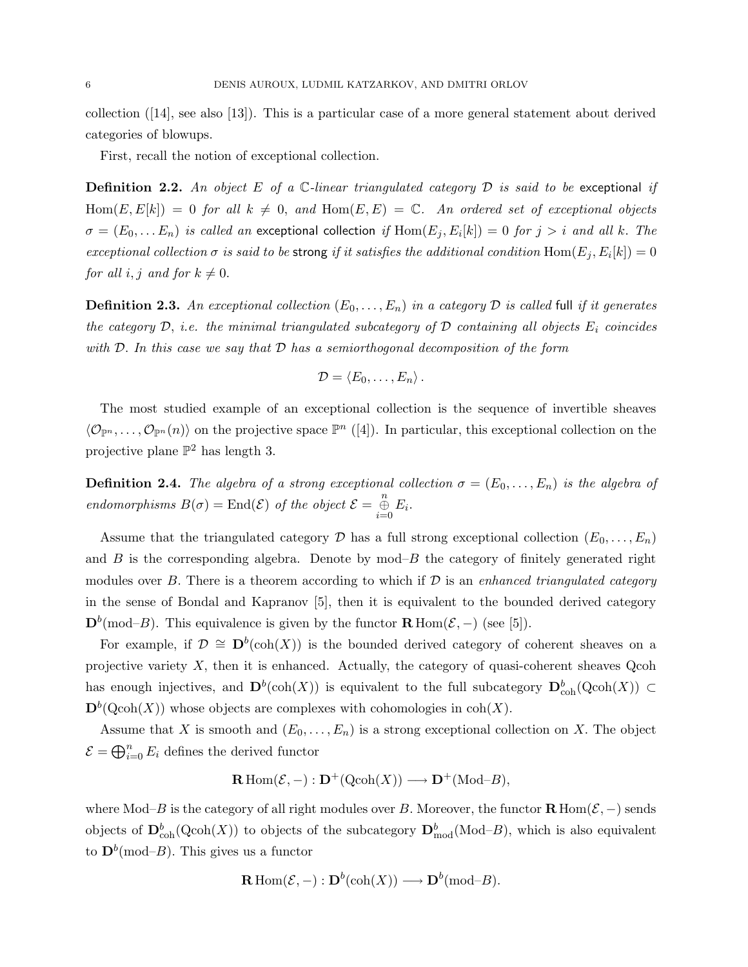collection ([14], see also [13]). This is a particular case of a more general statement about derived categories of blowups.

First, recall the notion of exceptional collection.

**Definition 2.2.** An object E of a  $\mathbb{C}$ -linear triangulated category  $\mathcal{D}$  is said to be exceptional if  $\text{Hom}(E, E[k]) = 0$  for all  $k \neq 0$ , and  $\text{Hom}(E, E) = \mathbb{C}$ . An ordered set of exceptional objects  $\sigma = (E_0, \ldots E_n)$  is called an exceptional collection if  $\text{Hom}(E_j,E_i[k]) = 0$  for  $j > i$  and all k. The exceptional collection  $\sigma$  is said to be strong if it satisfies the additional condition  $\text{Hom}(E_j, E_i[k]) = 0$ for all i, j and for  $k \neq 0$ .

**Definition 2.3.** An exceptional collection  $(E_0, \ldots, E_n)$  in a category  $D$  is called full if it generates the category  $D$ , i.e. the minimal triangulated subcategory of  $D$  containing all objects  $E_i$  coincides with  $D$ . In this case we say that  $D$  has a semiorthogonal decomposition of the form

$$
\mathcal{D}=\langle E_0,\ldots,E_n\rangle\,.
$$

The most studied example of an exceptional collection is the sequence of invertible sheaves  $\langle \mathcal{O}_{\mathbb{P}^n}, \ldots, \mathcal{O}_{\mathbb{P}^n}(n) \rangle$  on the projective space  $\mathbb{P}^n$  ([4]). In particular, this exceptional collection on the projective plane  $\mathbb{P}^2$  has length 3.

**Definition 2.4.** The algebra of a strong exceptional collection  $\sigma = (E_0, \ldots, E_n)$  is the algebra of endomorphisms  $B(\sigma) = \text{End}(\mathcal{E})$  of the object  $\mathcal{E} = \bigoplus_{i=0}^{n} E_i$ .

Assume that the triangulated category  $\mathcal D$  has a full strong exceptional collection  $(E_0, \ldots, E_n)$ and  $B$  is the corresponding algebra. Denote by mod– $B$  the category of finitely generated right modules over B. There is a theorem according to which if  $D$  is an enhanced triangulated category in the sense of Bondal and Kapranov [5], then it is equivalent to the bounded derived category  $\mathbf{D}^b(\text{mod}-B)$ . This equivalence is given by the functor  $\mathbf{R}$  Hom $(\mathcal{E},-)$  (see [5]).

For example, if  $\mathcal{D} \cong \mathbf{D}^b(\text{coh}(X))$  is the bounded derived category of coherent sheaves on a projective variety  $X$ , then it is enhanced. Actually, the category of quasi-coherent sheaves Qcoh has enough injectives, and  $\mathbf{D}^b(\text{coh}(X))$  is equivalent to the full subcategory  $\mathbf{D}^b_{\text{coh}}(\text{Qcoh}(X)) \subset$  $\mathbf{D}^b(\mathrm{Qcoh}(X))$  whose objects are complexes with cohomologies in coh $(X)$ .

Assume that X is smooth and  $(E_0, \ldots, E_n)$  is a strong exceptional collection on X. The object  $\mathcal{E} = \bigoplus_{i=0}^n E_i$  defines the derived functor

$$
\mathbf{R}\operatorname{Hom}(\mathcal{E},-): \mathbf{D}^{+}(\operatorname{Qcoh}(X)) \longrightarrow \mathbf{D}^{+}(\operatorname{Mod}\nolimits-B),
$$

where Mod–B is the category of all right modules over B. Moreover, the functor  $\mathbf{R}$  Hom( $\mathcal{E}$ , –) sends objects of  $\mathbf{D}_{\text{coh}}^b(\text{Qcoh}(X))$  to objects of the subcategory  $\mathbf{D}_{\text{mod}}^b(\text{Mod-}B)$ , which is also equivalent to  $\mathbf{D}^b(\text{mod-}B)$ . This gives us a functor

$$
\mathbf{R}\operatorname{Hom}(\mathcal{E},-): \mathbf{D}^b(\operatorname{coh}(X)) \longrightarrow \mathbf{D}^b(\operatorname{mod}-B).
$$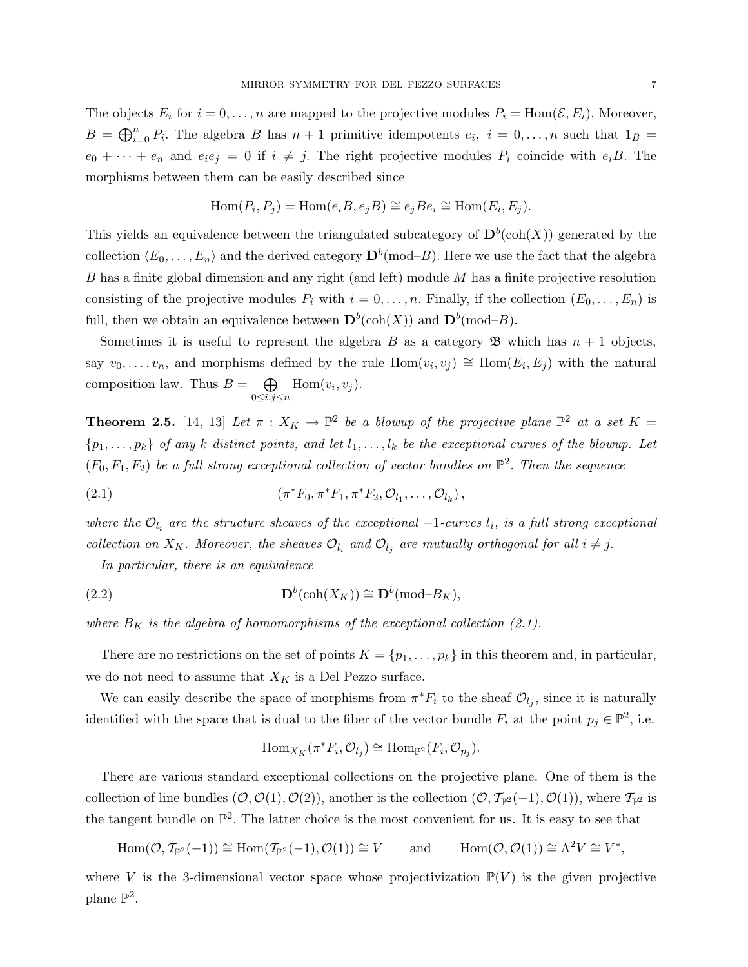The objects  $E_i$  for  $i = 0, \ldots, n$  are mapped to the projective modules  $P_i = \text{Hom}(\mathcal{E}, E_i)$ . Moreover,  $B = \bigoplus_{i=0}^{n} P_i$ . The algebra B has  $n+1$  primitive idempotents  $e_i$ ,  $i = 0, \ldots, n$  such that  $1_B =$  $e_0 + \cdots + e_n$  and  $e_i e_j = 0$  if  $i \neq j$ . The right projective modules  $P_i$  coincide with  $e_i B$ . The morphisms between them can be easily described since

$$
Hom(P_i, P_j) = Hom(e_iB, e_jB) \cong e_jBe_i \cong Hom(E_i, E_j).
$$

This yields an equivalence between the triangulated subcategory of  $\mathbf{D}^b(\text{coh}(X))$  generated by the collection  $\langle E_0, \ldots, E_n \rangle$  and the derived category  $\mathbf{D}^b(\text{mod-}B)$ . Here we use the fact that the algebra B has a finite global dimension and any right (and left) module  $M$  has a finite projective resolution consisting of the projective modules  $P_i$  with  $i = 0, \ldots, n$ . Finally, if the collection  $(E_0, \ldots, E_n)$  is full, then we obtain an equivalence between  $\mathbf{D}^b(\text{coh}(X))$  and  $\mathbf{D}^b(\text{mod-}B)$ .

Sometimes it is useful to represent the algebra B as a category  $\mathfrak{B}$  which has  $n+1$  objects, say  $v_0, \ldots, v_n$ , and morphisms defined by the rule  $Hom(v_i, v_j) \cong Hom(E_i, E_j)$  with the natural composition law. Thus  $B = \bigoplus$  $0\leq i,j\leq n$  $Hom(v_i, v_j)$ .

**Theorem 2.5.** [14, 13] Let  $\pi$  :  $X_K \to \mathbb{P}^2$  be a blowup of the projective plane  $\mathbb{P}^2$  at a set  $K =$  $\{p_1, \ldots, p_k\}$  of any k distinct points, and let  $l_1, \ldots, l_k$  be the exceptional curves of the blowup. Let  $(F_0, F_1, F_2)$  be a full strong exceptional collection of vector bundles on  $\mathbb{P}^2$ . Then the sequence

(2.1) 
$$
(\pi^* F_0, \pi^* F_1, \pi^* F_2, O_{l_1}, \ldots, O_{l_k}),
$$

where the  $\mathcal{O}_{l_i}$  are the structure sheaves of the exceptional  $-1$ -curves  $l_i$ , is a full strong exceptional collection on  $X_K$ . Moreover, the sheaves  $\mathcal{O}_{l_i}$  and  $\mathcal{O}_{l_j}$  are mutually orthogonal for all  $i \neq j$ .

In particular, there is an equivalence

(2.2) 
$$
\mathbf{D}^b(\operatorname{coh}(X_K)) \cong \mathbf{D}^b(\operatorname{mod}-B_K),
$$

where  $B_K$  is the algebra of homomorphisms of the exceptional collection (2.1).

There are no restrictions on the set of points  $K = \{p_1, \ldots, p_k\}$  in this theorem and, in particular, we do not need to assume that  $X_K$  is a Del Pezzo surface.

We can easily describe the space of morphisms from  $\pi^* F_i$  to the sheaf  $\mathcal{O}_{l_j}$ , since it is naturally identified with the space that is dual to the fiber of the vector bundle  $F_i$  at the point  $p_j \in \mathbb{P}^2$ , i.e.

$$
\operatorname{Hom}_{X_K}(\pi^*F_i, \mathcal{O}_{l_j}) \cong \operatorname{Hom}_{\mathbb{P}^2}(F_i, \mathcal{O}_{p_j}).
$$

There are various standard exceptional collections on the projective plane. One of them is the collection of line bundles  $(0, O(1), O(2))$ , another is the collection  $(0, T_{\mathbb{P}^2}(-1), O(1))$ , where  $T_{\mathbb{P}^2}$  is the tangent bundle on  $\mathbb{P}^2$ . The latter choice is the most convenient for us. It is easy to see that

 $\text{Hom}(\mathcal{O}, \mathcal{T}_{\mathbb{P}^2}(-1)) \cong \text{Hom}(\mathcal{T}_{\mathbb{P}^2}(-1), \mathcal{O}(1)) \cong V$  and  $^2V \cong V^*,$ 

where V is the 3-dimensional vector space whose projectivization  $\mathbb{P}(V)$  is the given projective plane  $\mathbb{P}^2$ .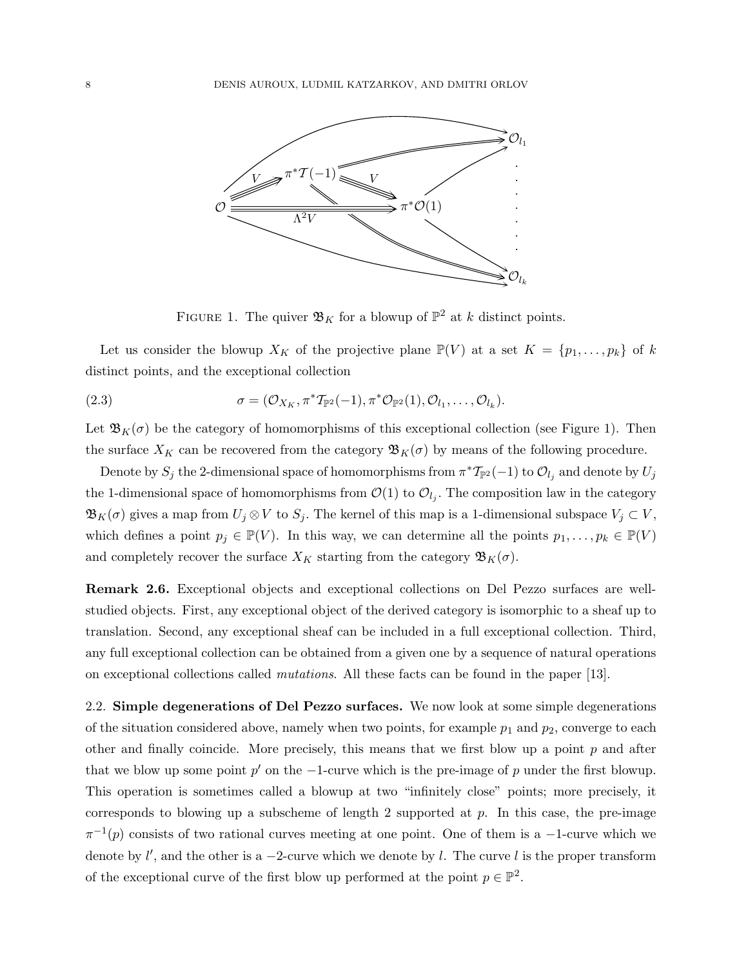

FIGURE 1. The quiver  $\mathfrak{B}_K$  for a blowup of  $\mathbb{P}^2$  at k distinct points.

Let us consider the blowup  $X_K$  of the projective plane  $\mathbb{P}(V)$  at a set  $K = \{p_1, \ldots, p_k\}$  of k distinct points, and the exceptional collection

(2.3) 
$$
\sigma = (\mathcal{O}_{X_K}, \pi^* \mathcal{T}_{\mathbb{P}^2}(-1), \pi^* \mathcal{O}_{\mathbb{P}^2}(1), \mathcal{O}_{l_1}, \dots, \mathcal{O}_{l_k}).
$$

Let  $\mathfrak{B}_K(\sigma)$  be the category of homomorphisms of this exceptional collection (see Figure 1). Then the surface  $X_K$  can be recovered from the category  $\mathfrak{B}_K(\sigma)$  by means of the following procedure.

Denote by  $S_j$  the 2-dimensional space of homomorphisms from  $\pi^* \mathcal{T}_{\mathbb{P}^2}(-1)$  to  $\mathcal{O}_{l_j}$  and denote by  $U_j$ the 1-dimensional space of homomorphisms from  $\mathcal{O}(1)$  to  $\mathcal{O}_{l_j}$ . The composition law in the category  $\mathfrak{B}_K(\sigma)$  gives a map from  $U_j \otimes V$  to  $S_j$ . The kernel of this map is a 1-dimensional subspace  $V_j \subset V$ , which defines a point  $p_j \in \mathbb{P}(V)$ . In this way, we can determine all the points  $p_1, \ldots, p_k \in \mathbb{P}(V)$ and completely recover the surface  $X_K$  starting from the category  $\mathfrak{B}_K(\sigma)$ .

Remark 2.6. Exceptional objects and exceptional collections on Del Pezzo surfaces are wellstudied objects. First, any exceptional object of the derived category is isomorphic to a sheaf up to translation. Second, any exceptional sheaf can be included in a full exceptional collection. Third, any full exceptional collection can be obtained from a given one by a sequence of natural operations on exceptional collections called mutations. All these facts can be found in the paper [13].

2.2. Simple degenerations of Del Pezzo surfaces. We now look at some simple degenerations of the situation considered above, namely when two points, for example  $p_1$  and  $p_2$ , converge to each other and finally coincide. More precisely, this means that we first blow up a point  $p$  and after that we blow up some point  $p'$  on the  $-1$ -curve which is the pre-image of p under the first blowup. This operation is sometimes called a blowup at two "infinitely close" points; more precisely, it corresponds to blowing up a subscheme of length  $2$  supported at  $p$ . In this case, the pre-image  $\pi^{-1}(p)$  consists of two rational curves meeting at one point. One of them is a -1-curve which we denote by  $l'$ , and the other is a -2-curve which we denote by l. The curve l is the proper transform of the exceptional curve of the first blow up performed at the point  $p \in \mathbb{P}^2$ .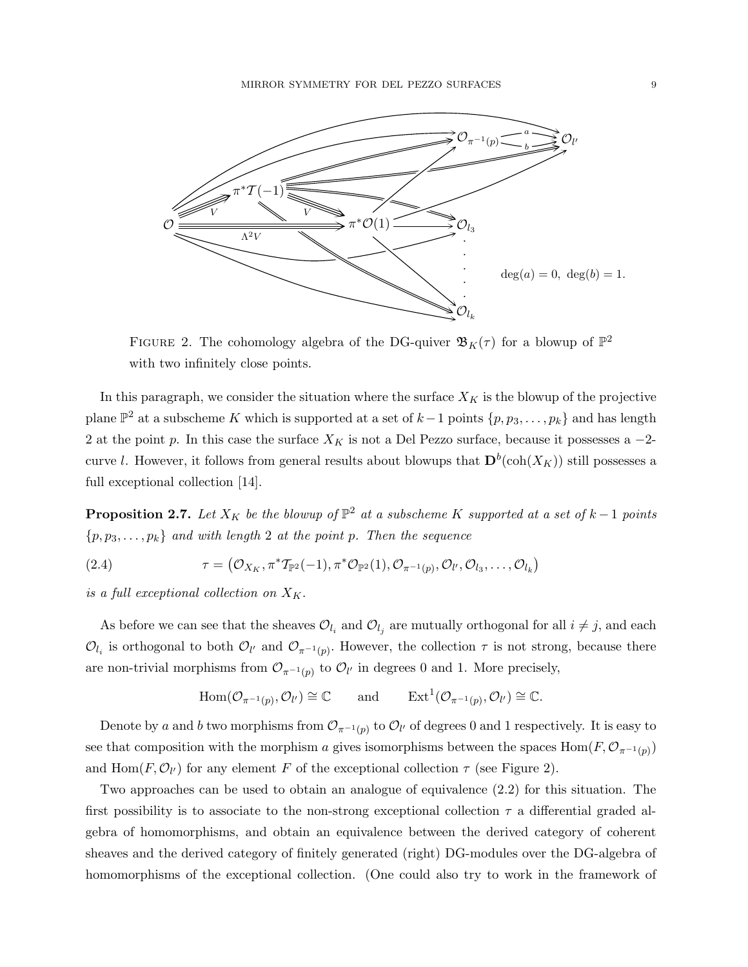

FIGURE 2. The cohomology algebra of the DG-quiver  $\mathfrak{B}_K(\tau)$  for a blowup of  $\mathbb{P}^2$ with two infinitely close points.

In this paragraph, we consider the situation where the surface  $X_K$  is the blowup of the projective plane  $\mathbb{P}^2$  at a subscheme K which is supported at a set of  $k-1$  points  $\{p, p_3, \ldots, p_k\}$  and has length 2 at the point p. In this case the surface  $X_K$  is not a Del Pezzo surface, because it possesses a  $-2$ curve l. However, it follows from general results about blowups that  $\mathbf{D}^b(\text{coh}(X_K))$  still possesses a full exceptional collection [14].

**Proposition 2.7.** Let  $X_K$  be the blowup of  $\mathbb{P}^2$  at a subscheme K supported at a set of  $k-1$  points  $\{p, p_3, \ldots, p_k\}$  and with length 2 at the point p. Then the sequence

(2.4) 
$$
\tau = (\mathcal{O}_{X_K}, \pi^* \mathcal{T}_{\mathbb{P}^2}(-1), \pi^* \mathcal{O}_{\mathbb{P}^2}(1), \mathcal{O}_{\pi^{-1}(p)}, \mathcal{O}_{l'}, \mathcal{O}_{l_3}, \ldots, \mathcal{O}_{l_k})
$$

is a full exceptional collection on  $X_K$ .

As before we can see that the sheaves  $\mathcal{O}_{l_i}$  and  $\mathcal{O}_{l_j}$  are mutually orthogonal for all  $i \neq j$ , and each  $\mathcal{O}_{l_i}$  is orthogonal to both  $\mathcal{O}_{l'}$  and  $\mathcal{O}_{\pi^{-1}(p)}$ . However, the collection  $\tau$  is not strong, because there are non-trivial morphisms from  $\mathcal{O}_{\pi^{-1}(p)}$  to  $\mathcal{O}_{l'}$  in degrees 0 and 1. More precisely,

$$
\text{Hom}(\mathcal{O}_{\pi^{-1}(p)}, \mathcal{O}_{l'}) \cong \mathbb{C} \quad \text{and} \quad \text{Ext}^1(\mathcal{O}_{\pi^{-1}(p)}, \mathcal{O}_{l'}) \cong \mathbb{C}.
$$

Denote by a and b two morphisms from  $\mathcal{O}_{\pi^{-1}(p)}$  to  $\mathcal{O}_{l'}$  of degrees 0 and 1 respectively. It is easy to see that composition with the morphism a gives isomorphisms between the spaces  $\text{Hom}(F, \mathcal{O}_{\pi^{-1}(p)})$ and  $\text{Hom}(F, \mathcal{O}_{l'})$  for any element F of the exceptional collection  $\tau$  (see Figure 2).

Two approaches can be used to obtain an analogue of equivalence (2.2) for this situation. The first possibility is to associate to the non-strong exceptional collection  $\tau$  a differential graded algebra of homomorphisms, and obtain an equivalence between the derived category of coherent sheaves and the derived category of finitely generated (right) DG-modules over the DG-algebra of homomorphisms of the exceptional collection. (One could also try to work in the framework of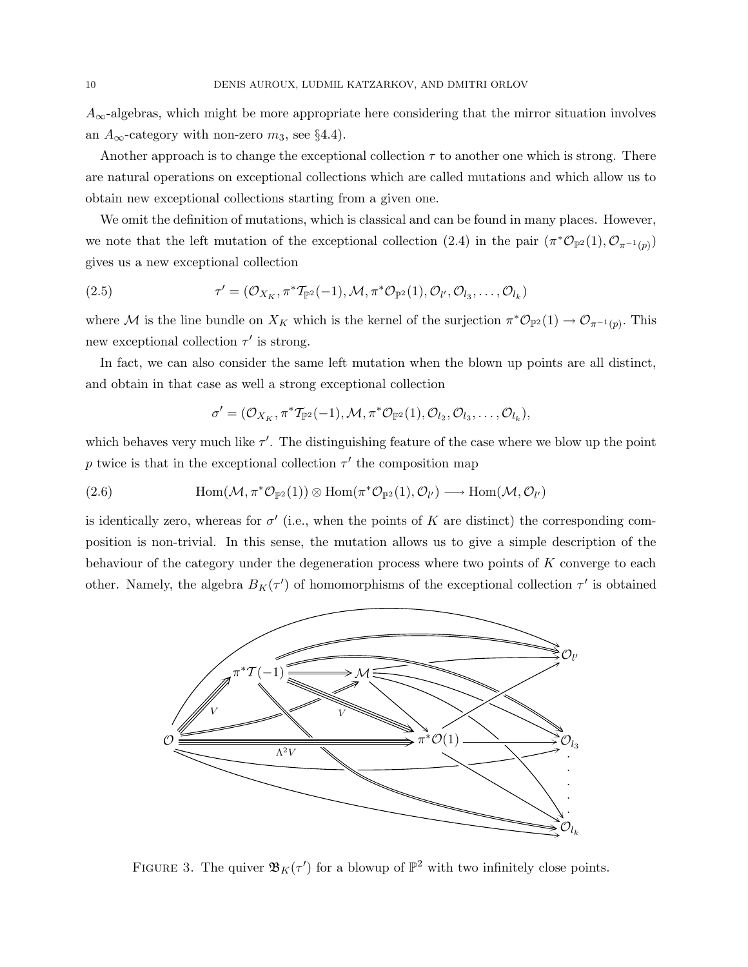$A_{\infty}$ -algebras, which might be more appropriate here considering that the mirror situation involves an  $A_{\infty}$ -category with non-zero  $m_3$ , see §4.4).

Another approach is to change the exceptional collection  $\tau$  to another one which is strong. There are natural operations on exceptional collections which are called mutations and which allow us to obtain new exceptional collections starting from a given one.

We omit the definition of mutations, which is classical and can be found in many places. However, we note that the left mutation of the exceptional collection (2.4) in the pair  $(\pi^*\mathcal{O}_{\mathbb{P}^2}(1), \mathcal{O}_{\pi^{-1}(p)})$ gives us a new exceptional collection

(2.5) 
$$
\tau' = (\mathcal{O}_{X_K}, \pi^* \mathcal{T}_{\mathbb{P}^2}(-1), \mathcal{M}, \pi^* \mathcal{O}_{\mathbb{P}^2}(1), \mathcal{O}_{l'}, \mathcal{O}_{l_3}, \dots, \mathcal{O}_{l_k})
$$

where M is the line bundle on  $X_K$  which is the kernel of the surjection  $\pi^* \mathcal{O}_{\mathbb{P}^2}(1) \to \mathcal{O}_{\pi^{-1}(p)}$ . This new exceptional collection  $\tau'$  is strong.

In fact, we can also consider the same left mutation when the blown up points are all distinct, and obtain in that case as well a strong exceptional collection

$$
\sigma'=(\mathcal{O}_{X_K},\pi^*\mathcal{T}_{\mathbb{P}^2}(-1),\mathcal{M},\pi^*\mathcal{O}_{\mathbb{P}^2}(1),\mathcal{O}_{l_2},\mathcal{O}_{l_3},\ldots,\mathcal{O}_{l_k}),
$$

which behaves very much like  $\tau'$ . The distinguishing feature of the case where we blow up the point p twice is that in the exceptional collection  $\tau'$  the composition map

(2.6) 
$$
\text{Hom}(\mathcal{M}, \pi^*\mathcal{O}_{\mathbb{P}^2}(1)) \otimes \text{Hom}(\pi^*\mathcal{O}_{\mathbb{P}^2}(1), \mathcal{O}_{l'}) \longrightarrow \text{Hom}(\mathcal{M}, \mathcal{O}_{l'})
$$

is identically zero, whereas for  $\sigma'$  (i.e., when the points of K are distinct) the corresponding composition is non-trivial. In this sense, the mutation allows us to give a simple description of the behaviour of the category under the degeneration process where two points of K converge to each other. Namely, the algebra  $B_K(\tau')$  of homomorphisms of the exceptional collection  $\tau'$  is obtained



FIGURE 3. The quiver  $\mathfrak{B}_K(\tau')$  for a blowup of  $\mathbb{P}^2$  with two infinitely close points.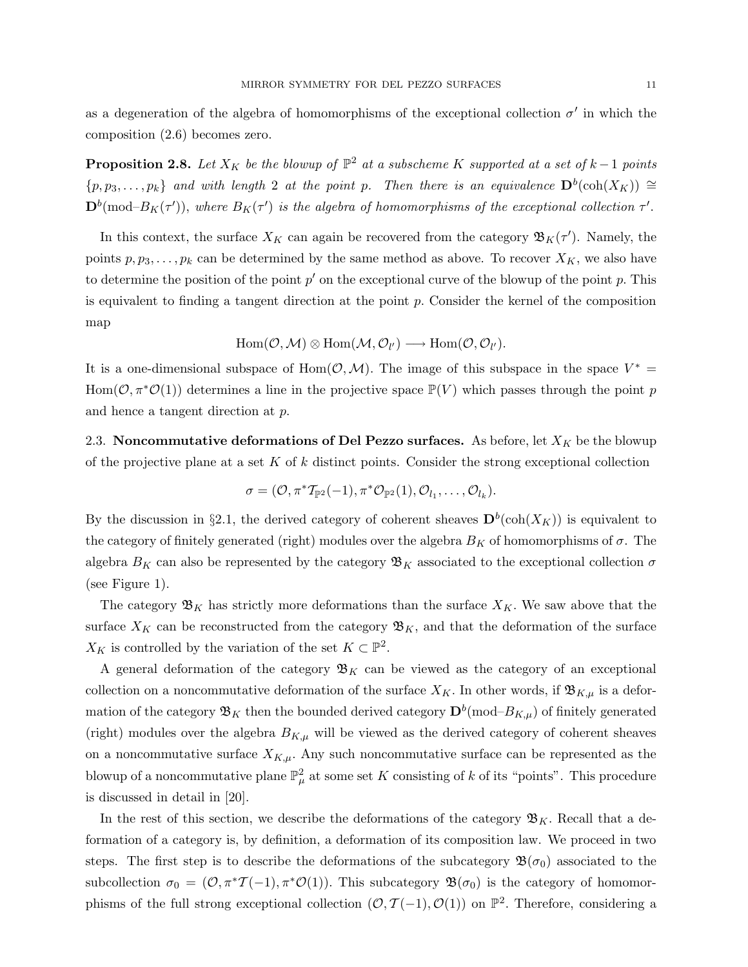as a degeneration of the algebra of homomorphisms of the exceptional collection  $\sigma'$  in which the composition (2.6) becomes zero.

**Proposition 2.8.** Let  $X_K$  be the blowup of  $\mathbb{P}^2$  at a subscheme K supported at a set of  $k-1$  points  $\{p, p_3, \ldots, p_k\}$  and with length 2 at the point p. Then there is an equivalence  $\mathbf{D}^b(\operatorname{coh}(X_K)) \cong$  $\mathbf{D}^b(\text{mod}-B_K(\tau'))$ , where  $B_K(\tau')$  is the algebra of homomorphisms of the exceptional collection  $\tau'.$ 

In this context, the surface  $X_K$  can again be recovered from the category  $\mathfrak{B}_K(\tau')$ . Namely, the points  $p, p_3, \ldots, p_k$  can be determined by the same method as above. To recover  $X_K$ , we also have to determine the position of the point  $p'$  on the exceptional curve of the blowup of the point p. This is equivalent to finding a tangent direction at the point  $p$ . Consider the kernel of the composition map

$$
\operatorname{Hom}(\mathcal{O},\mathcal{M})\otimes \operatorname{Hom}(\mathcal{M},\mathcal{O}_{l'})\longrightarrow \operatorname{Hom}(\mathcal{O},\mathcal{O}_{l'}).
$$

It is a one-dimensional subspace of Hom $(0, M)$ . The image of this subspace in the space  $V^* =$  $Hom(\mathcal{O}, \pi^*\mathcal{O}(1))$  determines a line in the projective space  $\mathbb{P}(V)$  which passes through the point p and hence a tangent direction at p.

2.3. Noncommutative deformations of Del Pezzo surfaces. As before, let  $X_K$  be the blowup of the projective plane at a set  $K$  of  $k$  distinct points. Consider the strong exceptional collection

$$
\sigma=(\mathcal{O},\pi^* \mathcal{T}_{\mathbb{P}^2}(-1),\pi^* \mathcal{O}_{\mathbb{P}^2}(1),\mathcal{O}_{l_1},\ldots,\mathcal{O}_{l_k}).
$$

By the discussion in §2.1, the derived category of coherent sheaves  $\mathbf{D}^b(\text{coh}(X_K))$  is equivalent to the category of finitely generated (right) modules over the algebra  $B_K$  of homomorphisms of  $\sigma$ . The algebra  $B_K$  can also be represented by the category  $\mathfrak{B}_K$  associated to the exceptional collection  $\sigma$ (see Figure 1).

The category  $\mathfrak{B}_K$  has strictly more deformations than the surface  $X_K$ . We saw above that the surface  $X_K$  can be reconstructed from the category  $\mathfrak{B}_K$ , and that the deformation of the surface  $X_K$  is controlled by the variation of the set  $K \subset \mathbb{P}^2$ .

A general deformation of the category  $\mathfrak{B}_K$  can be viewed as the category of an exceptional collection on a noncommutative deformation of the surface  $X_K$ . In other words, if  $\mathfrak{B}_{K,\mu}$  is a deformation of the category  $\mathfrak{B}_K$  then the bounded derived category  $\mathbf{D}^b(\text{mod}-B_{K,\mu})$  of finitely generated (right) modules over the algebra  $B_{K,\mu}$  will be viewed as the derived category of coherent sheaves on a noncommutative surface  $X_{K,\mu}$ . Any such noncommutative surface can be represented as the blowup of a noncommutative plane  $\mathbb{P}^2_\mu$  at some set K consisting of k of its "points". This procedure is discussed in detail in [20].

In the rest of this section, we describe the deformations of the category  $\mathfrak{B}_K$ . Recall that a deformation of a category is, by definition, a deformation of its composition law. We proceed in two steps. The first step is to describe the deformations of the subcategory  $\mathfrak{B}(\sigma_0)$  associated to the subcollection  $\sigma_0 = (0, \pi^* \mathcal{I}(-1), \pi^* \mathcal{O}(1))$ . This subcategory  $\mathfrak{B}(\sigma_0)$  is the category of homomorphisms of the full strong exceptional collection  $(\mathcal{O}, \mathcal{T}(-1), \mathcal{O}(1))$  on  $\mathbb{P}^2$ . Therefore, considering a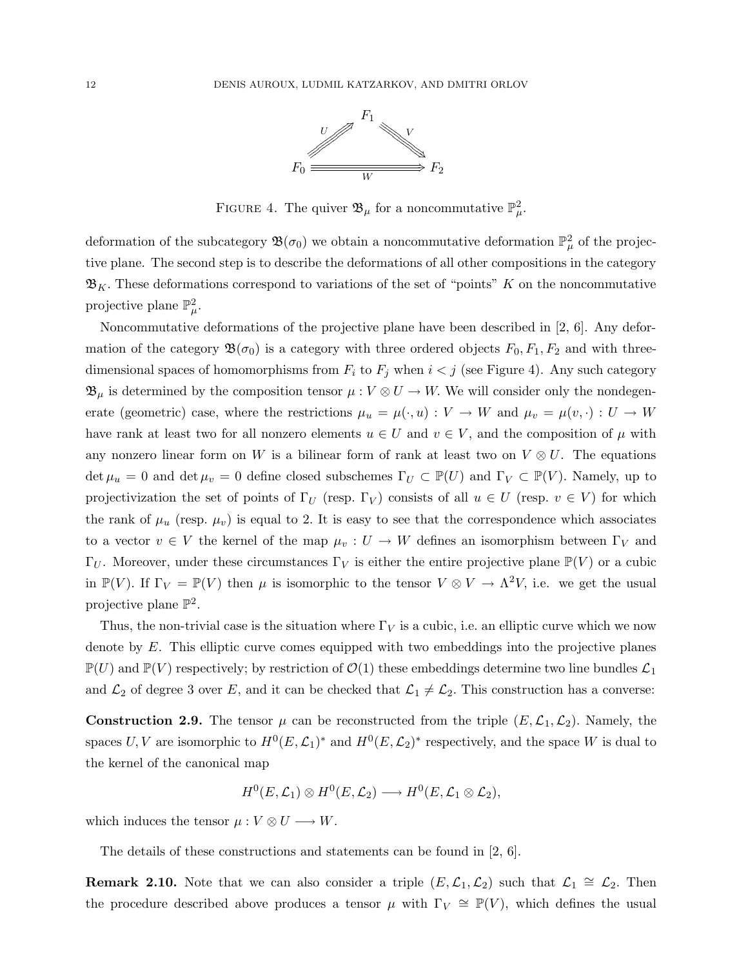

FIGURE 4. The quiver  $\mathfrak{B}_{\mu}$  for a noncommutative  $\mathbb{P}^2_{\mu}$ .

deformation of the subcategory  $\mathfrak{B}(\sigma_0)$  we obtain a noncommutative deformation  $\mathbb{P}^2_\mu$  of the projective plane. The second step is to describe the deformations of all other compositions in the category  $\mathfrak{B}_K$ . These deformations correspond to variations of the set of "points" K on the noncommutative projective plane  $\mathbb{P}^2_{\mu}$ .

Noncommutative deformations of the projective plane have been described in [2, 6]. Any deformation of the category  $\mathfrak{B}(\sigma_0)$  is a category with three ordered objects  $F_0, F_1, F_2$  and with threedimensional spaces of homomorphisms from  $F_i$  to  $F_j$  when  $i < j$  (see Figure 4). Any such category  $\mathfrak{B}_{\mu}$  is determined by the composition tensor  $\mu: V \otimes U \to W$ . We will consider only the nondegenerate (geometric) case, where the restrictions  $\mu_u = \mu(\cdot, u) : V \to W$  and  $\mu_v = \mu(v, \cdot) : U \to W$ have rank at least two for all nonzero elements  $u \in U$  and  $v \in V$ , and the composition of  $\mu$  with any nonzero linear form on W is a bilinear form of rank at least two on  $V \otimes U$ . The equations  $\det \mu_u = 0$  and  $\det \mu_v = 0$  define closed subschemes  $\Gamma_U \subset \mathbb{P}(U)$  and  $\Gamma_V \subset \mathbb{P}(V)$ . Namely, up to projectivization the set of points of  $\Gamma_U$  (resp.  $\Gamma_V$ ) consists of all  $u \in U$  (resp.  $v \in V$ ) for which the rank of  $\mu_u$  (resp.  $\mu_v$ ) is equal to 2. It is easy to see that the correspondence which associates to a vector  $v \in V$  the kernel of the map  $\mu_v : U \to W$  defines an isomorphism between  $\Gamma_V$  and  $\Gamma_U$ . Moreover, under these circumstances  $\Gamma_V$  is either the entire projective plane  $\mathbb{P}(V)$  or a cubic in  $\mathbb{P}(V)$ . If  $\Gamma_V = \mathbb{P}(V)$  then  $\mu$  is isomorphic to the tensor  $V \otimes V \to \Lambda^2 V$ , i.e. we get the usual projective plane  $\mathbb{P}^2$ .

Thus, the non-trivial case is the situation where  $\Gamma_V$  is a cubic, i.e. an elliptic curve which we now denote by E. This elliptic curve comes equipped with two embeddings into the projective planes  $\mathbb{P}(U)$  and  $\mathbb{P}(V)$  respectively; by restriction of  $\mathcal{O}(1)$  these embeddings determine two line bundles  $\mathcal{L}_1$ and  $\mathcal{L}_2$  of degree 3 over E, and it can be checked that  $\mathcal{L}_1 \neq \mathcal{L}_2$ . This construction has a converse:

**Construction 2.9.** The tensor  $\mu$  can be reconstructed from the triple  $(E, \mathcal{L}_1, \mathcal{L}_2)$ . Namely, the spaces U, V are isomorphic to  $H^0(E, \mathcal{L}_1)^*$  and  $H^0(E, \mathcal{L}_2)^*$  respectively, and the space W is dual to the kernel of the canonical map

$$
H^0(E,{\mathcal L}_1) \otimes H^0(E,{\mathcal L}_2) \longrightarrow H^0(E,{\mathcal L}_1 \otimes {\mathcal L}_2),
$$

which induces the tensor  $\mu: V \otimes U \longrightarrow W$ .

The details of these constructions and statements can be found in [2, 6].

**Remark 2.10.** Note that we can also consider a triple  $(E, \mathcal{L}_1, \mathcal{L}_2)$  such that  $\mathcal{L}_1 \cong \mathcal{L}_2$ . Then the procedure described above produces a tensor  $\mu$  with  $\Gamma_V \cong \mathbb{P}(V)$ , which defines the usual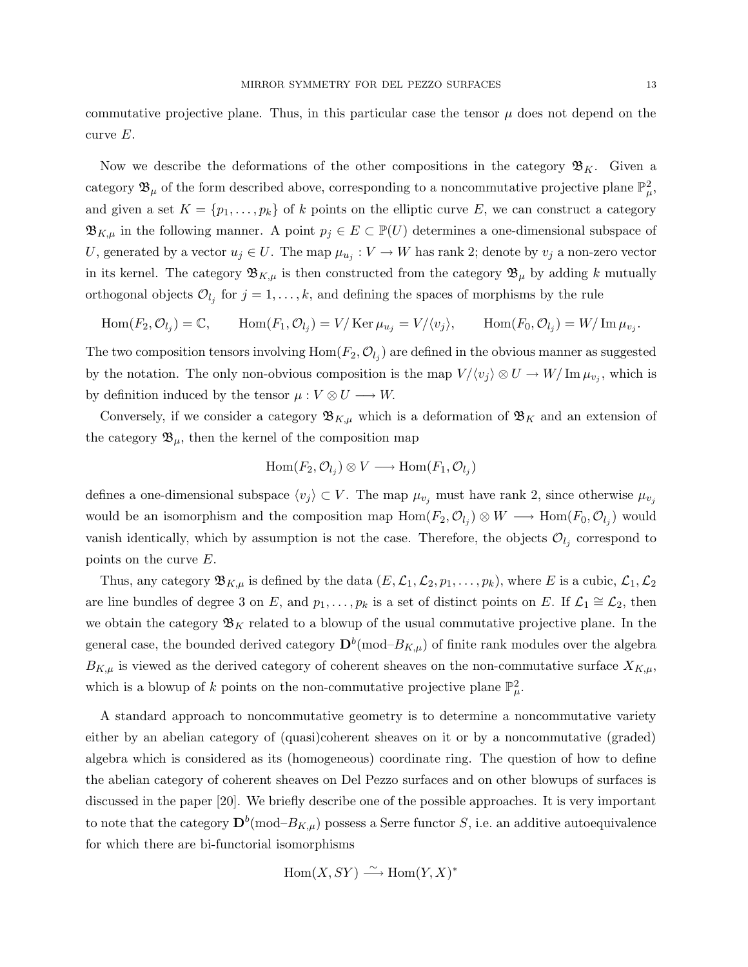commutative projective plane. Thus, in this particular case the tensor  $\mu$  does not depend on the curve E.

Now we describe the deformations of the other compositions in the category  $\mathfrak{B}_K$ . Given a category  $\mathfrak{B}_{\mu}$  of the form described above, corresponding to a noncommutative projective plane  $\mathbb{P}^2_{\mu}$ , and given a set  $K = \{p_1, \ldots, p_k\}$  of k points on the elliptic curve E, we can construct a category  $\mathfrak{B}_{K,\mu}$  in the following manner. A point  $p_j \in E \subset \mathbb{P}(U)$  determines a one-dimensional subspace of U, generated by a vector  $u_j \in U$ . The map  $\mu_{u_j}: V \to W$  has rank 2; denote by  $v_j$  a non-zero vector in its kernel. The category  $\mathfrak{B}_{K,\mu}$  is then constructed from the category  $\mathfrak{B}_{\mu}$  by adding k mutually orthogonal objects  $\mathcal{O}_{l_j}$  for  $j = 1, \ldots, k$ , and defining the spaces of morphisms by the rule

$$
\text{Hom}(F_2, \mathcal{O}_{l_j}) = \mathbb{C}, \qquad \text{Hom}(F_1, \mathcal{O}_{l_j}) = V/\text{Ker } \mu_{u_j} = V/\langle v_j \rangle, \qquad \text{Hom}(F_0, \mathcal{O}_{l_j}) = W/\text{Im } \mu_{v_j}.
$$

The two composition tensors involving  $\text{Hom}(F_2,\mathcal{O}_{l_j})$  are defined in the obvious manner as suggested by the notation. The only non-obvious composition is the map  $V/\langle v_j \rangle \otimes U \to W/\operatorname{Im} \mu_{v_j}$ , which is by definition induced by the tensor  $\mu : V \otimes U \longrightarrow W$ .

Conversely, if we consider a category  $\mathfrak{B}_{K,\mu}$  which is a deformation of  $\mathfrak{B}_K$  and an extension of the category  $\mathfrak{B}_{\mu}$ , then the kernel of the composition map

$$
\operatorname{Hom}(F_2,\mathcal{O}_{l_j}) \otimes V \longrightarrow \operatorname{Hom}(F_1,\mathcal{O}_{l_j})
$$

defines a one-dimensional subspace  $\langle v_j \rangle \subset V$ . The map  $\mu_{v_j}$  must have rank 2, since otherwise  $\mu_{v_j}$ would be an isomorphism and the composition map  $Hom(F_2, \mathcal{O}_{l_j}) \otimes W \longrightarrow Hom(F_0, \mathcal{O}_{l_j})$  would vanish identically, which by assumption is not the case. Therefore, the objects  $\mathcal{O}_{l_j}$  correspond to points on the curve E.

Thus, any category  $\mathfrak{B}_{K,\mu}$  is defined by the data  $(E,\mathcal{L}_1,\mathcal{L}_2,p_1,\ldots,p_k)$ , where E is a cubic,  $\mathcal{L}_1,\mathcal{L}_2$ are line bundles of degree 3 on E, and  $p_1, \ldots, p_k$  is a set of distinct points on E. If  $\mathcal{L}_1 \cong \mathcal{L}_2$ , then we obtain the category  $\mathfrak{B}_K$  related to a blowup of the usual commutative projective plane. In the general case, the bounded derived category  $\mathbf{D}^b(\text{mod}-B_{K,\mu})$  of finite rank modules over the algebra  $B_{K,\mu}$  is viewed as the derived category of coherent sheaves on the non-commutative surface  $X_{K,\mu}$ , which is a blowup of k points on the non-commutative projective plane  $\mathbb{P}^2_{\mu}$ .

A standard approach to noncommutative geometry is to determine a noncommutative variety either by an abelian category of (quasi)coherent sheaves on it or by a noncommutative (graded) algebra which is considered as its (homogeneous) coordinate ring. The question of how to define the abelian category of coherent sheaves on Del Pezzo surfaces and on other blowups of surfaces is discussed in the paper [20]. We briefly describe one of the possible approaches. It is very important to note that the category  $\mathbf{D}^b(\text{mod}-B_{K,\mu})$  possess a Serre functor S, i.e. an additive autoequivalence for which there are bi-functorial isomorphisms

$$
Hom(X, SY) \xrightarrow{\sim} Hom(Y, X)^*
$$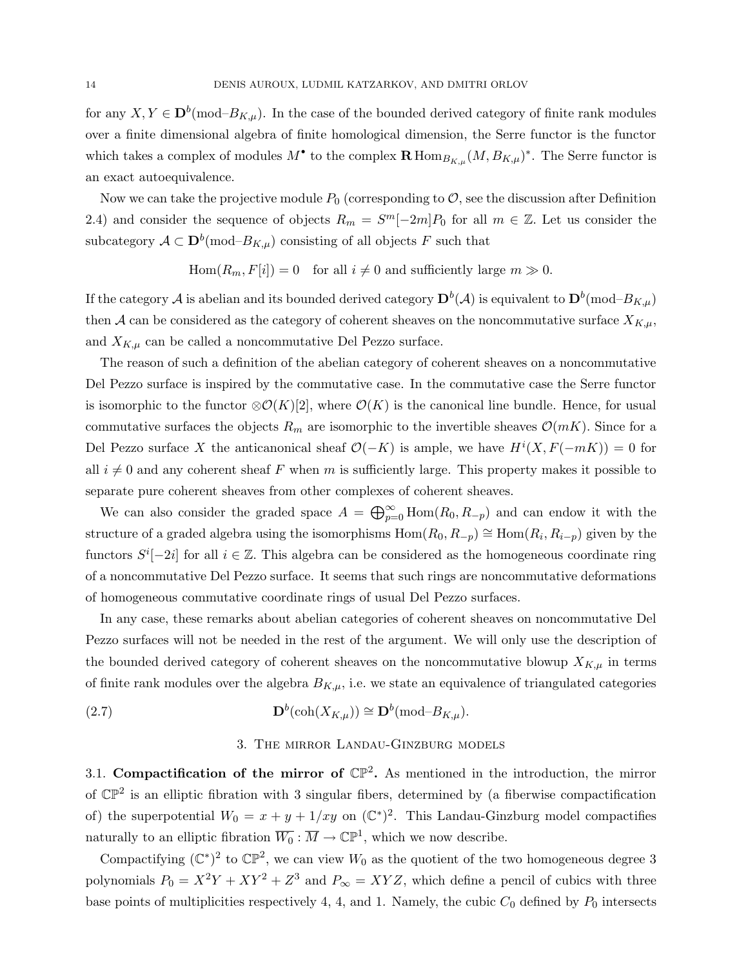for any  $X, Y \in D^b(\text{mod}-B_{K,\mu})$ . In the case of the bounded derived category of finite rank modules over a finite dimensional algebra of finite homological dimension, the Serre functor is the functor which takes a complex of modules  $M^{\bullet}$  to the complex  $\mathbf{R}$  Hom $_{B_{K,\mu}}(M, B_{K,\mu})^*$ . The Serre functor is an exact autoequivalence.

Now we can take the projective module  $P_0$  (corresponding to  $\mathcal{O}$ , see the discussion after Definition 2.4) and consider the sequence of objects  $R_m = S^m[-2m]P_0$  for all  $m \in \mathbb{Z}$ . Let us consider the subcategory  $A \subset \mathbf{D}^b(\text{mod}-B_{K,\mu})$  consisting of all objects F such that

 $\text{Hom}(R_m, F[i]) = 0 \text{ for all } i \neq 0 \text{ and sufficiently large } m \gg 0.$ 

If the category  $\cal A$  is abelian and its bounded derived category  ${\bf D}^b({\cal A})$  is equivalent to  ${\bf D}^b(\rm mod\text{-} B_{K,\mu})$ then A can be considered as the category of coherent sheaves on the noncommutative surface  $X_{K,\mu}$ , and  $X_{K,\mu}$  can be called a noncommutative Del Pezzo surface.

The reason of such a definition of the abelian category of coherent sheaves on a noncommutative Del Pezzo surface is inspired by the commutative case. In the commutative case the Serre functor is isomorphic to the functor  $\mathcal{O}(K)[2]$ , where  $\mathcal{O}(K)$  is the canonical line bundle. Hence, for usual commutative surfaces the objects  $R_m$  are isomorphic to the invertible sheaves  $\mathcal{O}(mK)$ . Since for a Del Pezzo surface X the anticanonical sheaf  $\mathcal{O}(-K)$  is ample, we have  $H^{i}(X, F(-mK)) = 0$  for all  $i \neq 0$  and any coherent sheaf F when m is sufficiently large. This property makes it possible to separate pure coherent sheaves from other complexes of coherent sheaves.

We can also consider the graded space  $A = \bigoplus_{p=0}^{\infty} \text{Hom}(R_0, R_{-p})$  and can endow it with the structure of a graded algebra using the isomorphisms  $Hom(R_0, R_{-p}) \cong Hom(R_i, R_{i-p})$  given by the functors  $S^{i}[-2i]$  for all  $i \in \mathbb{Z}$ . This algebra can be considered as the homogeneous coordinate ring of a noncommutative Del Pezzo surface. It seems that such rings are noncommutative deformations of homogeneous commutative coordinate rings of usual Del Pezzo surfaces.

In any case, these remarks about abelian categories of coherent sheaves on noncommutative Del Pezzo surfaces will not be needed in the rest of the argument. We will only use the description of the bounded derived category of coherent sheaves on the noncommutative blowup  $X_{K,\mu}$  in terms of finite rank modules over the algebra  $B_{K,\mu}$ , i.e. we state an equivalence of triangulated categories

(2.7) 
$$
\mathbf{D}^b(\operatorname{coh}(X_{K,\mu})) \cong \mathbf{D}^b(\operatorname{mod}-B_{K,\mu}).
$$

### 3. The mirror Landau-Ginzburg models

3.1. Compactification of the mirror of  $\mathbb{CP}^2$ . As mentioned in the introduction, the mirror of  $\mathbb{CP}^2$  is an elliptic fibration with 3 singular fibers, determined by (a fiberwise compactification of) the superpotential  $W_0 = x + y + 1/xy$  on  $(\mathbb{C}^*)^2$ . This Landau-Ginzburg model compactifies naturally to an elliptic fibration  $\overline{W_0}$  :  $\overline{M} \to \mathbb{CP}^1$ , which we now describe.

Compactifying  $(\mathbb{C}^*)^2$  to  $\mathbb{CP}^2$ , we can view  $W_0$  as the quotient of the two homogeneous degree 3 polynomials  $P_0 = X^2Y + XY^2 + Z^3$  and  $P_{\infty} = XYZ$ , which define a pencil of cubics with three base points of multiplicities respectively 4, 4, and 1. Namely, the cubic  $C_0$  defined by  $P_0$  intersects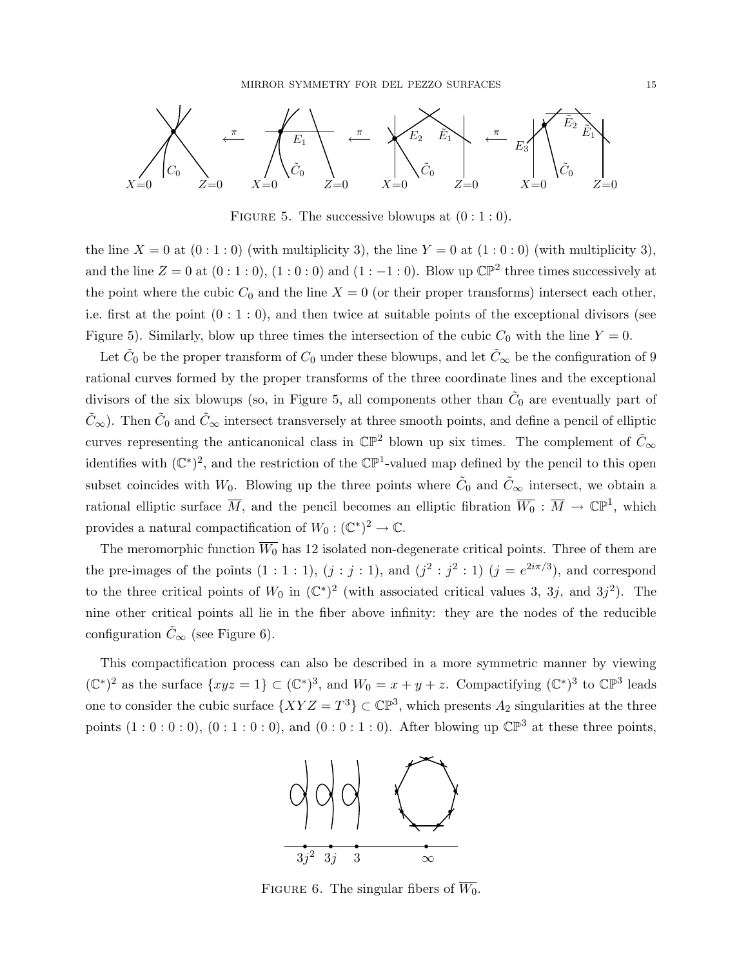

FIGURE 5. The successive blowups at  $(0:1:0)$ .

the line  $X = 0$  at  $(0:1:0)$  (with multiplicity 3), the line  $Y = 0$  at  $(1:0:0)$  (with multiplicity 3), and the line  $Z = 0$  at  $(0:1:0)$ ,  $(1:0:0)$  and  $(1:-1:0)$ . Blow up  $\mathbb{CP}^2$  three times successively at the point where the cubic  $C_0$  and the line  $X = 0$  (or their proper transforms) intersect each other, i.e. first at the point  $(0:1:0)$ , and then twice at suitable points of the exceptional divisors (see Figure 5). Similarly, blow up three times the intersection of the cubic  $C_0$  with the line  $Y = 0$ .

Let  $\tilde{C}_0$  be the proper transform of  $C_0$  under these blowups, and let  $\tilde{C}_\infty$  be the configuration of 9 rational curves formed by the proper transforms of the three coordinate lines and the exceptional divisors of the six blowups (so, in Figure 5, all components other than  $\tilde{C}_0$  are eventually part of  $\tilde{C}_{\infty}$ ). Then  $\tilde{C}_0$  and  $\tilde{C}_{\infty}$  intersect transversely at three smooth points, and define a pencil of elliptic curves representing the anticanonical class in  $\mathbb{CP}^2$  blown up six times. The complement of  $\tilde{C}_{\infty}$ identifies with  $(\mathbb{C}^*)^2$ , and the restriction of the  $\mathbb{CP}^1$ -valued map defined by the pencil to this open subset coincides with  $W_0$ . Blowing up the three points where  $\tilde{C}_0$  and  $\tilde{C}_{\infty}$  intersect, we obtain a rational elliptic surface  $\overline{M}$ , and the pencil becomes an elliptic fibration  $\overline{W_0}$  :  $\overline{M} \to \mathbb{CP}^1$ , which provides a natural compactification of  $W_0: (\mathbb{C}^*)^2 \to \mathbb{C}$ .

The meromorphic function  $\overline{W_0}$  has 12 isolated non-degenerate critical points. Three of them are the pre-images of the points  $(1:1:1)$ ,  $(j:j:1)$ , and  $(j^2:j^2:1)$   $(j=e^{2i\pi/3})$ , and correspond to the three critical points of  $W_0$  in  $(\mathbb{C}^*)^2$  (with associated critical values 3, 3j, and 3j<sup>2</sup>). The nine other critical points all lie in the fiber above infinity: they are the nodes of the reducible configuration  $\tilde{C}_{\infty}$  (see Figure 6).

This compactification process can also be described in a more symmetric manner by viewing  $(\mathbb{C}^*)^2$  as the surface  $\{xyz=1\} \subset (\mathbb{C}^*)^3$ , and  $W_0=x+y+z$ . Compactifying  $(\mathbb{C}^*)^3$  to  $\mathbb{CP}^3$  leads one to consider the cubic surface  $\{XYZ = T^3\} \subset \mathbb{CP}^3$ , which presents  $A_2$  singularities at the three points  $(1:0:0:0)$ ,  $(0:1:0:0)$ , and  $(0:0:1:0)$ . After blowing up  $\mathbb{CP}^3$  at these three points,



FIGURE 6. The singular fibers of  $\overline{W_0}$ .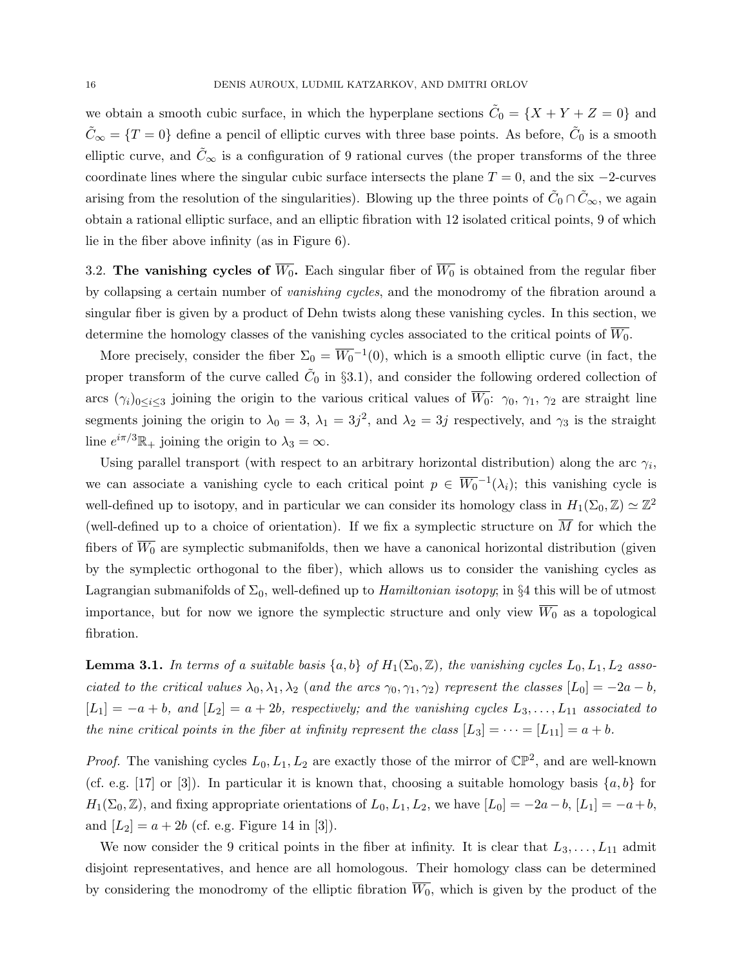we obtain a smooth cubic surface, in which the hyperplane sections  $\tilde{C}_0 = \{X + Y + Z = 0\}$  and  $\tilde{C}_{\infty} = \{T = 0\}$  define a pencil of elliptic curves with three base points. As before,  $\tilde{C}_0$  is a smooth elliptic curve, and  $\tilde{C}_{\infty}$  is a configuration of 9 rational curves (the proper transforms of the three coordinate lines where the singular cubic surface intersects the plane  $T = 0$ , and the six  $-2$ -curves arising from the resolution of the singularities). Blowing up the three points of  $\tilde{C}_0 \cap \tilde{C}_{\infty}$ , we again obtain a rational elliptic surface, and an elliptic fibration with 12 isolated critical points, 9 of which lie in the fiber above infinity (as in Figure 6).

3.2. The vanishing cycles of  $\overline{W_0}$ . Each singular fiber of  $\overline{W_0}$  is obtained from the regular fiber by collapsing a certain number of vanishing cycles, and the monodromy of the fibration around a singular fiber is given by a product of Dehn twists along these vanishing cycles. In this section, we determine the homology classes of the vanishing cycles associated to the critical points of  $\overline{W_0}$ .

More precisely, consider the fiber  $\Sigma_0 = \overline{W_0}^{-1}(0)$ , which is a smooth elliptic curve (in fact, the proper transform of the curve called  $\tilde{C}_0$  in §3.1), and consider the following ordered collection of arcs  $(\gamma_i)_{0 \leq i \leq 3}$  joining the origin to the various critical values of  $\overline{W_0}$ :  $\gamma_0$ ,  $\gamma_1$ ,  $\gamma_2$  are straight line segments joining the origin to  $\lambda_0 = 3$ ,  $\lambda_1 = 3j^2$ , and  $\lambda_2 = 3j$  respectively, and  $\gamma_3$  is the straight line  $e^{i\pi/3}\mathbb{R}_+$  joining the origin to  $\lambda_3 = \infty$ .

Using parallel transport (with respect to an arbitrary horizontal distribution) along the arc  $\gamma_i$ , we can associate a vanishing cycle to each critical point  $p \in \overline{W_0}^{-1}(\lambda_i)$ ; this vanishing cycle is well-defined up to isotopy, and in particular we can consider its homology class in  $H_1(\Sigma_0, \mathbb{Z}) \simeq \mathbb{Z}^2$ (well-defined up to a choice of orientation). If we fix a symplectic structure on  $\overline{M}$  for which the fibers of  $\overline{W_0}$  are symplectic submanifolds, then we have a canonical horizontal distribution (given by the symplectic orthogonal to the fiber), which allows us to consider the vanishing cycles as Lagrangian submanifolds of  $\Sigma_0$ , well-defined up to *Hamiltonian isotopy*; in §4 this will be of utmost importance, but for now we ignore the symplectic structure and only view  $\overline{W_0}$  as a topological fibration.

**Lemma 3.1.** In terms of a suitable basis  $\{a, b\}$  of  $H_1(\Sigma_0, \mathbb{Z})$ , the vanishing cycles  $L_0, L_1, L_2$  associated to the critical values  $\lambda_0, \lambda_1, \lambda_2$  (and the arcs  $\gamma_0, \gamma_1, \gamma_2$ ) represent the classes  $[L_0] = -2a - b$ ,  $[L_1] = -a + b$ , and  $[L_2] = a + 2b$ , respectively; and the vanishing cycles  $L_3, \ldots, L_{11}$  associated to the nine critical points in the fiber at infinity represent the class  $[L_3] = \cdots = [L_{11}] = a + b$ .

*Proof.* The vanishing cycles  $L_0, L_1, L_2$  are exactly those of the mirror of  $\mathbb{CP}^2$ , and are well-known (cf. e.g. [17] or [3]). In particular it is known that, choosing a suitable homology basis  $\{a, b\}$  for  $H_1(\Sigma_0, \mathbb{Z})$ , and fixing appropriate orientations of  $L_0, L_1, L_2$ , we have  $[L_0] = -2a - b$ ,  $[L_1] = -a + b$ , and  $[L_2] = a + 2b$  (cf. e.g. Figure 14 in [3]).

We now consider the 9 critical points in the fiber at infinity. It is clear that  $L_3, \ldots, L_{11}$  admit disjoint representatives, and hence are all homologous. Their homology class can be determined by considering the monodromy of the elliptic fibration  $\overline{W_0}$ , which is given by the product of the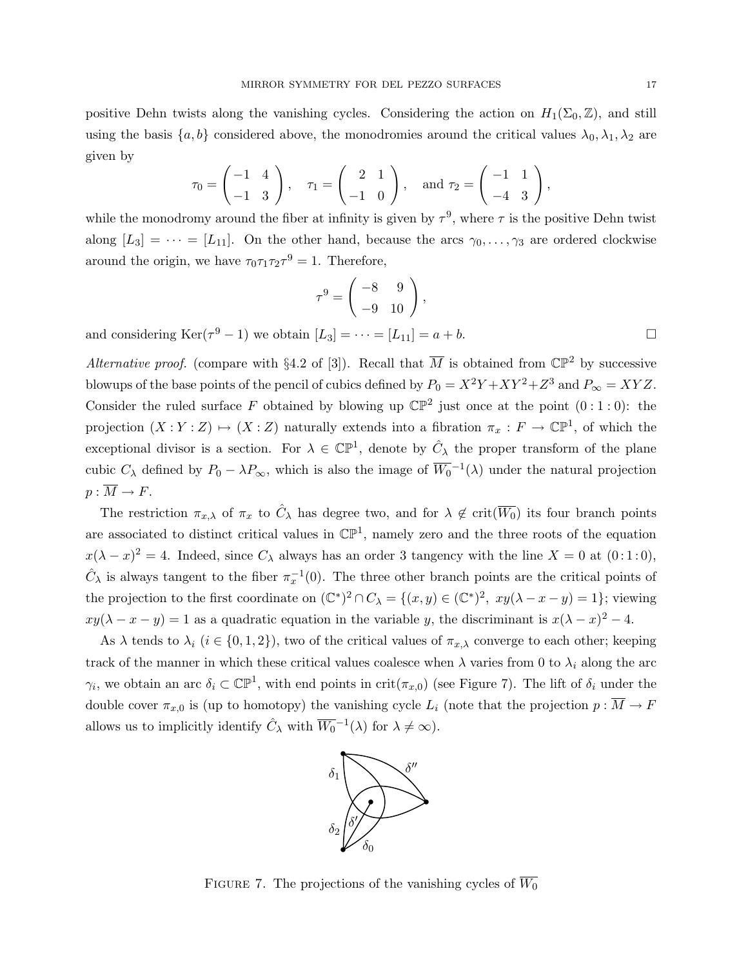positive Dehn twists along the vanishing cycles. Considering the action on  $H_1(\Sigma_0, \mathbb{Z})$ , and still using the basis  $\{a, b\}$  considered above, the monodromies around the critical values  $\lambda_0, \lambda_1, \lambda_2$  are given by

$$
\tau_0 = \begin{pmatrix} -1 & 4 \\ -1 & 3 \end{pmatrix}, \quad \tau_1 = \begin{pmatrix} 2 & 1 \\ -1 & 0 \end{pmatrix}, \text{ and } \tau_2 = \begin{pmatrix} -1 & 1 \\ -4 & 3 \end{pmatrix},
$$

while the monodromy around the fiber at infinity is given by  $\tau^9$ , where  $\tau$  is the positive Dehn twist along  $[L_3] = \cdots = [L_{11}]$ . On the other hand, because the arcs  $\gamma_0, \ldots, \gamma_3$  are ordered clockwise around the origin, we have  $\tau_0 \tau_1 \tau_2 \tau^9 = 1$ . Therefore,

$$
\tau^9 = \begin{pmatrix} -8 & 9 \\ -9 & 10 \end{pmatrix},
$$

and considering  $\text{Ker}(\tau^9 - 1)$  we obtain  $[L_3] = \cdots = [L_{11}] = a + b$ .

Alternative proof. (compare with §4.2 of [3]). Recall that  $\overline{M}$  is obtained from  $\mathbb{CP}^2$  by successive blowups of the base points of the pencil of cubics defined by  $P_0 = X^2Y + XY^2 + Z^3$  and  $P_{\infty} = XYZ$ . Consider the ruled surface F obtained by blowing up  $\mathbb{CP}^2$  just once at the point  $(0:1:0)$ : the projection  $(X:Y:Z) \mapsto (X:Z)$  naturally extends into a fibration  $\pi_x: F \to \mathbb{CP}^1$ , of which the exceptional divisor is a section. For  $\lambda \in \mathbb{CP}^1$ , denote by  $\hat{C}_{\lambda}$  the proper transform of the plane cubic  $C_{\lambda}$  defined by  $P_0 - \lambda P_{\infty}$ , which is also the image of  $\overline{W_0}^{-1}(\lambda)$  under the natural projection  $p : \overline{M} \to F$ .

The restriction  $\pi_{x,\lambda}$  of  $\pi_x$  to  $\hat{C}_{\lambda}$  has degree two, and for  $\lambda \notin \text{crit}(\overline{W_0})$  its four branch points are associated to distinct critical values in  $\mathbb{CP}^1$ , namely zero and the three roots of the equation  $x(\lambda - x)^2 = 4$ . Indeed, since  $C_\lambda$  always has an order 3 tangency with the line  $X = 0$  at  $(0.1:0)$ ,  $\hat{C}_{\lambda}$  is always tangent to the fiber  $\pi_x^{-1}(0)$ . The three other branch points are the critical points of the projection to the first coordinate on  $(\mathbb{C}^*)^2 \cap C_\lambda = \{(x, y) \in (\mathbb{C}^*)^2, xy(\lambda - x - y) = 1\};$  viewing  $xy(\lambda - x - y) = 1$  as a quadratic equation in the variable y, the discriminant is  $x(\lambda - x)^2 - 4$ .

As  $\lambda$  tends to  $\lambda_i$  ( $i \in \{0,1,2\}$ ), two of the critical values of  $\pi_{x,\lambda}$  converge to each other; keeping track of the manner in which these critical values coalesce when  $\lambda$  varies from 0 to  $\lambda_i$  along the arc  $\gamma_i$ , we obtain an arc  $\delta_i \subset \mathbb{CP}^1$ , with end points in crit $(\pi_{x,0})$  (see Figure 7). The lift of  $\delta_i$  under the double cover  $\pi_{x,0}$  is (up to homotopy) the vanishing cycle  $L_i$  (note that the projection  $p : \overline{M} \to F$ allows us to implicitly identify  $\hat{C}_{\lambda}$  with  $\overline{W_0}^{-1}(\lambda)$  for  $\lambda \neq \infty$ ).



FIGURE 7. The projections of the vanishing cycles of  $\overline{W_0}$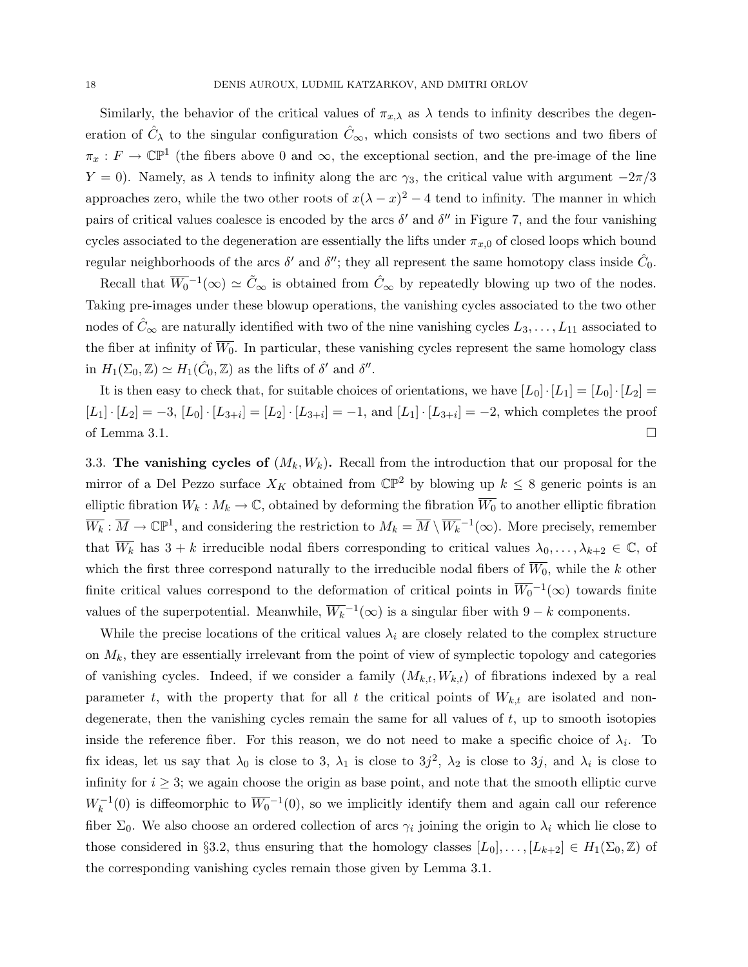Similarly, the behavior of the critical values of  $\pi_{x,\lambda}$  as  $\lambda$  tends to infinity describes the degeneration of  $\hat{C}_{\lambda}$  to the singular configuration  $\hat{C}_{\infty}$ , which consists of two sections and two fibers of  $\pi_x: F \to \mathbb{CP}^1$  (the fibers above 0 and  $\infty$ , the exceptional section, and the pre-image of the line Y = 0). Namely, as  $\lambda$  tends to infinity along the arc  $\gamma_3$ , the critical value with argument  $-2\pi/3$ approaches zero, while the two other roots of  $x(\lambda - x)^2 - 4$  tend to infinity. The manner in which pairs of critical values coalesce is encoded by the arcs  $\delta'$  and  $\delta''$  in Figure 7, and the four vanishing cycles associated to the degeneration are essentially the lifts under  $\pi_{x,0}$  of closed loops which bound regular neighborhoods of the arcs  $\delta'$  and  $\delta''$ ; they all represent the same homotopy class inside  $\hat{C}_0$ .

Recall that  $\overline{W_0}^{-1}(\infty) \simeq \tilde{C}_{\infty}$  is obtained from  $\hat{C}_{\infty}$  by repeatedly blowing up two of the nodes. Taking pre-images under these blowup operations, the vanishing cycles associated to the two other nodes of  $C_\infty$  are naturally identified with two of the nine vanishing cycles  $L_3, \ldots, L_{11}$  associated to the fiber at infinity of  $\overline{W_0}$ . In particular, these vanishing cycles represent the same homology class in  $H_1(\Sigma_0, \mathbb{Z}) \simeq H_1(\hat{C}_0, \mathbb{Z})$  as the lifts of  $\delta'$  and  $\delta''$ .

It is then easy to check that, for suitable choices of orientations, we have  $[L_0]\cdot[L_1] = [L_0]\cdot[L_2] =$  $[L_1] \cdot [L_2] = -3$ ,  $[L_0] \cdot [L_{3+i}] = [L_2] \cdot [L_{3+i}] = -1$ , and  $[L_1] \cdot [L_{3+i}] = -2$ , which completes the proof of Lemma 3.1.  $\Box$ 

3.3. The vanishing cycles of  $(M_k, W_k)$ . Recall from the introduction that our proposal for the mirror of a Del Pezzo surface  $X_K$  obtained from  $\mathbb{CP}^2$  by blowing up  $k \leq 8$  generic points is an elliptic fibration  $W_k : M_k \to \mathbb{C}$ , obtained by deforming the fibration  $\overline{W_0}$  to another elliptic fibration  $\overline{W_k} : \overline{M} \to \mathbb{CP}^1$ , and considering the restriction to  $M_k = \overline{M} \setminus \overline{W_k}^{-1}(\infty)$ . More precisely, remember that  $\overline{W_k}$  has  $3 + k$  irreducible nodal fibers corresponding to critical values  $\lambda_0, \ldots, \lambda_{k+2} \in \mathbb{C}$ , of which the first three correspond naturally to the irreducible nodal fibers of  $\overline{W_0}$ , while the k other finite critical values correspond to the deformation of critical points in  $\overline{W_0}^{-1}(\infty)$  towards finite values of the superpotential. Meanwhile,  $\overline{W_k}^{-1}(\infty)$  is a singular fiber with  $9-k$  components.

While the precise locations of the critical values  $\lambda_i$  are closely related to the complex structure on  $M_k$ , they are essentially irrelevant from the point of view of symplectic topology and categories of vanishing cycles. Indeed, if we consider a family  $(M_{k,t}, W_{k,t})$  of fibrations indexed by a real parameter t, with the property that for all t the critical points of  $W_{k,t}$  are isolated and nondegenerate, then the vanishing cycles remain the same for all values of  $t$ , up to smooth isotopies inside the reference fiber. For this reason, we do not need to make a specific choice of  $\lambda_i$ . To fix ideas, let us say that  $\lambda_0$  is close to 3,  $\lambda_1$  is close to 3j<sup>2</sup>,  $\lambda_2$  is close to 3j, and  $\lambda_i$  is close to infinity for  $i \geq 3$ ; we again choose the origin as base point, and note that the smooth elliptic curve  $W_k^{-1}(0)$  is diffeomorphic to  $\overline{W_0}^{-1}(0)$ , so we implicitly identify them and again call our reference fiber  $\Sigma_0$ . We also choose an ordered collection of arcs  $\gamma_i$  joining the origin to  $\lambda_i$  which lie close to those considered in §3.2, thus ensuring that the homology classes  $[L_0], \ldots, [L_{k+2}] \in H_1(\Sigma_0, \mathbb{Z})$  of the corresponding vanishing cycles remain those given by Lemma 3.1.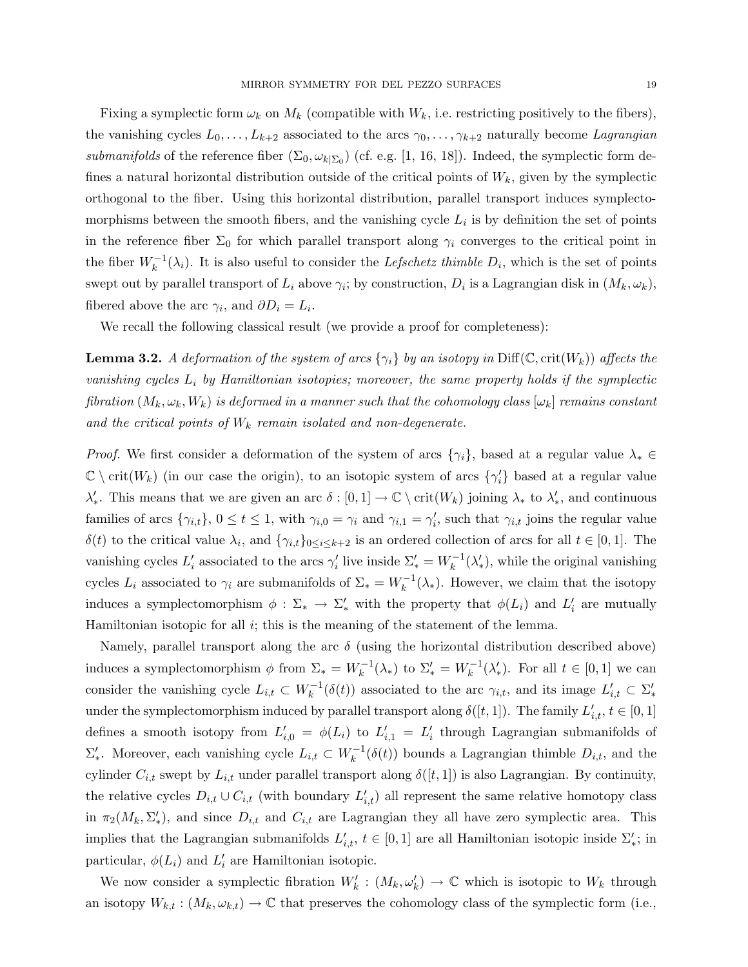Fixing a symplectic form  $\omega_k$  on  $M_k$  (compatible with  $W_k$ , i.e. restricting positively to the fibers), the vanishing cycles  $L_0, \ldots, L_{k+2}$  associated to the arcs  $\gamma_0, \ldots, \gamma_{k+2}$  naturally become Lagrangian submanifolds of the reference fiber  $(\Sigma_0, \omega_{k|\Sigma_0})$  (cf. e.g. [1, 16, 18]). Indeed, the symplectic form defines a natural horizontal distribution outside of the critical points of  $W_k$ , given by the symplectic orthogonal to the fiber. Using this horizontal distribution, parallel transport induces symplectomorphisms between the smooth fibers, and the vanishing cycle  $L_i$  is by definition the set of points in the reference fiber  $\Sigma_0$  for which parallel transport along  $\gamma_i$  converges to the critical point in the fiber  $W_k^{-1}(\lambda_i)$ . It is also useful to consider the *Lefschetz thimble*  $D_i$ , which is the set of points swept out by parallel transport of  $L_i$  above  $\gamma_i$ ; by construction,  $D_i$  is a Lagrangian disk in  $(M_k, \omega_k)$ , fibered above the arc  $\gamma_i$ , and  $\partial D_i = L_i$ .

We recall the following classical result (we provide a proof for completeness):

**Lemma 3.2.** A deformation of the system of arcs  $\{\gamma_i\}$  by an isotopy in Diff( $\mathbb{C}$ , crit( $W_k$ )) affects the vanishing cycles  $L_i$  by Hamiltonian isotopies; moreover, the same property holds if the symplectic fibration  $(M_k, \omega_k, W_k)$  is deformed in a manner such that the cohomology class  $[\omega_k]$  remains constant and the critical points of  $W_k$  remain isolated and non-degenerate.

*Proof.* We first consider a deformation of the system of arcs  $\{\gamma_i\}$ , based at a regular value  $\lambda_* \in$  $\mathbb{C} \setminus \text{crit}(W_k)$  (in our case the origin), to an isotopic system of arcs  $\{\gamma_i'\}$  based at a regular value  $\lambda'_*$ . This means that we are given an arc  $\delta : [0,1] \to \mathbb{C} \setminus \text{crit}(W_k)$  joining  $\lambda_*$  to  $\lambda'_*,$  and continuous families of arcs  $\{\gamma_{i,t}\},\ 0 \le t \le 1$ , with  $\gamma_{i,0} = \gamma_i$  and  $\gamma_{i,1} = \gamma'_i$ , such that  $\gamma_{i,t}$  joins the regular value  $\delta(t)$  to the critical value  $\lambda_i$ , and  $\{\gamma_{i,t}\}_{0\leq i\leq k+2}$  is an ordered collection of arcs for all  $t \in [0,1]$ . The vanishing cycles  $L'_i$  associated to the arcs  $\gamma'_i$  live inside  $\Sigma'_* = W_k^{-1}(\lambda'_*)$ , while the original vanishing cycles  $L_i$  associated to  $\gamma_i$  are submanifolds of  $\Sigma_* = W_k^{-1}(\lambda_*)$ . However, we claim that the isotopy induces a symplectomorphism  $\phi : \Sigma_* \to \Sigma'_*$  with the property that  $\phi(L_i)$  and  $L'_i$  are mutually Hamiltonian isotopic for all  $i$ ; this is the meaning of the statement of the lemma.

Namely, parallel transport along the arc  $\delta$  (using the horizontal distribution described above) induces a symplectomorphism  $\phi$  from  $\Sigma_* = W_k^{-1}(\lambda_*)$  to  $\Sigma'_* = W_k^{-1}(\lambda'_*)$ . For all  $t \in [0,1]$  we can consider the vanishing cycle  $L_{i,t} \subset W_k^{-1}(\delta(t))$  associated to the arc  $\gamma_{i,t}$ , and its image  $L'_{i,t} \subset \Sigma'_{*}$ under the symplectomorphism induced by parallel transport along  $\delta([t,1])$ . The family  $L'_{i,t}$ ,  $t \in [0,1]$ defines a smooth isotopy from  $L'_{i,0} = \phi(L_i)$  to  $L'_{i,1} = L'_i$  through Lagrangian submanifolds of  $\Sigma'_{*}$ . Moreover, each vanishing cycle  $L_{i,t} \subset W_k^{-1}(\delta(t))$  bounds a Lagrangian thimble  $D_{i,t}$ , and the cylinder  $C_{i,t}$  swept by  $L_{i,t}$  under parallel transport along  $\delta([t,1])$  is also Lagrangian. By continuity, the relative cycles  $D_{i,t} \cup C_{i,t}$  (with boundary  $L'_{i,t}$ ) all represent the same relative homotopy class in  $\pi_2(M_k, \Sigma'_*)$ , and since  $D_{i,t}$  and  $C_{i,t}$  are Lagrangian they all have zero symplectic area. This implies that the Lagrangian submanifolds  $L'_{i,t}$ ,  $t \in [0,1]$  are all Hamiltonian isotopic inside  $\Sigma'_{*}$ ; in particular,  $\phi(L_i)$  and  $L'_i$  are Hamiltonian isotopic.

We now consider a symplectic fibration  $W'_k : (M_k, \omega'_k) \to \mathbb{C}$  which is isotopic to  $W_k$  through an isotopy  $W_{k,t} : (M_k, \omega_{k,t}) \to \mathbb{C}$  that preserves the cohomology class of the symplectic form (i.e.,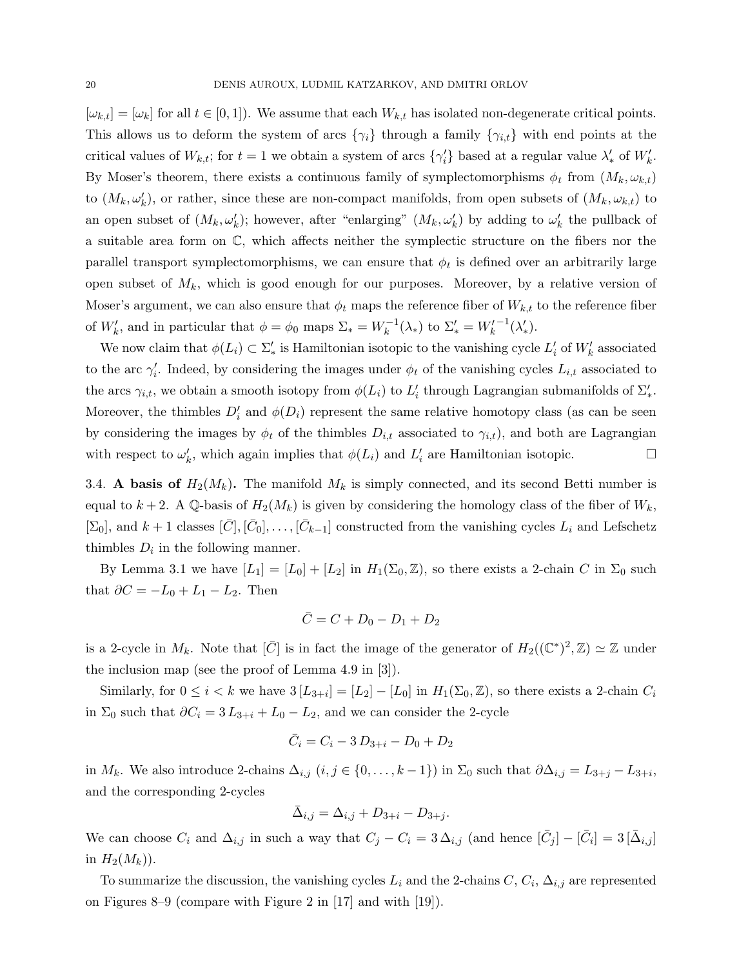$[\omega_{k,t}] = [\omega_k]$  for all  $t \in [0,1]$ . We assume that each  $W_{k,t}$  has isolated non-degenerate critical points. This allows us to deform the system of arcs  $\{\gamma_i\}$  through a family  $\{\gamma_{i,t}\}$  with end points at the critical values of  $W_{k,t}$ ; for  $t=1$  we obtain a system of arcs  $\{\gamma'_i\}$  based at a regular value  $\lambda'_*$  of  $W'_k$ . By Moser's theorem, there exists a continuous family of symplectomorphisms  $\phi_t$  from  $(M_k, \omega_{k,t})$ to  $(M_k, \omega'_k)$ , or rather, since these are non-compact manifolds, from open subsets of  $(M_k, \omega_{k,t})$  to an open subset of  $(M_k, \omega'_k)$ ; however, after "enlarging"  $(M_k, \omega'_k)$  by adding to  $\omega'_k$  the pullback of a suitable area form on C, which affects neither the symplectic structure on the fibers nor the parallel transport symplectomorphisms, we can ensure that  $\phi_t$  is defined over an arbitrarily large open subset of  $M_k$ , which is good enough for our purposes. Moreover, by a relative version of Moser's argument, we can also ensure that  $\phi_t$  maps the reference fiber of  $W_{k,t}$  to the reference fiber of  $W'_k$ , and in particular that  $\phi = \phi_0$  maps  $\Sigma_* = W_k^{-1}(\lambda_*)$  to  $\Sigma'_* = W'_k$  $^{-1}(\lambda'_*).$ 

We now claim that  $\phi(L_i) \subset \Sigma'_{*}$  is Hamiltonian isotopic to the vanishing cycle  $L'_i$  of  $W'_k$  associated to the arc  $\gamma'_i$ . Indeed, by considering the images under  $\phi_t$  of the vanishing cycles  $L_{i,t}$  associated to the arcs  $\gamma_{i,t}$ , we obtain a smooth isotopy from  $\phi(L_i)$  to  $L'_i$  through Lagrangian submanifolds of  $\Sigma'_*$ . Moreover, the thimbles  $D_i'$  and  $\phi(D_i)$  represent the same relative homotopy class (as can be seen by considering the images by  $\phi_t$  of the thimbles  $D_{i,t}$  associated to  $\gamma_{i,t}$ ), and both are Lagrangian with respect to  $\omega'_k$ , which again implies that  $\phi(L_i)$  and  $L'_i$  are Hamiltonian isotopic.  $\Box$ 

3.4. A basis of  $H_2(M_k)$ . The manifold  $M_k$  is simply connected, and its second Betti number is equal to  $k + 2$ . A Q-basis of  $H_2(M_k)$  is given by considering the homology class of the fiber of  $W_k$ ,  $[\Sigma_0]$ , and  $k+1$  classes  $[\bar{C}], [\bar{C}_0], \ldots, [\bar{C}_{k-1}]$  constructed from the vanishing cycles  $L_i$  and Lefschetz thimbles  $D_i$  in the following manner.

By Lemma 3.1 we have  $[L_1] = [L_0] + [L_2]$  in  $H_1(\Sigma_0, \mathbb{Z})$ , so there exists a 2-chain C in  $\Sigma_0$  such that  $\partial C = -L_0 + L_1 - L_2$ . Then

$$
\bar{C}=C+D_0-D_1+D_2
$$

is a 2-cycle in  $M_k$ . Note that  $[\bar{C}]$  is in fact the image of the generator of  $H_2((\mathbb{C}^*)^2, \mathbb{Z}) \simeq \mathbb{Z}$  under the inclusion map (see the proof of Lemma 4.9 in [3]).

Similarly, for  $0 \leq i < k$  we have  $3[L_{3+i}] = [L_2] - [L_0]$  in  $H_1(\Sigma_0, \mathbb{Z})$ , so there exists a 2-chain  $C_i$ in  $\Sigma_0$  such that  $\partial C_i = 3L_{3+i} + L_0 - L_2$ , and we can consider the 2-cycle

$$
\bar{C}_i = C_i - 3 D_{3+i} - D_0 + D_2
$$

in  $M_k$ . We also introduce 2-chains  $\Delta_{i,j}$   $(i, j \in \{0, \ldots, k-1\})$  in  $\Sigma_0$  such that  $\partial \Delta_{i,j} = L_{3+j} - L_{3+i}$ , and the corresponding 2-cycles

$$
\bar{\Delta}_{i,j} = \Delta_{i,j} + D_{3+i} - D_{3+j}.
$$

We can choose  $C_i$  and  $\Delta_{i,j}$  in such a way that  $C_j - C_i = 3 \Delta_{i,j}$  (and hence  $[\bar{C}_j] - [\bar{C}_i] = 3 [\bar{\Delta}_{i,j}]$ in  $H_2(M_k)$ .

To summarize the discussion, the vanishing cycles  $L_i$  and the 2-chains  $C, C_i, \Delta_{i,j}$  are represented on Figures 8–9 (compare with Figure 2 in [17] and with [19]).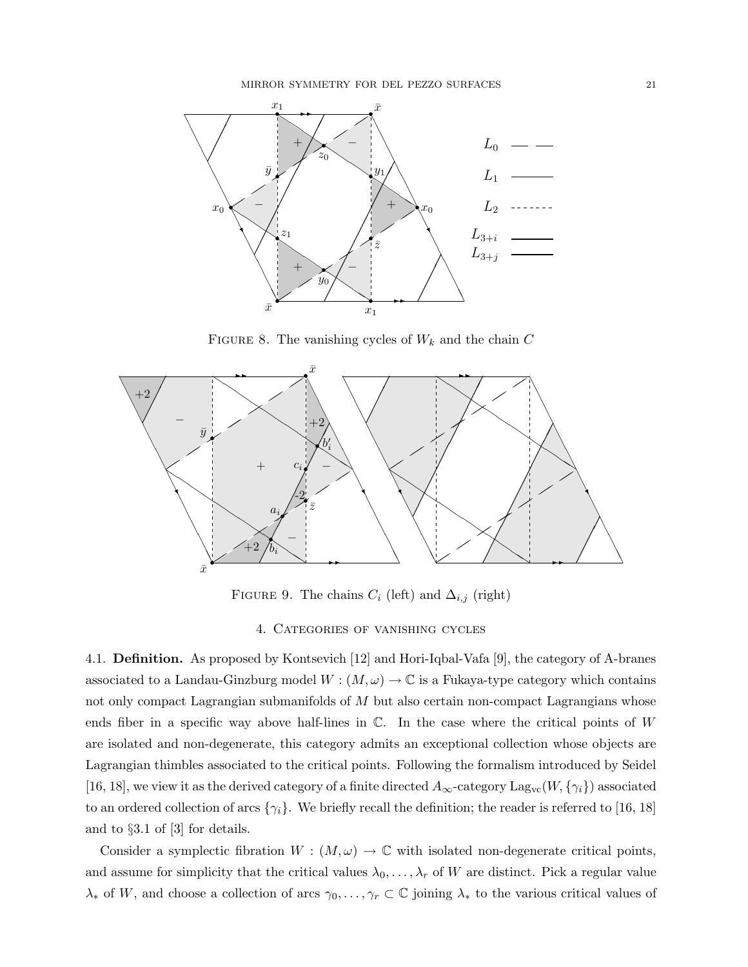MIRROR SYMMETRY FOR DEL PEZZO SURFACES 21



FIGURE 8. The vanishing cycles of  $W_k$  and the chain  $C$ 



FIGURE 9. The chains  $C_i$  (left) and  $\Delta_{i,j}$  (right)

4. Categories of vanishing cycles

4.1. Definition. As proposed by Kontsevich [12] and Hori-Iqbal-Vafa [9], the category of A-branes associated to a Landau-Ginzburg model  $W : (M, \omega) \to \mathbb{C}$  is a Fukaya-type category which contains not only compact Lagrangian submanifolds of M but also certain non-compact Lagrangians whose ends fiber in a specific way above half-lines in  $\mathbb C$ . In the case where the critical points of W are isolated and non-degenerate, this category admits an exceptional collection whose objects are Lagrangian thimbles associated to the critical points. Following the formalism introduced by Seidel [16, 18], we view it as the derived category of a finite directed  $A_{\infty}$ -category  $\text{Lag}_{vc}(W, \{\gamma_i\})$  associated to an ordered collection of arcs  $\{\gamma_i\}$ . We briefly recall the definition; the reader is referred to [16, 18] and to §3.1 of [3] for details.

Consider a symplectic fibration  $W : (M, \omega) \to \mathbb{C}$  with isolated non-degenerate critical points, and assume for simplicity that the critical values  $\lambda_0, \ldots, \lambda_r$  of W are distinct. Pick a regular value  $\lambda_*$  of W, and choose a collection of arcs  $\gamma_0, \ldots, \gamma_r \subset \mathbb{C}$  joining  $\lambda_*$  to the various critical values of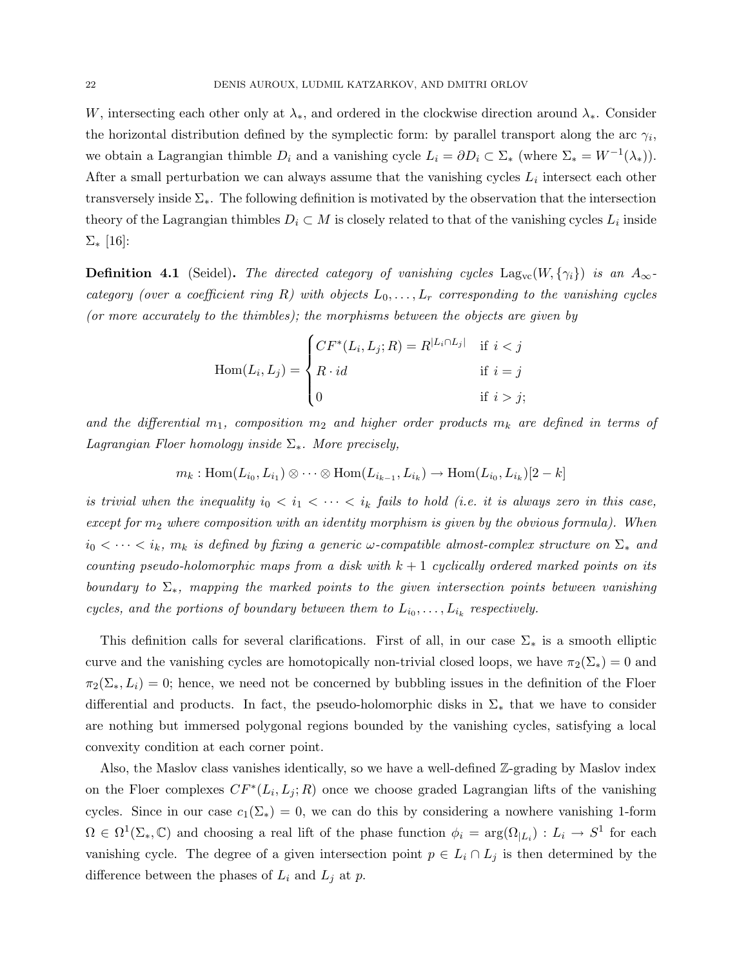W, intersecting each other only at  $\lambda_*$ , and ordered in the clockwise direction around  $\lambda_*$ . Consider the horizontal distribution defined by the symplectic form: by parallel transport along the arc  $\gamma_i$ , we obtain a Lagrangian thimble  $D_i$  and a vanishing cycle  $L_i = \partial D_i \subset \Sigma_*$  (where  $\Sigma_* = W^{-1}(\lambda_*)$ ). After a small perturbation we can always assume that the vanishing cycles  $L_i$  intersect each other transversely inside Σ∗. The following definition is motivated by the observation that the intersection theory of the Lagrangian thimbles  $D_i \subset M$  is closely related to that of the vanishing cycles  $L_i$  inside  $Σ_*$  [16]:

**Definition 4.1** (Seidel). The directed category of vanishing cycles  $\text{Lag}_{vc}(W, \{\gamma_i\})$  is an  $A_{\infty}$ category (over a coefficient ring R) with objects  $L_0, \ldots, L_r$  corresponding to the vanishing cycles (or more accurately to the thimbles); the morphisms between the objects are given by

$$
\text{Hom}(L_i, L_j) = \begin{cases} CF^*(L_i, L_j; R) = R^{|L_i \cap L_j|} & \text{if } i < j \\ R \cdot id & \text{if } i = j \\ 0 & \text{if } i > j; \end{cases}
$$

and the differential  $m_1$ , composition  $m_2$  and higher order products  $m_k$  are defined in terms of Lagrangian Floer homology inside  $\Sigma_*$ . More precisely,

$$
m_k: \mathrm{Hom}(L_{i_0}, L_{i_1}) \otimes \cdots \otimes \mathrm{Hom}(L_{i_{k-1}}, L_{i_k}) \to \mathrm{Hom}(L_{i_0}, L_{i_k})[2-k]
$$

is trivial when the inequality  $i_0 < i_1 < \cdots < i_k$  fails to hold (i.e. it is always zero in this case, except for  $m_2$  where composition with an identity morphism is given by the obvious formula). When  $i_0 < \cdots < i_k$ ,  $m_k$  is defined by fixing a generic  $\omega$ -compatible almost-complex structure on  $\Sigma_*$  and counting pseudo-holomorphic maps from a disk with  $k + 1$  cyclically ordered marked points on its boundary to  $\Sigma_*$ , mapping the marked points to the given intersection points between vanishing cycles, and the portions of boundary between them to  $L_{i_0}, \ldots, L_{i_k}$  respectively.

This definition calls for several clarifications. First of all, in our case  $\Sigma_*$  is a smooth elliptic curve and the vanishing cycles are homotopically non-trivial closed loops, we have  $\pi_2(\Sigma_*)=0$  and  $\pi_2(\Sigma_*,L_i)=0$ ; hence, we need not be concerned by bubbling issues in the definition of the Floer differential and products. In fact, the pseudo-holomorphic disks in  $\Sigma_*$  that we have to consider are nothing but immersed polygonal regions bounded by the vanishing cycles, satisfying a local convexity condition at each corner point.

Also, the Maslov class vanishes identically, so we have a well-defined Z-grading by Maslov index on the Floer complexes  $CF^*(L_i, L_j; R)$  once we choose graded Lagrangian lifts of the vanishing cycles. Since in our case  $c_1(\Sigma_*) = 0$ , we can do this by considering a nowhere vanishing 1-form  $\Omega \in \Omega^1(\Sigma_*, \mathbb{C})$  and choosing a real lift of the phase function  $\phi_i = \arg(\Omega_{|L_i}) : L_i \to S^1$  for each vanishing cycle. The degree of a given intersection point  $p \in L_i \cap L_j$  is then determined by the difference between the phases of  $L_i$  and  $L_j$  at p.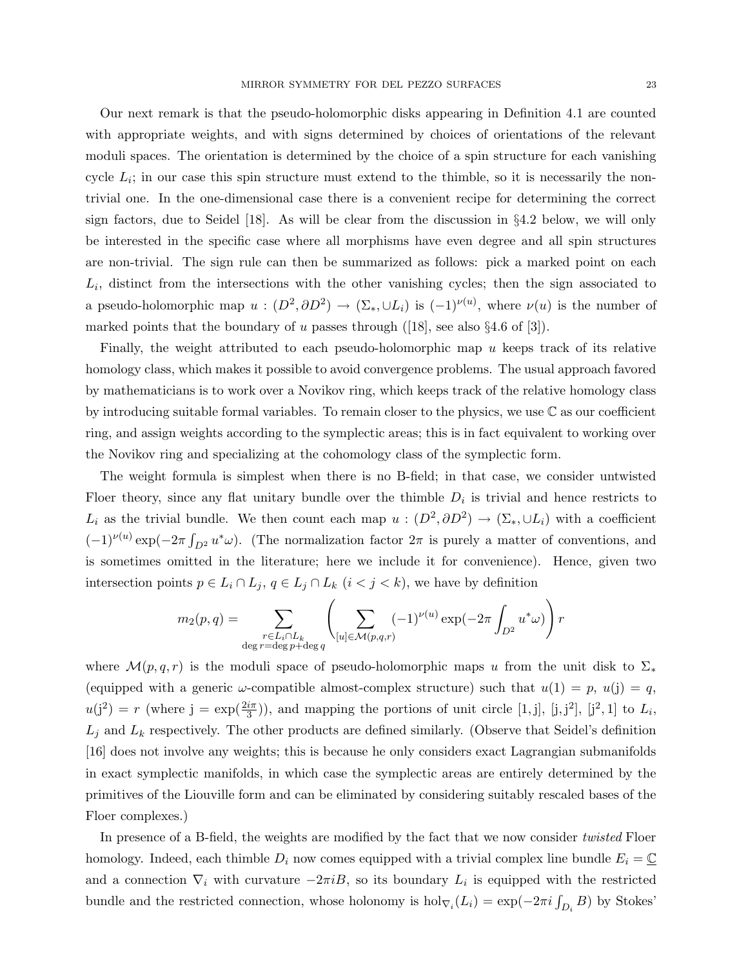Our next remark is that the pseudo-holomorphic disks appearing in Definition 4.1 are counted with appropriate weights, and with signs determined by choices of orientations of the relevant moduli spaces. The orientation is determined by the choice of a spin structure for each vanishing cycle  $L_i$ ; in our case this spin structure must extend to the thimble, so it is necessarily the nontrivial one. In the one-dimensional case there is a convenient recipe for determining the correct sign factors, due to Seidel [18]. As will be clear from the discussion in §4.2 below, we will only be interested in the specific case where all morphisms have even degree and all spin structures are non-trivial. The sign rule can then be summarized as follows: pick a marked point on each  $L_i$ , distinct from the intersections with the other vanishing cycles; then the sign associated to a pseudo-holomorphic map  $u:(D^2,\partial D^2)\to(\Sigma_*,\cup L_i)$  is  $(-1)^{\nu(u)}$ , where  $\nu(u)$  is the number of marked points that the boundary of u passes through  $([18]$ , see also §4.6 of [3]).

Finally, the weight attributed to each pseudo-holomorphic map u keeps track of its relative homology class, which makes it possible to avoid convergence problems. The usual approach favored by mathematicians is to work over a Novikov ring, which keeps track of the relative homology class by introducing suitable formal variables. To remain closer to the physics, we use  $\mathbb C$  as our coefficient ring, and assign weights according to the symplectic areas; this is in fact equivalent to working over the Novikov ring and specializing at the cohomology class of the symplectic form.

The weight formula is simplest when there is no B-field; in that case, we consider untwisted Floer theory, since any flat unitary bundle over the thimble  $D_i$  is trivial and hence restricts to  $L_i$  as the trivial bundle. We then count each map  $u:(D^2,\partial D^2) \to (\Sigma_*,\cup L_i)$  with a coefficient  $(-1)^{\nu(u)} \exp(-2\pi \int_{D^2} u^*\omega)$ . (The normalization factor  $2\pi$  is purely a matter of conventions, and is sometimes omitted in the literature; here we include it for convenience). Hence, given two intersection points  $p \in L_i \cap L_j$ ,  $q \in L_j \cap L_k$   $(i < j < k)$ , we have by definition

$$
m_2(p,q) = \sum_{\substack{r \in L_i \cap L_k \\ \deg r = \deg p + \deg q}} \left( \sum_{[u] \in \mathcal{M}(p,q,r)} (-1)^{\nu(u)} \exp(-2\pi \int_{D^2} u^* \omega) \right) r
$$

where  $\mathcal{M}(p,q,r)$  is the moduli space of pseudo-holomorphic maps u from the unit disk to  $\Sigma_*$ (equipped with a generic  $\omega$ -compatible almost-complex structure) such that  $u(1) = p$ ,  $u(j) = q$ ,  $u(j^2) = r$  (where  $j = \exp(\frac{2i\pi}{3})$ ), and mapping the portions of unit circle [1, j], [j, j<sup>2</sup>], [j<sup>2</sup>, 1] to  $L_i$ ,  $L_j$  and  $L_k$  respectively. The other products are defined similarly. (Observe that Seidel's definition [16] does not involve any weights; this is because he only considers exact Lagrangian submanifolds in exact symplectic manifolds, in which case the symplectic areas are entirely determined by the primitives of the Liouville form and can be eliminated by considering suitably rescaled bases of the Floer complexes.)

In presence of a B-field, the weights are modified by the fact that we now consider *twisted* Floer homology. Indeed, each thimble  $D_i$  now comes equipped with a trivial complex line bundle  $E_i = \mathbb{C}$ and a connection  $\nabla_i$  with curvature  $-2\pi iB$ , so its boundary  $L_i$  is equipped with the restricted bundle and the restricted connection, whose holonomy is  $hol_{\nabla_i}(L_i) = \exp(-2\pi i \int_{D_i} B)$  by Stokes'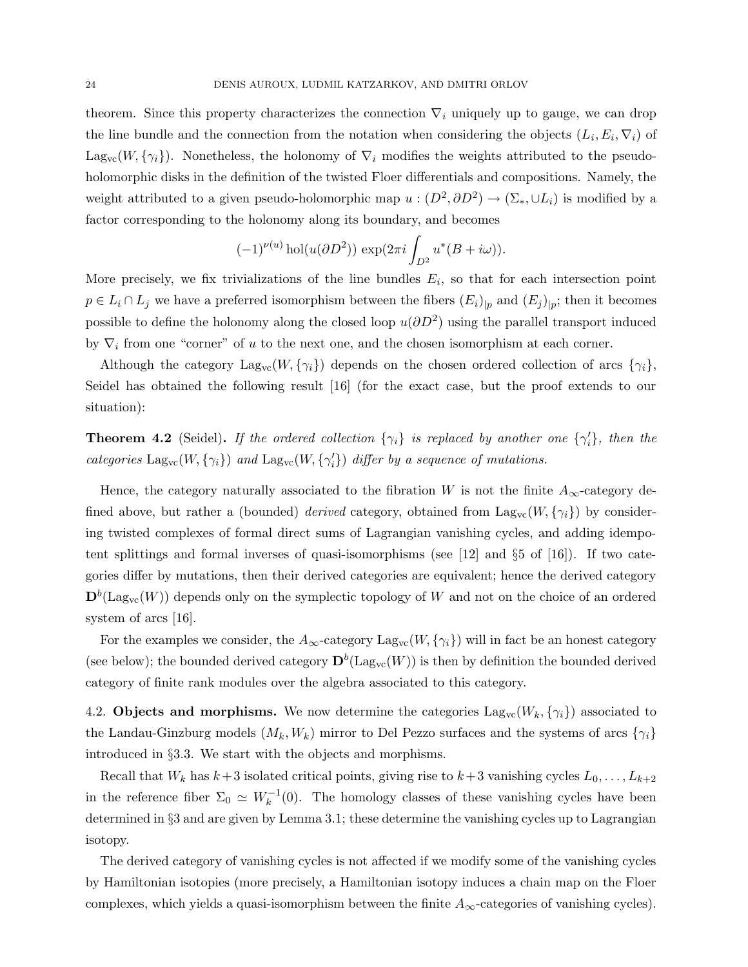theorem. Since this property characterizes the connection  $\nabla_i$  uniquely up to gauge, we can drop the line bundle and the connection from the notation when considering the objects  $(L_i, E_i, \nabla_i)$  of Lag<sub>vc</sub>(W,  $\{\gamma_i\}$ ). Nonetheless, the holonomy of  $\nabla_i$  modifies the weights attributed to the pseudoholomorphic disks in the definition of the twisted Floer differentials and compositions. Namely, the weight attributed to a given pseudo-holomorphic map  $u:(D^2,\partial D^2) \to (\Sigma_*,\cup L_i)$  is modified by a factor corresponding to the holonomy along its boundary, and becomes

$$
(-1)^{\nu(u)}\operatorname{hol}(u(\partial D^2))\, \exp(2\pi i \int_{D^2} u^*(B+i\omega)).
$$

More precisely, we fix trivializations of the line bundles  $E_i$ , so that for each intersection point  $p \in L_i \cap L_j$  we have a preferred isomorphism between the fibers  $(E_i)_{|p}$  and  $(E_j)_{|p}$ ; then it becomes possible to define the holonomy along the closed loop  $u(\partial D^2)$  using the parallel transport induced by  $\nabla_i$  from one "corner" of u to the next one, and the chosen isomorphism at each corner.

Although the category  $\text{Lag}_{vc}(W, \{\gamma_i\})$  depends on the chosen ordered collection of arcs  $\{\gamma_i\}$ , Seidel has obtained the following result [16] (for the exact case, but the proof extends to our situation):

**Theorem 4.2** (Seidel). If the ordered collection  $\{\gamma_i\}$  is replaced by another one  $\{\gamma'_i\}$ , then the categories  $\text{Lag}_{vc}(W, \{\gamma_i\})$  and  $\text{Lag}_{vc}(W, \{\gamma'_i\})$  differ by a sequence of mutations.

Hence, the category naturally associated to the fibration W is not the finite  $A_{\infty}$ -category defined above, but rather a (bounded) *derived* category, obtained from  $\text{Lag}_{vc}(W, \{\gamma_i\})$  by considering twisted complexes of formal direct sums of Lagrangian vanishing cycles, and adding idempotent splittings and formal inverses of quasi-isomorphisms (see  $[12]$  and  $\S5$  of  $[16]$ ). If two categories differ by mutations, then their derived categories are equivalent; hence the derived category  $\mathbf{D}^b(\mathrm{Lag}_{vc}(W))$  depends only on the symplectic topology of W and not on the choice of an ordered system of arcs [16].

For the examples we consider, the  $A_{\infty}$ -category  $\text{Lag}_{vc}(W, \{\gamma_i\})$  will in fact be an honest category (see below); the bounded derived category  $\mathbf{D}^b(\mathrm{Lag}_{vc}(W))$  is then by definition the bounded derived category of finite rank modules over the algebra associated to this category.

4.2. Objects and morphisms. We now determine the categories  $\text{Lag}_{vc}(W_k, \{\gamma_i\})$  associated to the Landau-Ginzburg models  $(M_k, W_k)$  mirror to Del Pezzo surfaces and the systems of arcs  $\{\gamma_i\}$ introduced in §3.3. We start with the objects and morphisms.

Recall that  $W_k$  has  $k+3$  isolated critical points, giving rise to  $k+3$  vanishing cycles  $L_0, \ldots, L_{k+2}$ in the reference fiber  $\Sigma_0 \simeq W_k^{-1}(0)$ . The homology classes of these vanishing cycles have been determined in §3 and are given by Lemma 3.1; these determine the vanishing cycles up to Lagrangian isotopy.

The derived category of vanishing cycles is not affected if we modify some of the vanishing cycles by Hamiltonian isotopies (more precisely, a Hamiltonian isotopy induces a chain map on the Floer complexes, which yields a quasi-isomorphism between the finite  $A_{\infty}$ -categories of vanishing cycles).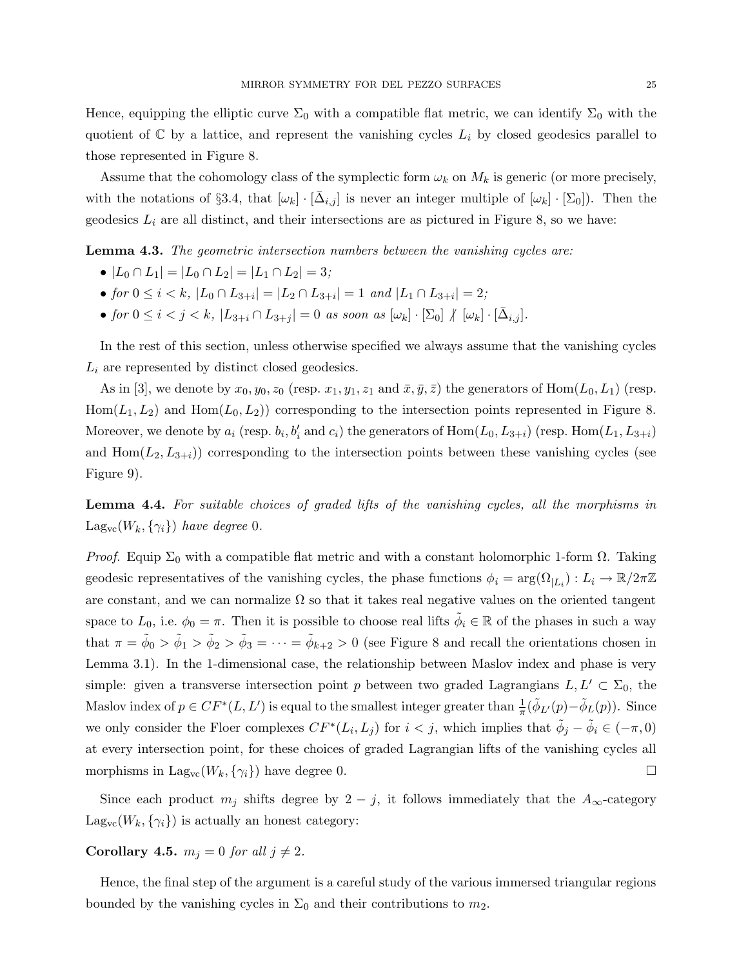Hence, equipping the elliptic curve  $\Sigma_0$  with a compatible flat metric, we can identify  $\Sigma_0$  with the quotient of  $\mathbb C$  by a lattice, and represent the vanishing cycles  $L_i$  by closed geodesics parallel to those represented in Figure 8.

Assume that the cohomology class of the symplectic form  $\omega_k$  on  $M_k$  is generic (or more precisely, with the notations of §3.4, that  $[\omega_k] \cdot [\bar{\Delta}_{i,j}]$  is never an integer multiple of  $[\omega_k] \cdot [\Sigma_0]$ ). Then the geodesics  $L_i$  are all distinct, and their intersections are as pictured in Figure 8, so we have:

Lemma 4.3. The geometric intersection numbers between the vanishing cycles are:

- $|L_0 \cap L_1| = |L_0 \cap L_2| = |L_1 \cap L_2| = 3;$
- for  $0 \leq i < k$ ,  $|L_0 \cap L_{3+i}| = |L_2 \cap L_{3+i}| = 1$  and  $|L_1 \cap L_{3+i}| = 2$ ;
- for  $0 \leq i < j < k$ ,  $|L_{3+i} \cap L_{3+j}| = 0$  as soon as  $[\omega_k] \cdot [\Sigma_0] \nmid [\omega_k] \cdot [\overline{\Delta}_{i,j}]$ .

In the rest of this section, unless otherwise specified we always assume that the vanishing cycles  $L_i$  are represented by distinct closed geodesics.

As in [3], we denote by  $x_0, y_0, z_0$  (resp.  $x_1, y_1, z_1$  and  $\bar{x}, \bar{y}, \bar{z}$ ) the generators of Hom $(L_0, L_1)$  (resp.  $Hom(L_1,L_2)$  and  $Hom(L_0,L_2)$  corresponding to the intersection points represented in Figure 8. Moreover, we denote by  $a_i$  (resp.  $b_i, b'_i$  and  $c_i$ ) the generators of  $Hom(L_0, L_{3+i})$  (resp.  $Hom(L_1, L_{3+i})$ and  $\text{Hom}(L_2,L_{3+i})$ ) corresponding to the intersection points between these vanishing cycles (see Figure 9).

Lemma 4.4. For suitable choices of graded lifts of the vanishing cycles, all the morphisms in  $\text{Lag}_{\text{vc}}(W_k, \{\gamma_i\})$  have degree 0.

*Proof.* Equip  $\Sigma_0$  with a compatible flat metric and with a constant holomorphic 1-form  $\Omega$ . Taking geodesic representatives of the vanishing cycles, the phase functions  $\phi_i = \arg(\Omega_{|L_i}) : L_i \to \mathbb{R}/2\pi\mathbb{Z}$ are constant, and we can normalize  $\Omega$  so that it takes real negative values on the oriented tangent space to  $L_0$ , i.e.  $\phi_0 = \pi$ . Then it is possible to choose real lifts  $\tilde{\phi}_i \in \mathbb{R}$  of the phases in such a way that  $\pi = \tilde{\phi}_0 > \tilde{\phi}_1 > \tilde{\phi}_2 > \tilde{\phi}_3 = \cdots = \tilde{\phi}_{k+2} > 0$  (see Figure 8 and recall the orientations chosen in Lemma 3.1). In the 1-dimensional case, the relationship between Maslov index and phase is very simple: given a transverse intersection point p between two graded Lagrangians  $L, L' \subset \Sigma_0$ , the Maslov index of  $p \in CF^*(L, L')$  is equal to the smallest integer greater than  $\frac{1}{\pi}(\tilde{\phi}_{L'}(p) - \tilde{\phi}_L(p))$ . Since we only consider the Floer complexes  $CF^*(L_i, L_j)$  for  $i < j$ , which implies that  $\tilde{\phi}_j - \tilde{\phi}_i \in (-\pi, 0)$ at every intersection point, for these choices of graded Lagrangian lifts of the vanishing cycles all morphisms in Lag<sub>vc</sub>( $W_k$ ,  $\{\gamma_i\}$ ) have degree 0.

Since each product  $m_j$  shifts degree by  $2 - j$ , it follows immediately that the  $A_{\infty}$ -category  $\text{Lag}_{vc}(W_k, \{\gamma_i\})$  is actually an honest category:

Corollary 4.5.  $m_j = 0$  for all  $j \neq 2$ .

Hence, the final step of the argument is a careful study of the various immersed triangular regions bounded by the vanishing cycles in  $\Sigma_0$  and their contributions to  $m_2$ .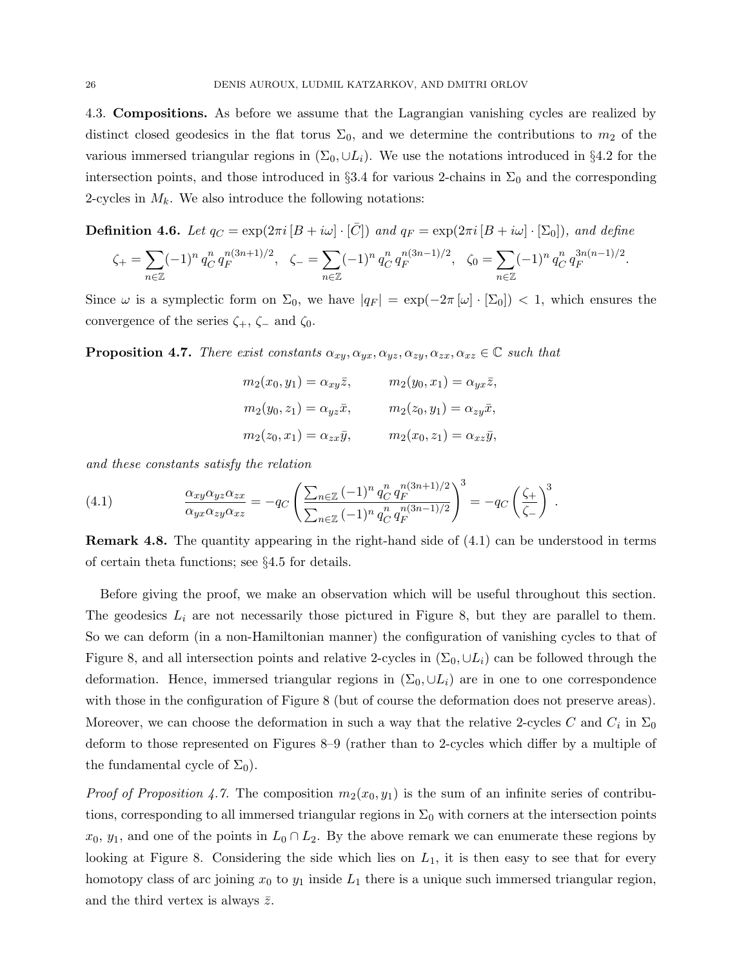4.3. Compositions. As before we assume that the Lagrangian vanishing cycles are realized by distinct closed geodesics in the flat torus  $\Sigma_0$ , and we determine the contributions to  $m_2$  of the various immersed triangular regions in  $(\Sigma_0, \cup L_i)$ . We use the notations introduced in §4.2 for the intersection points, and those introduced in §3.4 for various 2-chains in  $\Sigma_0$  and the corresponding 2-cycles in  $M_k$ . We also introduce the following notations:

**Definition 4.6.** Let  $q_C = \exp(2\pi i [B + i\omega] \cdot [\bar{C}])$  and  $q_F = \exp(2\pi i [B + i\omega] \cdot [\Sigma_0])$ , and define

$$
\zeta_+ = \sum_{n \in \mathbb{Z}} (-1)^n q_C^n q_F^{n(3n+1)/2}, \quad \zeta_- = \sum_{n \in \mathbb{Z}} (-1)^n q_C^n q_F^{n(3n-1)/2}, \quad \zeta_0 = \sum_{n \in \mathbb{Z}} (-1)^n q_C^n q_F^{3n(n-1)/2}.
$$

Since  $\omega$  is a symplectic form on  $\Sigma_0$ , we have  $|q_F| = \exp(-2\pi \left[\omega\right] \cdot \left[\Sigma_0\right]) < 1$ , which ensures the convergence of the series  $\zeta_+$ ,  $\zeta_-$  and  $\zeta_0$ .

**Proposition 4.7.** There exist constants  $\alpha_{xy}, \alpha_{yx}, \alpha_{yz}, \alpha_{zy}, \alpha_{zx}, \alpha_{xz} \in \mathbb{C}$  such that

| $m_2(x_0, y_1) = \alpha_{xy} \overline{z},$ | $m_2(y_0, x_1) = \alpha_{yx} \overline{z},$ |
|---------------------------------------------|---------------------------------------------|
| $m_2(y_0, z_1) = \alpha_{yz}\bar{x},$       | $m_2(z_0, y_1) = \alpha_{zy} \bar{x},$      |
| $m_2(z_0, x_1) = \alpha_{zx} \bar{y},$      | $m_2(x_0, z_1) = \alpha_{xz} \bar{y},$      |

and these constants satisfy the relation

(4.1) 
$$
\frac{\alpha_{xy}\alpha_{yz}\alpha_{zx}}{\alpha_{yx}\alpha_{zy}\alpha_{xz}} = -q_C \left( \frac{\sum_{n \in \mathbb{Z}} (-1)^n q_C^n q_F^{n(3n+1)/2}}{\sum_{n \in \mathbb{Z}} (-1)^n q_C^n q_F^{n(3n-1)/2}} \right)^3 = -q_C \left( \frac{\zeta_+}{\zeta_-} \right)^3.
$$

Remark 4.8. The quantity appearing in the right-hand side of (4.1) can be understood in terms of certain theta functions; see §4.5 for details.

Before giving the proof, we make an observation which will be useful throughout this section. The geodesics  $L_i$  are not necessarily those pictured in Figure 8, but they are parallel to them. So we can deform (in a non-Hamiltonian manner) the configuration of vanishing cycles to that of Figure 8, and all intersection points and relative 2-cycles in  $(\Sigma_0, \cup L_i)$  can be followed through the deformation. Hence, immersed triangular regions in  $(\Sigma_0, \cup L_i)$  are in one to one correspondence with those in the configuration of Figure 8 (but of course the deformation does not preserve areas). Moreover, we can choose the deformation in such a way that the relative 2-cycles C and  $C_i$  in  $\Sigma_0$ deform to those represented on Figures 8–9 (rather than to 2-cycles which differ by a multiple of the fundamental cycle of  $\Sigma_0$ ).

*Proof of Proposition 4.7.* The composition  $m_2(x_0, y_1)$  is the sum of an infinite series of contributions, corresponding to all immersed triangular regions in  $\Sigma_0$  with corners at the intersection points  $x_0, y_1$ , and one of the points in  $L_0 \cap L_2$ . By the above remark we can enumerate these regions by looking at Figure 8. Considering the side which lies on  $L_1$ , it is then easy to see that for every homotopy class of arc joining  $x_0$  to  $y_1$  inside  $L_1$  there is a unique such immersed triangular region, and the third vertex is always  $\bar{z}$ .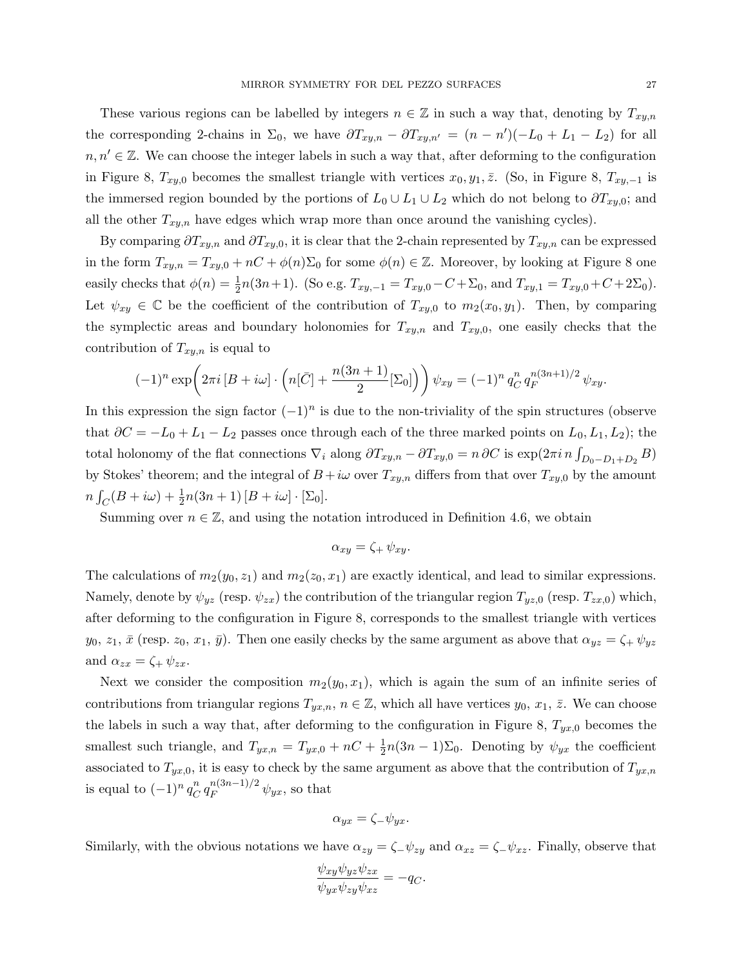These various regions can be labelled by integers  $n \in \mathbb{Z}$  in such a way that, denoting by  $T_{xy,n}$ the corresponding 2-chains in  $\Sigma_0$ , we have  $\partial T_{xy,n} - \partial T_{xy,n'} = (n - n')(-L_0 + L_1 - L_2)$  for all  $n, n' \in \mathbb{Z}$ . We can choose the integer labels in such a way that, after deforming to the configuration in Figure 8,  $T_{xy,0}$  becomes the smallest triangle with vertices  $x_0, y_1, \overline{z}$ . (So, in Figure 8,  $T_{xy,-1}$  is the immersed region bounded by the portions of  $L_0 \cup L_1 \cup L_2$  which do not belong to  $\partial T_{xy,0}$ ; and all the other  $T_{xy,n}$  have edges which wrap more than once around the vanishing cycles).

By comparing  $\partial T_{xy,n}$  and  $\partial T_{xy,0}$ , it is clear that the 2-chain represented by  $T_{xy,n}$  can be expressed in the form  $T_{xy,n} = T_{xy,0} + nC + \phi(n)\Sigma_0$  for some  $\phi(n) \in \mathbb{Z}$ . Moreover, by looking at Figure 8 one easily checks that  $\phi(n) = \frac{1}{2}$  $\frac{1}{2}n(3n+1)$ . (So e.g.  $T_{xy,-1} = T_{xy,0} - C + \Sigma_0$ , and  $T_{xy,1} = T_{xy,0} + C + 2\Sigma_0$ ). Let  $\psi_{xy} \in \mathbb{C}$  be the coefficient of the contribution of  $T_{xy,0}$  to  $m_2(x_0, y_1)$ . Then, by comparing the symplectic areas and boundary holonomies for  $T_{xy,n}$  and  $T_{xy,0}$ , one easily checks that the contribution of  $T_{xy,n}$  is equal to

$$
(-1)^n \exp\left(2\pi i \left[B+i\omega\right] \cdot \left(n[\bar{C}] + \frac{n(3n+1)}{2}[\Sigma_0]\right)\right) \psi_{xy} = (-1)^n q_C^n q_F^{n(3n+1)/2} \psi_{xy}.
$$

In this expression the sign factor  $(-1)^n$  is due to the non-triviality of the spin structures (observe that  $\partial C = -L_0 + L_1 - L_2$  passes once through each of the three marked points on  $L_0, L_1, L_2$ ); the total holonomy of the flat connections  $\nabla_i$  along  $\partial T_{xy,n} - \partial T_{xy,0} = n \partial C$  is  $\exp(2\pi i n \int_{D_0 - D_1 + D_2} B)$ by Stokes' theorem; and the integral of  $B + i\omega$  over  $T_{xy,n}$  differs from that over  $T_{xy,0}$  by the amount  $n\int_C (B+i\omega) + \frac{1}{2}$  $\frac{1}{2}n(3n+1)[B+i\omega]\cdot[\Sigma_0].$ 

Summing over  $n \in \mathbb{Z}$ , and using the notation introduced in Definition 4.6, we obtain

$$
\alpha_{xy} = \zeta_+ \,\psi_{xy}.
$$

The calculations of  $m_2(y_0, z_1)$  and  $m_2(z_0, x_1)$  are exactly identical, and lead to similar expressions. Namely, denote by  $\psi_{yz}$  (resp.  $\psi_{zx}$ ) the contribution of the triangular region  $T_{yz,0}$  (resp.  $T_{zx,0}$ ) which, after deforming to the configuration in Figure 8, corresponds to the smallest triangle with vertices  $y_0, z_1, \bar{x}$  (resp.  $z_0, x_1, \bar{y}$ ). Then one easily checks by the same argument as above that  $\alpha_{yz} = \zeta_+ \psi_{yz}$ and  $\alpha_{zx} = \zeta_+ \psi_{zx}$ .

Next we consider the composition  $m_2(y_0, x_1)$ , which is again the sum of an infinite series of contributions from triangular regions  $T_{yx,n}$ ,  $n \in \mathbb{Z}$ , which all have vertices  $y_0, x_1, \overline{z}$ . We can choose the labels in such a way that, after deforming to the configuration in Figure 8,  $T_{yx,0}$  becomes the smallest such triangle, and  $T_{yx,n} = T_{yx,0} + nC + \frac{1}{2}$  $\frac{1}{2}n(3n-1)\Sigma_0$ . Denoting by  $\psi_{yx}$  the coefficient associated to  $T_{yx,0}$ , it is easy to check by the same argument as above that the contribution of  $T_{yx,n}$ is equal to  $(-1)^n q_C^n$  $\int_C^n q_F^{n(3n-1)/2} \psi_{yx}$ , so that

$$
\alpha_{yx} = \zeta_{-}\psi_{yx}.
$$

Similarly, with the obvious notations we have  $\alpha_{zy} = \zeta_- \psi_{zy}$  and  $\alpha_{xz} = \zeta_- \psi_{xz}$ . Finally, observe that

$$
\frac{\psi_{xy}\psi_{yz}\psi_{zx}}{\psi_{yx}\psi_{zy}\psi_{xz}} = -q_C.
$$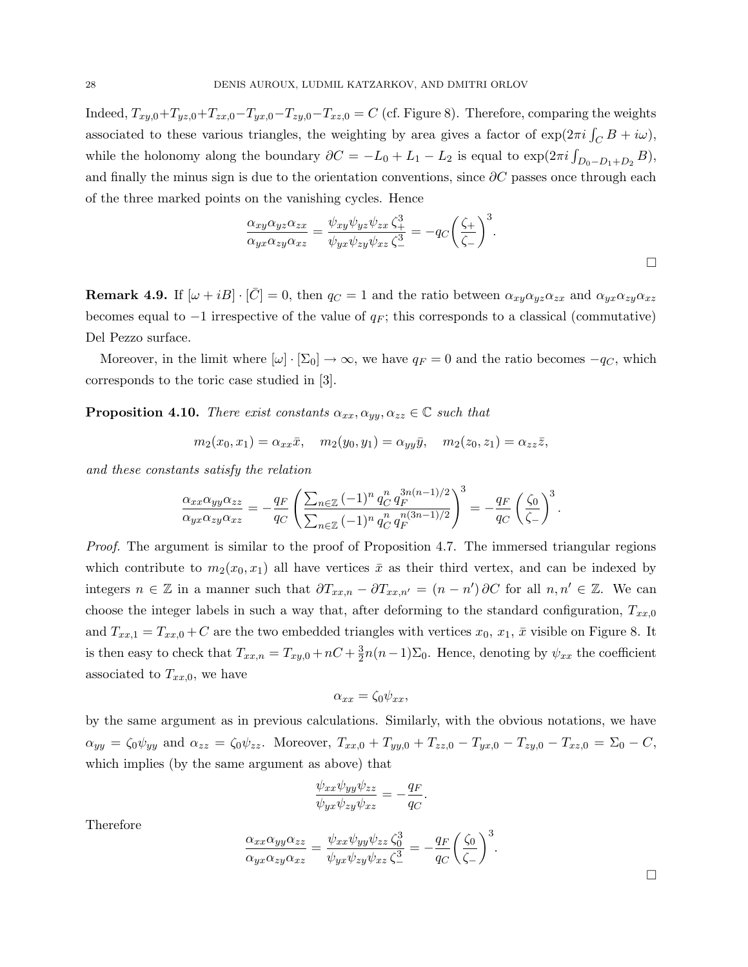Indeed,  $T_{xy,0}+T_{yz,0}+T_{zx,0}-T_{yx,0}-T_{zy,0}-T_{xz,0} = C$  (cf. Figure 8). Therefore, comparing the weights associated to these various triangles, the weighting by area gives a factor of  $\exp(2\pi i \int_C B + i\omega)$ , while the holonomy along the boundary  $\partial C = -L_0 + L_1 - L_2$  is equal to  $\exp(2\pi i \int_{D_0 - D_1 + D_2} B)$ , and finally the minus sign is due to the orientation conventions, since  $\partial C$  passes once through each of the three marked points on the vanishing cycles. Hence

$$
\frac{\alpha_{xy}\alpha_{yz}\alpha_{zx}}{\alpha_{yx}\alpha_{zy}\alpha_{xz}} = \frac{\psi_{xy}\psi_{yz}\psi_{zx}\zeta_+^3}{\psi_{yx}\psi_{zy}\psi_{xz}\zeta_-^3} = -q_C\left(\frac{\zeta_+}{\zeta_-}\right)^3.
$$

**Remark 4.9.** If  $[\omega + iB] \cdot [\bar{C}] = 0$ , then  $q_C = 1$  and the ratio between  $\alpha_{xy}\alpha_{yz}\alpha_{zx}$  and  $\alpha_{yx}\alpha_{zy}\alpha_{xz}$ becomes equal to  $-1$  irrespective of the value of  $q_F$ ; this corresponds to a classical (commutative) Del Pezzo surface.

Moreover, in the limit where  $[\omega] \cdot [\Sigma_0] \to \infty$ , we have  $q_F = 0$  and the ratio becomes  $-q_C$ , which corresponds to the toric case studied in [3].

**Proposition 4.10.** There exist constants  $\alpha_{xx}, \alpha_{yy}, \alpha_{zz} \in \mathbb{C}$  such that

$$
m_2(x_0, x_1) = \alpha_{xx}\bar{x}, \quad m_2(y_0, y_1) = \alpha_{yy}\bar{y}, \quad m_2(z_0, z_1) = \alpha_{zz}\bar{z},
$$

and these constants satisfy the relation

$$
\frac{\alpha_{xx}\alpha_{yy}\alpha_{zz}}{\alpha_{yx}\alpha_{zy}\alpha_{xz}} = -\frac{q_F}{q_C} \left( \frac{\sum_{n\in\mathbb{Z}} (-1)^n q_C^n q_F^{3n(n-1)/2}}{\sum_{n\in\mathbb{Z}} (-1)^n q_C^n q_F^{n(3n-1)/2}} \right)^3 = -\frac{q_F}{q_C} \left( \frac{\zeta_0}{\zeta_-} \right)^3.
$$

Proof. The argument is similar to the proof of Proposition 4.7. The immersed triangular regions which contribute to  $m_2(x_0, x_1)$  all have vertices  $\bar{x}$  as their third vertex, and can be indexed by integers  $n \in \mathbb{Z}$  in a manner such that  $\partial T_{xx,n} - \partial T_{xx,n'} = (n - n') \partial C$  for all  $n, n' \in \mathbb{Z}$ . We can choose the integer labels in such a way that, after deforming to the standard configuration,  $T_{xx,0}$ and  $T_{xx,1} = T_{xx,0} + C$  are the two embedded triangles with vertices  $x_0, x_1, \bar{x}$  visible on Figure 8. It is then easy to check that  $T_{xx,n} = T_{xy,0} + nC + \frac{3}{2}$  $\frac{3}{2}n(n-1)\Sigma_0$ . Hence, denoting by  $\psi_{xx}$  the coefficient associated to  $T_{xx,0}$ , we have

$$
\alpha_{xx} = \zeta_0 \psi_{xx},
$$

by the same argument as in previous calculations. Similarly, with the obvious notations, we have  $\alpha_{yy} = \zeta_0 \psi_{yy}$  and  $\alpha_{zz} = \zeta_0 \psi_{zz}$ . Moreover,  $T_{xx,0} + T_{yy,0} + T_{zz,0} - T_{yx,0} - T_{xy,0} - T_{xz,0} = \Sigma_0 - C$ , which implies (by the same argument as above) that

$$
\frac{\psi_{xx}\psi_{yy}\psi_{zz}}{\psi_{yx}\psi_{zy}\psi_{xz}} = -\frac{q_F}{q_C}.
$$

Therefore

$$
\frac{\alpha_{xx}\alpha_{yy}\alpha_{zz}}{\alpha_{yx}\alpha_{zy}\alpha_{xz}} = \frac{\psi_{xx}\psi_{yy}\psi_{zz}\zeta_0^3}{\psi_{yx}\psi_{zy}\psi_{xz}\zeta_-^3} = -\frac{q_F}{q_C} \left(\frac{\zeta_0}{\zeta_-}\right)^3.
$$

 $\Box$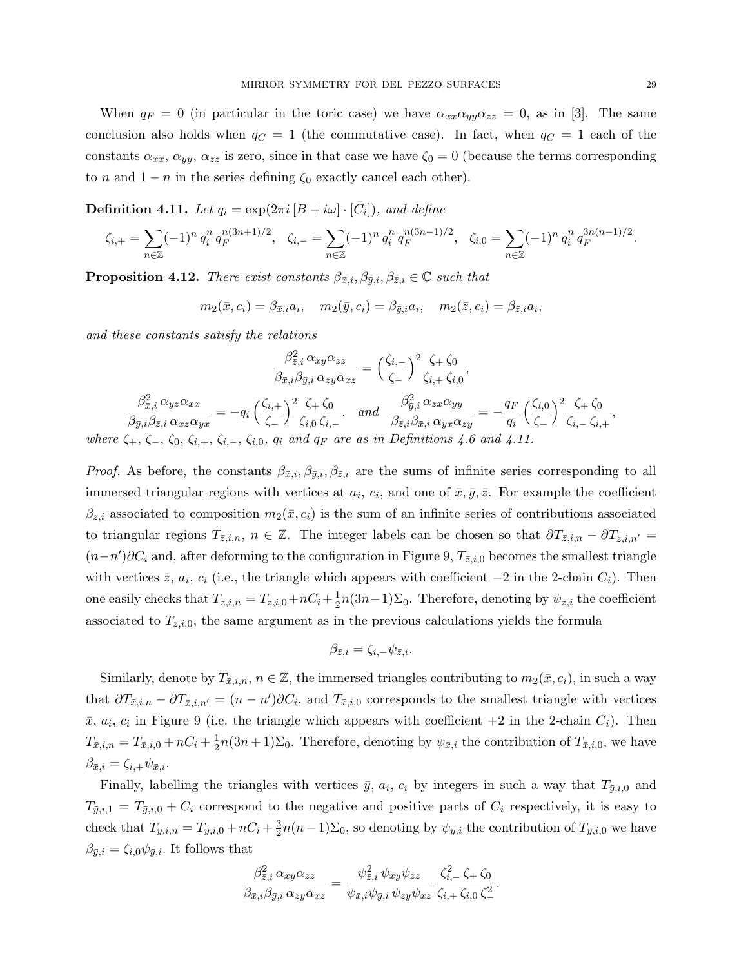When  $q_F = 0$  (in particular in the toric case) we have  $\alpha_{xx}\alpha_{yy}\alpha_{zz} = 0$ , as in [3]. The same conclusion also holds when  $q_C = 1$  (the commutative case). In fact, when  $q_C = 1$  each of the constants  $\alpha_{xx}, \alpha_{yy}, \alpha_{zz}$  is zero, since in that case we have  $\zeta_0 = 0$  (because the terms corresponding to n and  $1 - n$  in the series defining  $\zeta_0$  exactly cancel each other).

**Definition 4.11.** Let  $q_i = \exp(2\pi i [B + i\omega] \cdot [\bar{C}_i])$ , and define

$$
\zeta_{i,+} = \sum_{n \in \mathbb{Z}} (-1)^n q_i^n q_F^{n(3n+1)/2}, \quad \zeta_{i,-} = \sum_{n \in \mathbb{Z}} (-1)^n q_i^n q_F^{n(3n-1)/2}, \quad \zeta_{i,0} = \sum_{n \in \mathbb{Z}} (-1)^n q_i^n q_F^{3n(n-1)/2}.
$$

**Proposition 4.12.** There exist constants  $\beta_{\bar{x},i}, \beta_{\bar{y},i}, \beta_{\bar{z},i} \in \mathbb{C}$  such that

$$
m_2(\bar{x}, c_i) = \beta_{\bar{x},i} a_i, \quad m_2(\bar{y}, c_i) = \beta_{\bar{y},i} a_i, \quad m_2(\bar{z}, c_i) = \beta_{\bar{z},i} a_i,
$$

and these constants satisfy the relations

$$
\frac{\beta_{\bar{z},i}^2 \alpha_{xy}\alpha_{zz}}{\beta_{\bar{x},i}\beta_{\bar{y},i}\alpha_{zy}\alpha_{xz}} = \left(\frac{\zeta_{i,-}}{\zeta_{-}}\right)^2 \frac{\zeta_{+} \zeta_{0}}{\zeta_{i,+} \zeta_{i,0}},
$$
\n
$$
\frac{\beta_{\bar{x},i}^2 \alpha_{yz}\alpha_{xx}}{\beta_{\bar{y},i}\beta_{\bar{z},i}\alpha_{xz}\alpha_{yx}} = -q_i \left(\frac{\zeta_{i,+}}{\zeta_{-}}\right)^2 \frac{\zeta_{+} \zeta_{0}}{\zeta_{i,0} \zeta_{i,-}}, \text{ and } \frac{\beta_{\bar{y},i}^2 \alpha_{zx}\alpha_{yy}}{\beta_{\bar{z},i}\beta_{\bar{x},i}\alpha_{yx}\alpha_{zy}} = -\frac{q_F}{q_i} \left(\frac{\zeta_{i,0}}{\zeta_{-}}\right)^2 \frac{\zeta_{+} \zeta_{0}}{\zeta_{i,-} \zeta_{i,+}},
$$
\nwhere  $\zeta_{+}, \zeta_{-}, \zeta_{0}, \zeta_{i,+}, \zeta_{i,-}, \zeta_{i,0}, q_i$  and  $q_F$  are as in Definitions 4.6 and 4.11.

*Proof.* As before, the constants  $\beta_{\bar{x},i}, \beta_{\bar{y},i}, \beta_{\bar{z},i}$  are the sums of infinite series corresponding to all immersed triangular regions with vertices at  $a_i$ ,  $c_i$ , and one of  $\bar{x}, \bar{y}, \bar{z}$ . For example the coefficient  $\beta_{\bar{z},i}$  associated to composition  $m_2(\bar{x}, c_i)$  is the sum of an infinite series of contributions associated to triangular regions  $T_{\bar{z},i,n}$ ,  $n \in \mathbb{Z}$ . The integer labels can be chosen so that  $\partial T_{\bar{z},i,n} - \partial T_{\bar{z},i,n'} =$  $(n-n')\partial C_i$  and, after deforming to the configuration in Figure 9,  $T_{\bar{z},i,0}$  becomes the smallest triangle with vertices  $\bar{z}$ ,  $a_i$ ,  $c_i$  (i.e., the triangle which appears with coefficient  $-2$  in the 2-chain  $C_i$ ). Then one easily checks that  $T_{\bar{z},i,n} = T_{\bar{z},i,0} + nC_i + \frac{1}{2}$  $\frac{1}{2}n(3n-1)\Sigma_0$ . Therefore, denoting by  $\psi_{\bar{z},i}$  the coefficient associated to  $T_{\bar{z},i,0}$ , the same argument as in the previous calculations yields the formula

$$
\beta_{\bar{z},i} = \zeta_{i,-} \psi_{\bar{z},i}.
$$

Similarly, denote by  $T_{\bar{x},i,n}$ ,  $n \in \mathbb{Z}$ , the immersed triangles contributing to  $m_2(\bar{x}, c_i)$ , in such a way that  $\partial T_{\bar{x},i,n} - \partial T_{\bar{x},i,n'} = (n - n')\partial C_i$ , and  $T_{\bar{x},i,0}$  corresponds to the smallest triangle with vertices  $\bar{x}, a_i, c_i$  in Figure 9 (i.e. the triangle which appears with coefficient  $+2$  in the 2-chain  $C_i$ ). Then  $T_{\bar{x},i,n} = T_{\bar{x},i,0} + nC_i + \frac{1}{2}$  $\frac{1}{2}n(3n+1)\Sigma_0$ . Therefore, denoting by  $\psi_{\bar{x},i}$  the contribution of  $T_{\bar{x},i,0}$ , we have  $\beta_{\bar{x},i} = \zeta_{i,+} \psi_{\bar{x},i}.$ 

Finally, labelling the triangles with vertices  $\bar{y}$ ,  $a_i$ ,  $c_i$  by integers in such a way that  $T_{\bar{y},i,0}$  and  $T_{\bar{y},i,1} = T_{\bar{y},i,0} + C_i$  correspond to the negative and positive parts of  $C_i$  respectively, it is easy to check that  $T_{\bar{y},i,n} = T_{\bar{y},i,0} + nC_i + \frac{3}{2}$  $\frac{3}{2}n(n-1)\Sigma_0$ , so denoting by  $\psi_{\bar{y},i}$  the contribution of  $T_{\bar{y},i,0}$  we have  $\beta_{\bar{y},i} = \zeta_{i,0}\psi_{\bar{y},i}$ . It follows that

$$
\frac{\beta_{\bar{z},i}^2 \alpha_{xy} \alpha_{zz}}{\beta_{\bar{x},i} \beta_{\bar{y},i} \alpha_{zy} \alpha_{xz}} = \frac{\psi_{\bar{z},i}^2 \psi_{xy} \psi_{zz}}{\psi_{\bar{x},i} \psi_{\bar{y},i} \psi_{zy} \psi_{xz}} \frac{\zeta_{i,-}^2 \zeta_+ \zeta_0}{\zeta_{i,+} \zeta_{i,0} \zeta_-^2}.
$$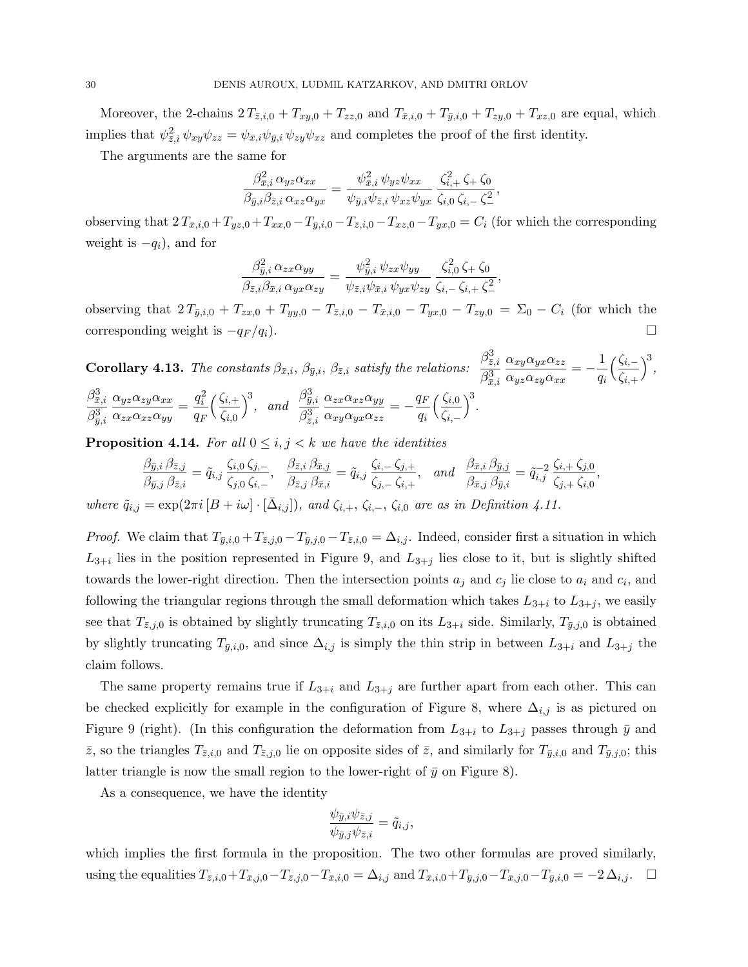Moreover, the 2-chains  $2 T_{\bar{z},i,0} + T_{xy,0} + T_{zz,0}$  and  $T_{\bar{x},i,0} + T_{\bar{y},i,0} + T_{zy,0} + T_{xz,0}$  are equal, which implies that  $\psi_{\bar{z},i}^2 \psi_{xy}\psi_{zz} = \psi_{\bar{x},i}\psi_{\bar{y},i}\psi_{zy}\psi_{xz}$  and completes the proof of the first identity.

The arguments are the same for

$$
\frac{\beta_{\bar{x},i}^2 \alpha_{yz} \alpha_{xx}}{\beta_{\bar{y},i} \beta_{\bar{z},i} \alpha_{xz} \alpha_{yx}} = \frac{\psi_{\bar{x},i}^2 \psi_{yz} \psi_{xx}}{\psi_{\bar{y},i} \psi_{\bar{z},i} \psi_{xz} \psi_{yx}} \frac{\zeta_{i,+}^2 \zeta_{+} \zeta_{0}}{\zeta_{i,0} \zeta_{i,-} \zeta_{-}^2},
$$

observing that  $2 T_{\bar{x},i,0} + T_{yz,0} + T_{xx,0} - T_{\bar{y},i,0} - T_{\bar{z},i,0} - T_{xz,0} - T_{yx,0} = C_i$  (for which the corresponding weight is  $-q_i$ , and for

$$
\frac{\beta_{\bar{y},i}^2 \alpha_{zx} \alpha_{yy}}{\beta_{\bar{z},i} \beta_{\bar{x},i} \alpha_{yx} \alpha_{zy}} = \frac{\psi_{\bar{y},i}^2 \psi_{zx} \psi_{yy}}{\psi_{\bar{z},i} \psi_{\bar{x},i} \psi_{yx} \psi_{zy}} \frac{\zeta_{i,0}^2 \zeta_+ \zeta_0}{\zeta_{i,-} \zeta_{i,+} \zeta_-^2}
$$

,

observing that  $2 T_{\bar{y},i,0} + T_{zx,0} + T_{yy,0} - T_{\bar{z},i,0} - T_{\bar{x},i,0} - T_{yx,0} - T_{zy,0} = \Sigma_0 - C_i$  (for which the corresponding weight is  $-q_F/q_i$ ).  $\Box$ 

**Corollary 4.13.** The constants  $\beta_{\bar{x},i}$ ,  $\beta_{\bar{y},i}$ ,  $\beta_{\bar{z},i}$  satisfy the relations:  $\beta^3_{\bar z,i}$  $\beta^3_{\bar{x},i}$  $\alpha_{xy}\alpha_{yx}\alpha_{zz}$  $\frac{\alpha_{xy}\alpha_{yx}\alpha_{zz}}{\alpha_{yz}\alpha_{zy}\alpha_{xx}} = -\frac{1}{q_i}$ qi  $\sqrt{\frac{\zeta_{i,-}}{n}}$  $\zeta_{i,+}$  $\Big)^3$ ,  $\beta^3_{\bar{x},i}$  $\beta^3_{\bar{y},i}$  $\alpha_{yz}\alpha_{zy}\alpha_{xx}$  $\frac{\alpha_{yz}\alpha_{zy}\alpha_{xx}}{\alpha_{zx}\alpha_{xz}\alpha_{yy}} = \frac{q_i^2}{q_F}$  $q_F$  $\sqrt{\frac{\zeta_{i,+}}{n}}$  $\zeta_{i,0}$  $\Big)^3$ , and  $\beta_{\bar{y},i}^3$  $\beta^3_{\bar z,i}$  $\alpha_{zx}\alpha_{xz}\alpha_{yy}$  $\frac{\alpha_{zx}\alpha_{xz}\alpha_{yy}}{\alpha_{xy}\alpha_{yx}\alpha_{zz}} = -\frac{q_F}{q_i}$ qi  $\sqrt{\frac{\zeta_{i,0}}{n}}$  $\zeta_{i,-}$  $\Big)^3$ .

**Proposition 4.14.** For all  $0 \leq i, j < k$  we have the identities

$$
\frac{\beta_{\bar{y},i}\,\beta_{\bar{z},j}}{\beta_{\bar{y},j}\,\beta_{\bar{z},i}} = \tilde{q}_{i,j}\,\frac{\zeta_{i,0}\,\zeta_{j,-}}{\zeta_{j,0}\,\zeta_{i,-}},\n\quad\n\frac{\beta_{\bar{z},i}\,\beta_{\bar{x},j}}{\beta_{\bar{z},j}\,\beta_{\bar{x},i}} = \tilde{q}_{i,j}\,\frac{\zeta_{i,-}\,\zeta_{j,+}}{\zeta_{j,-}\,\zeta_{i,+}},\n\quad\n\text{and}\n\quad\n\frac{\beta_{\bar{x},i}\,\beta_{\bar{y},j}}{\beta_{\bar{x},j}\,\beta_{\bar{y},i}} = \tilde{q}_{i,j}^{-2}\,\frac{\zeta_{i,+}\,\zeta_{j,0}}{\zeta_{j,+}\,\zeta_{i,0}},
$$

where  $\tilde{q}_{i,j} = \exp(2\pi i \left[B + i\omega\right] \cdot \left[\bar{\Delta}_{i,j}\right])$ , and  $\zeta_{i,+}, \zeta_{i,-}, \zeta_{i,0}$  are as in Definition 4.11.

*Proof.* We claim that  $T_{\bar{y},i,0} + T_{\bar{z},j,0} - T_{\bar{y},j,0} - T_{\bar{z},i,0} = \Delta_{i,j}$ . Indeed, consider first a situation in which  $L_{3+i}$  lies in the position represented in Figure 9, and  $L_{3+j}$  lies close to it, but is slightly shifted towards the lower-right direction. Then the intersection points  $a_j$  and  $c_j$  lie close to  $a_i$  and  $c_i$ , and following the triangular regions through the small deformation which takes  $L_{3+i}$  to  $L_{3+j}$ , we easily see that  $T_{\bar{z},j,0}$  is obtained by slightly truncating  $T_{\bar{z},i,0}$  on its  $L_{3+i}$  side. Similarly,  $T_{\bar{y},j,0}$  is obtained by slightly truncating  $T_{\bar{y},i,0}$ , and since  $\Delta_{i,j}$  is simply the thin strip in between  $L_{3+i}$  and  $L_{3+j}$  the claim follows.

The same property remains true if  $L_{3+i}$  and  $L_{3+j}$  are further apart from each other. This can be checked explicitly for example in the configuration of Figure 8, where  $\Delta_{i,j}$  is as pictured on Figure 9 (right). (In this configuration the deformation from  $L_{3+i}$  to  $L_{3+j}$  passes through  $\bar{y}$  and  $\bar{z}$ , so the triangles  $T_{\bar{z},i,0}$  and  $T_{\bar{z},j,0}$  lie on opposite sides of  $\bar{z}$ , and similarly for  $T_{\bar{y},i,0}$  and  $T_{\bar{y},j,0}$ ; this latter triangle is now the small region to the lower-right of  $\bar{y}$  on Figure 8).

As a consequence, we have the identity

$$
\frac{\psi_{\bar{y},i}\psi_{\bar{z},j}}{\psi_{\bar{y},j}\psi_{\bar{z},i}} = \tilde{q}_{i,j},
$$

which implies the first formula in the proposition. The two other formulas are proved similarly, using the equalities  $T_{\bar{z},i,0} + T_{\bar{x},j,0} - T_{\bar{z},j,0} - T_{\bar{x},i,0} = \Delta_{i,j}$  and  $T_{\bar{x},i,0} + T_{\bar{y},j,0} - T_{\bar{x},j,0} - T_{\bar{y},i,0} = -2 \Delta_{i,j}$ .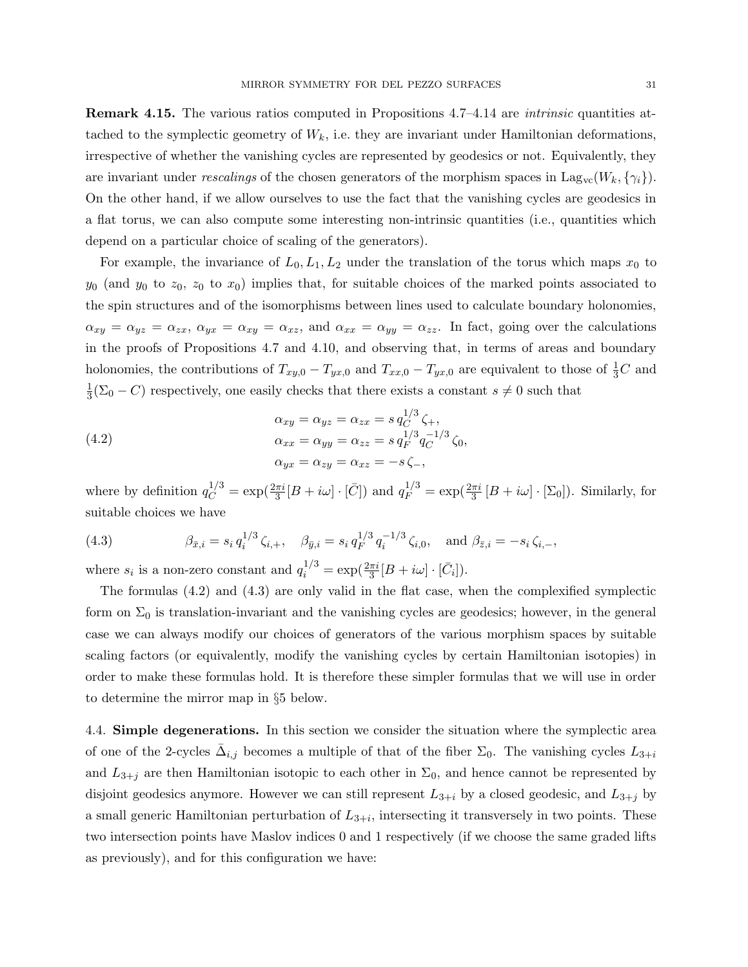Remark 4.15. The various ratios computed in Propositions 4.7–4.14 are intrinsic quantities attached to the symplectic geometry of  $W_k$ , i.e. they are invariant under Hamiltonian deformations, irrespective of whether the vanishing cycles are represented by geodesics or not. Equivalently, they are invariant under rescalings of the chosen generators of the morphism spaces in Lag<sub>vc</sub>( $W_k$ ,  $\{\gamma_i\}$ ). On the other hand, if we allow ourselves to use the fact that the vanishing cycles are geodesics in a flat torus, we can also compute some interesting non-intrinsic quantities (i.e., quantities which depend on a particular choice of scaling of the generators).

For example, the invariance of  $L_0, L_1, L_2$  under the translation of the torus which maps  $x_0$  to  $y_0$  (and  $y_0$  to  $z_0$ ,  $z_0$  to  $x_0$ ) implies that, for suitable choices of the marked points associated to the spin structures and of the isomorphisms between lines used to calculate boundary holonomies,  $\alpha_{xy} = \alpha_{yz} = \alpha_{zx}, \ \alpha_{yx} = \alpha_{xy} = \alpha_{xz}$ , and  $\alpha_{xx} = \alpha_{yy} = \alpha_{zz}$ . In fact, going over the calculations in the proofs of Propositions 4.7 and 4.10, and observing that, in terms of areas and boundary holonomies, the contributions of  $T_{xy,0} - T_{yx,0}$  and  $T_{xx,0} - T_{yx,0}$  are equivalent to those of  $\frac{1}{3}C$  and 1  $\frac{1}{3}(\Sigma_0 - C)$  respectively, one easily checks that there exists a constant  $s \neq 0$  such that

(4.2) 
$$
\alpha_{xy} = \alpha_{yz} = \alpha_{zx} = s q_C^{1/3} \zeta_+,
$$

$$
\alpha_{xx} = \alpha_{yy} = \alpha_{zz} = s q_F^{1/3} q_C^{-1/3} \zeta_0,
$$

$$
\alpha_{yx} = \alpha_{zy} = \alpha_{xz} = -s \zeta_-,
$$

where by definition  $q_C^{1/3} = \exp(\frac{2\pi i}{3}[B + i\omega] \cdot [\bar{C}])$  and  $q_F^{1/3} = \exp(\frac{2\pi i}{3}[B + i\omega] \cdot [\Sigma_0])$ . Similarly, for suitable choices we have

(4.3) 
$$
\beta_{\bar{x},i} = s_i q_i^{1/3} \zeta_{i,+}, \quad \beta_{\bar{y},i} = s_i q_F^{1/3} q_i^{-1/3} \zeta_{i,0}, \text{ and } \beta_{\bar{z},i} = -s_i \zeta_{i,-},
$$

where  $s_i$  is a non-zero constant and  $q_i^{1/3} = \exp(\frac{2\pi i}{3}[B + i\omega] \cdot [\bar{C}_i]).$ 

The formulas (4.2) and (4.3) are only valid in the flat case, when the complexified symplectic form on  $\Sigma_0$  is translation-invariant and the vanishing cycles are geodesics; however, in the general case we can always modify our choices of generators of the various morphism spaces by suitable scaling factors (or equivalently, modify the vanishing cycles by certain Hamiltonian isotopies) in order to make these formulas hold. It is therefore these simpler formulas that we will use in order to determine the mirror map in §5 below.

4.4. Simple degenerations. In this section we consider the situation where the symplectic area of one of the 2-cycles  $\bar{\Delta}_{i,j}$  becomes a multiple of that of the fiber  $\Sigma_0$ . The vanishing cycles  $L_{3+i}$ and  $L_{3+j}$  are then Hamiltonian isotopic to each other in  $\Sigma_0$ , and hence cannot be represented by disjoint geodesics anymore. However we can still represent  $L_{3+i}$  by a closed geodesic, and  $L_{3+j}$  by a small generic Hamiltonian perturbation of  $L_{3+i}$ , intersecting it transversely in two points. These two intersection points have Maslov indices 0 and 1 respectively (if we choose the same graded lifts as previously), and for this configuration we have: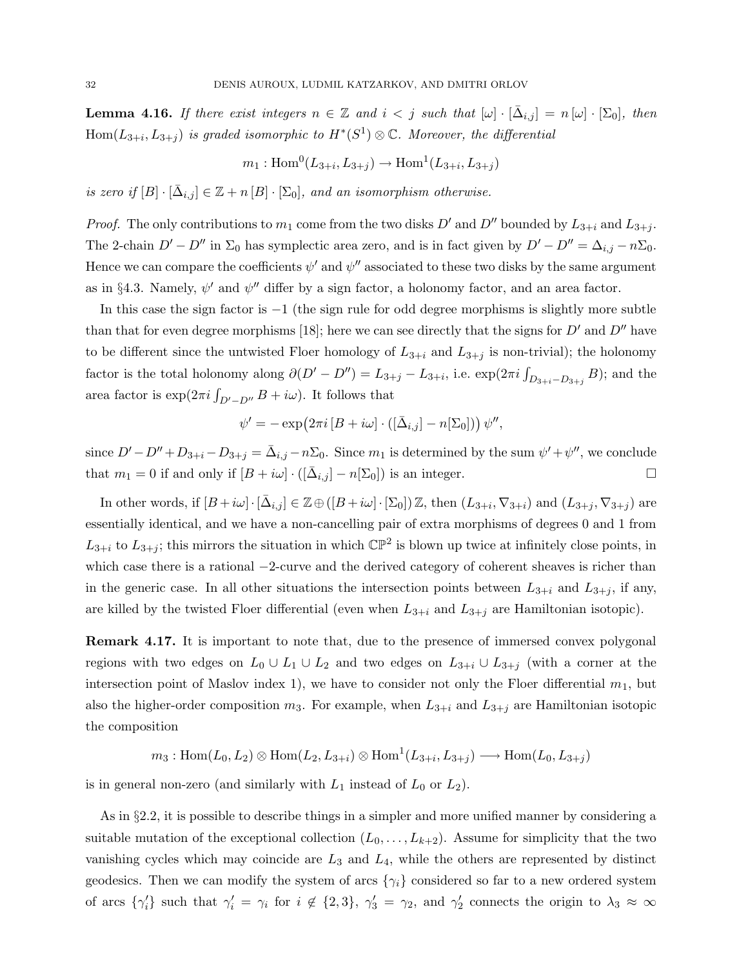**Lemma 4.16.** If there exist integers  $n \in \mathbb{Z}$  and  $i < j$  such that  $[\omega] \cdot [\bar{\Delta}_{i,j}] = n [\omega] \cdot [\Sigma_0]$ , then  $Hom(L_{3+i}, L_{3+j})$  is graded isomorphic to  $H^*(S^1) \otimes \mathbb{C}$ . Moreover, the differential

$$
m_1: \text{Hom}^0(L_{3+i}, L_{3+j}) \to \text{Hom}^1(L_{3+i}, L_{3+j})
$$

is zero if  $[B] \cdot [\bar{\Delta}_{i,j}] \in \mathbb{Z} + n[B] \cdot [\Sigma_0]$ , and an isomorphism otherwise.

*Proof.* The only contributions to  $m_1$  come from the two disks D' and D'' bounded by  $L_{3+i}$  and  $L_{3+i}$ . The 2-chain  $D' - D''$  in  $\Sigma_0$  has symplectic area zero, and is in fact given by  $D' - D'' = \Delta_{i,j} - n\Sigma_0$ . Hence we can compare the coefficients  $\psi'$  and  $\psi''$  associated to these two disks by the same argument as in §4.3. Namely,  $\psi'$  and  $\psi''$  differ by a sign factor, a holonomy factor, and an area factor.

In this case the sign factor is  $-1$  (the sign rule for odd degree morphisms is slightly more subtle than that for even degree morphisms [18]; here we can see directly that the signs for  $D'$  and  $D''$  have to be different since the untwisted Floer homology of  $L_{3+i}$  and  $L_{3+j}$  is non-trivial); the holonomy factor is the total holonomy along  $\partial (D' - D'') = L_{3+j} - L_{3+i}$ , i.e.  $\exp(2\pi i \int_{D_{3+i} - D_{3+j}} B)$ ; and the area factor is  $\exp(2\pi i \int_{D'-D''} B + i\omega)$ . It follows that

$$
\psi' = -\exp(2\pi i \left[B + i\omega\right] \cdot \left(\left[\bar{\Delta}_{i,j}\right] - n[\Sigma_0]\right)) \psi'',
$$

since  $D' - D'' + D_{3+i} - D_{3+j} = \bar{\Delta}_{i,j} - n\Sigma_0$ . Since  $m_1$  is determined by the sum  $\psi' + \psi''$ , we conclude that  $m_1 = 0$  if and only if  $[B + i\omega] \cdot ([\bar{\Delta}_{i,j}] - n[\Sigma_0])$  is an integer.

In other words, if  $[B + i\omega] \cdot [\bar{\Delta}_{i,j}] \in \mathbb{Z} \oplus ([B + i\omega] \cdot [\Sigma_0]) \mathbb{Z}$ , then  $(L_{3+i}, \nabla_{3+i})$  and  $(L_{3+j}, \nabla_{3+j})$  are essentially identical, and we have a non-cancelling pair of extra morphisms of degrees 0 and 1 from  $L_{3+i}$  to  $L_{3+j}$ ; this mirrors the situation in which  $\mathbb{CP}^2$  is blown up twice at infinitely close points, in which case there is a rational −2-curve and the derived category of coherent sheaves is richer than in the generic case. In all other situations the intersection points between  $L_{3+i}$  and  $L_{3+j}$ , if any, are killed by the twisted Floer differential (even when  $L_{3+i}$  and  $L_{3+j}$  are Hamiltonian isotopic).

Remark 4.17. It is important to note that, due to the presence of immersed convex polygonal regions with two edges on  $L_0 \cup L_1 \cup L_2$  and two edges on  $L_{3+i} \cup L_{3+j}$  (with a corner at the intersection point of Maslov index 1), we have to consider not only the Floer differential  $m_1$ , but also the higher-order composition  $m_3$ . For example, when  $L_{3+i}$  and  $L_{3+i}$  are Hamiltonian isotopic the composition

$$
m_3: \mathrm{Hom}(L_0, L_2) \otimes \mathrm{Hom}(L_2, L_{3+i}) \otimes \mathrm{Hom}^1(L_{3+i}, L_{3+j}) \longrightarrow \mathrm{Hom}(L_0, L_{3+j})
$$

is in general non-zero (and similarly with  $L_1$  instead of  $L_0$  or  $L_2$ ).

As in §2.2, it is possible to describe things in a simpler and more unified manner by considering a suitable mutation of the exceptional collection  $(L_0, \ldots, L_{k+2})$ . Assume for simplicity that the two vanishing cycles which may coincide are  $L_3$  and  $L_4$ , while the others are represented by distinct geodesics. Then we can modify the system of arcs  $\{\gamma_i\}$  considered so far to a new ordered system of arcs  $\{\gamma'_i\}$  such that  $\gamma'_i = \gamma_i$  for  $i \notin \{2,3\}, \gamma'_3 = \gamma_2$ , and  $\gamma'_2$  connects the origin to  $\lambda_3 \approx \infty$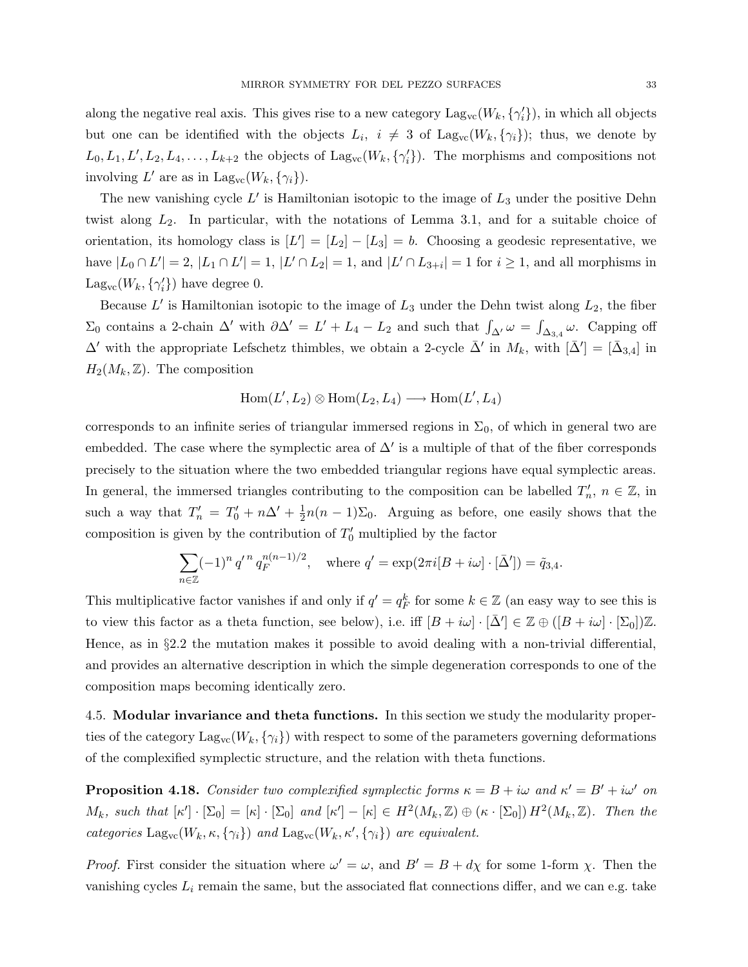along the negative real axis. This gives rise to a new category  $\text{Lag}_{vc}(W_k, \{\gamma'_i\})$ , in which all objects but one can be identified with the objects  $L_i$ ,  $i \neq 3$  of  $\text{Lag}_{vc}(W_k, \{\gamma_i\})$ ; thus, we denote by  $L_0, L_1, L', L_2, L_4, \ldots, L_{k+2}$  the objects of  $\text{Lag}_{vc}(W_k, \{\gamma'_i\})$ . The morphisms and compositions not involving L' are as in  $\text{Lag}_{\text{vc}}(W_k, \{\gamma_i\}).$ 

The new vanishing cycle  $L'$  is Hamiltonian isotopic to the image of  $L_3$  under the positive Dehn twist along  $L_2$ . In particular, with the notations of Lemma 3.1, and for a suitable choice of orientation, its homology class is  $[L'] = [L_2] - [L_3] = b$ . Choosing a geodesic representative, we have  $|L_0 \cap L'| = 2$ ,  $|L_1 \cap L'| = 1$ ,  $|L' \cap L_2| = 1$ , and  $|L' \cap L_{3+i}| = 1$  for  $i \ge 1$ , and all morphisms in  $\text{Lag}_{\text{vc}}(W_k, \{\gamma'_i\})$  have degree 0.

Because  $L'$  is Hamiltonian isotopic to the image of  $L_3$  under the Dehn twist along  $L_2$ , the fiber  $\Sigma_0$  contains a 2-chain  $\Delta'$  with  $\partial \Delta' = L' + L_4 - L_2$  and such that  $\int_{\Delta'} \omega = \int_{\Delta_{3,4}} \omega$ . Capping off  $\Delta'$  with the appropriate Lefschetz thimbles, we obtain a 2-cycle  $\bar{\Delta}'$  in  $M_k$ , with  $[\bar{\Delta}'] = [\bar{\Delta}_{3,4}]$  in  $H_2(M_k, \mathbb{Z})$ . The composition

$$
\operatorname{Hom}(L',L_2)\otimes\operatorname{Hom}(L_2,L_4)\longrightarrow\operatorname{Hom}(L',L_4)
$$

corresponds to an infinite series of triangular immersed regions in  $\Sigma_0$ , of which in general two are embedded. The case where the symplectic area of  $\Delta'$  is a multiple of that of the fiber corresponds precisely to the situation where the two embedded triangular regions have equal symplectic areas. In general, the immersed triangles contributing to the composition can be labelled  $T_n'$ ,  $n \in \mathbb{Z}$ , in such a way that  $T'_n = T'_0 + n\Delta' + \frac{1}{2}$  $\frac{1}{2}n(n-1)\Sigma_0$ . Arguing as before, one easily shows that the composition is given by the contribution of  $T'_0$  multiplied by the factor

$$
\sum_{n \in \mathbb{Z}} (-1)^n q'^n q_F^{n(n-1)/2}, \text{ where } q' = \exp(2\pi i [B + i\omega] \cdot [\bar{\Delta}']) = \tilde{q}_{3,4}.
$$

This multiplicative factor vanishes if and only if  $q' = q_F^k$  for some  $k \in \mathbb{Z}$  (an easy way to see this is to view this factor as a theta function, see below), i.e. iff  $[B + i\omega] \cdot [\bar{\Delta}'] \in \mathbb{Z} \oplus ([B + i\omega] \cdot [\Sigma_0])\mathbb{Z}$ . Hence, as in §2.2 the mutation makes it possible to avoid dealing with a non-trivial differential, and provides an alternative description in which the simple degeneration corresponds to one of the composition maps becoming identically zero.

4.5. Modular invariance and theta functions. In this section we study the modularity properties of the category  $\text{Lag}_{vc}(W_k, \{\gamma_i\})$  with respect to some of the parameters governing deformations of the complexified symplectic structure, and the relation with theta functions.

**Proposition 4.18.** Consider two complexified symplectic forms  $\kappa = B + i\omega$  and  $\kappa' = B' + i\omega'$  on  $M_k$ , such that  $[\kappa'] \cdot [\Sigma_0] = [\kappa] \cdot [\Sigma_0]$  and  $[\kappa'] - [\kappa] \in H^2(M_k, \mathbb{Z}) \oplus (\kappa \cdot [\Sigma_0]) H^2(M_k, \mathbb{Z})$ . Then the categories  $\text{Lag}_{vc}(W_k, \kappa, \{\gamma_i\})$  and  $\text{Lag}_{vc}(W_k, \kappa', \{\gamma_i\})$  are equivalent.

*Proof.* First consider the situation where  $\omega' = \omega$ , and  $B' = B + d\chi$  for some 1-form  $\chi$ . Then the vanishing cycles  $L_i$  remain the same, but the associated flat connections differ, and we can e.g. take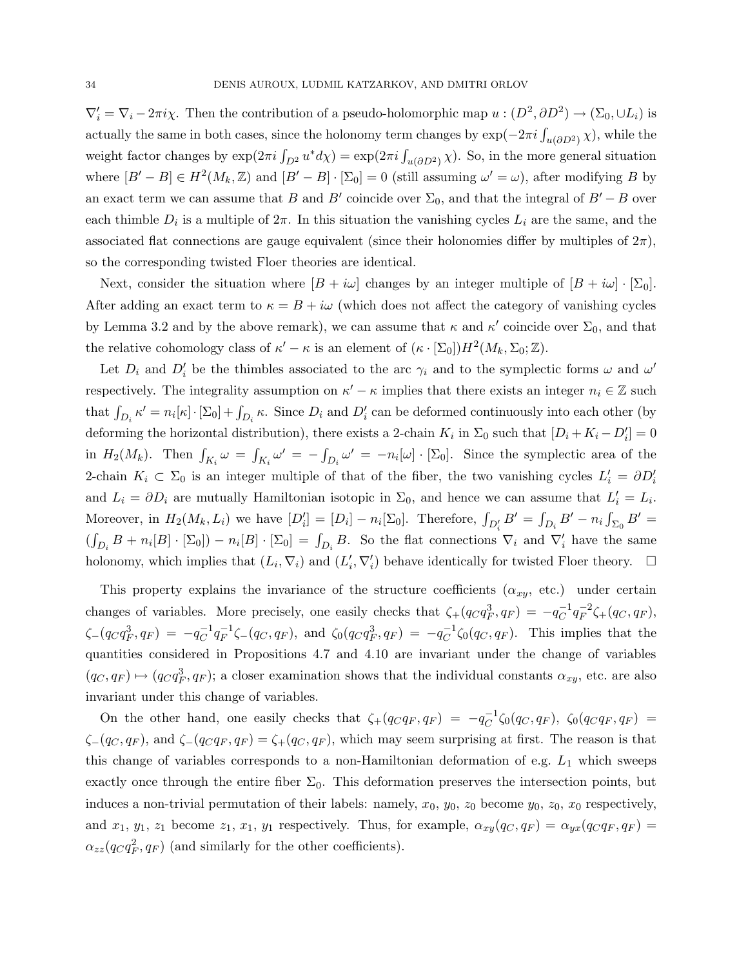$\nabla'_i = \nabla_i - 2\pi i \chi$ . Then the contribution of a pseudo-holomorphic map  $u : (D^2, \partial D^2) \to (\Sigma_0, \cup L_i)$  is actually the same in both cases, since the holonomy term changes by  $\exp(-2\pi i \int_{u(\partial D^2)} \chi)$ , while the weight factor changes by  $\exp(2\pi i \int_{D^2} u^* d\chi) = \exp(2\pi i \int_{u(\partial D^2)} \chi)$ . So, in the more general situation where  $[B'-B] \in H^2(M_k, \mathbb{Z})$  and  $[B'-B] \cdot [\Sigma_0] = 0$  (still assuming  $\omega' = \omega$ ), after modifying B by an exact term we can assume that B and B' coincide over  $\Sigma_0$ , and that the integral of B' – B over each thimble  $D_i$  is a multiple of  $2\pi$ . In this situation the vanishing cycles  $L_i$  are the same, and the associated flat connections are gauge equivalent (since their holonomies differ by multiples of  $2\pi$ ), so the corresponding twisted Floer theories are identical.

Next, consider the situation where  $[B + i\omega]$  changes by an integer multiple of  $[B + i\omega] \cdot [\Sigma_0]$ . After adding an exact term to  $\kappa = B + i\omega$  (which does not affect the category of vanishing cycles by Lemma 3.2 and by the above remark), we can assume that  $\kappa$  and  $\kappa'$  coincide over  $\Sigma_0$ , and that the relative cohomology class of  $\kappa' - \kappa$  is an element of  $(\kappa \cdot [\Sigma_0]) H^2(M_k, \Sigma_0; \mathbb{Z})$ .

Let  $D_i$  and  $D'_i$  be the thimbles associated to the arc  $\gamma_i$  and to the symplectic forms  $\omega$  and  $\omega'$ respectively. The integrality assumption on  $\kappa' - \kappa$  implies that there exists an integer  $n_i \in \mathbb{Z}$  such that  $\int_{D_i} \kappa' = n_i[\kappa] \cdot [\Sigma_0] + \int_{D_i} \kappa$ . Since  $D_i$  and  $D'_i$  can be deformed continuously into each other (by deforming the horizontal distribution), there exists a 2-chain  $K_i$  in  $\Sigma_0$  such that  $[D_i + K_i - D'_i] = 0$ in  $H_2(M_k)$ . Then  $\int_{K_i} \omega = \int_{K_i} \omega' = -\int_{D_i} \omega' = -n_i[\omega] \cdot [\Sigma_0]$ . Since the symplectic area of the 2-chain  $K_i \subset \Sigma_0$  is an integer multiple of that of the fiber, the two vanishing cycles  $L'_i = \partial D'_i$ and  $L_i = \partial D_i$  are mutually Hamiltonian isotopic in  $\Sigma_0$ , and hence we can assume that  $L'_i = L_i$ . Moreover, in  $H_2(M_k, L_i)$  we have  $[D'_i] = [D_i] - n_i[\Sigma_0]$ . Therefore,  $\int_{D'_i} B' = \int_{D_i} B' - n_i \int_{\Sigma_0} B' =$  $(\int_{D_i} B + n_i[B] \cdot [\Sigma_0]) - n_i[B] \cdot [\Sigma_0] = \int_{D_i} B$ . So the flat connections  $\nabla_i$  and  $\nabla'_i$  have the same holonomy, which implies that  $(L_i, \nabla_i)$  and  $(L'_i, \nabla'_i)$  behave identically for twisted Floer theory.  $\Box$ 

This property explains the invariance of the structure coefficients  $(\alpha_{xy}, \text{ etc.})$  under certain changes of variables. More precisely, one easily checks that  $\zeta_{+}(q_C q_F^3, q_F) = -q_C^{-1}$  $_C^{-1}q_F^{-2}$  $F^{-2}\zeta + (q_C, q_F),$  $\zeta_-(q_Cq_F^3, q_F) = -q_C^{-1}$  $_C^{-1}q_F^{-1}$  $\zeta_P^{-1}\zeta_-(q_C, q_F)$ , and  $\zeta_0(q_Cq_F^3, q_F) = -q_C^{-1}$  $C^{-1}\zeta_0(q_C, q_F)$ . This implies that the quantities considered in Propositions 4.7 and 4.10 are invariant under the change of variables  $(q_C, q_F) \mapsto (q_Cq_F^3, q_F);$  a closer examination shows that the individual constants  $\alpha_{xy}$ , etc. are also invariant under this change of variables.

On the other hand, one easily checks that  $\zeta_{+}(q_{C}q_{F}, q_{F}) = -q_{C}^{-1}$  $C^{-1}\zeta_0(q_C,q_F), \ \ \zeta_0(q_Cq_F,q_F) =$  $\zeta$ -(qc, q<sub>F</sub>), and  $\zeta$ -(qcq<sub>F</sub>, q<sub>F</sub>) =  $\zeta$ +(qc, q<sub>F</sub>), which may seem surprising at first. The reason is that this change of variables corresponds to a non-Hamiltonian deformation of e.g.  $L_1$  which sweeps exactly once through the entire fiber  $\Sigma_0$ . This deformation preserves the intersection points, but induces a non-trivial permutation of their labels: namely,  $x_0$ ,  $y_0$ ,  $z_0$  become  $y_0$ ,  $z_0$ ,  $x_0$  respectively, and  $x_1, y_1, z_1$  become  $z_1, x_1, y_1$  respectively. Thus, for example,  $\alpha_{xy}(q_C, q_F) = \alpha_{yx}(q_Cq_F, q_F)$  $\alpha_{zz}(q_C q_F^2, q_F)$  (and similarly for the other coefficients).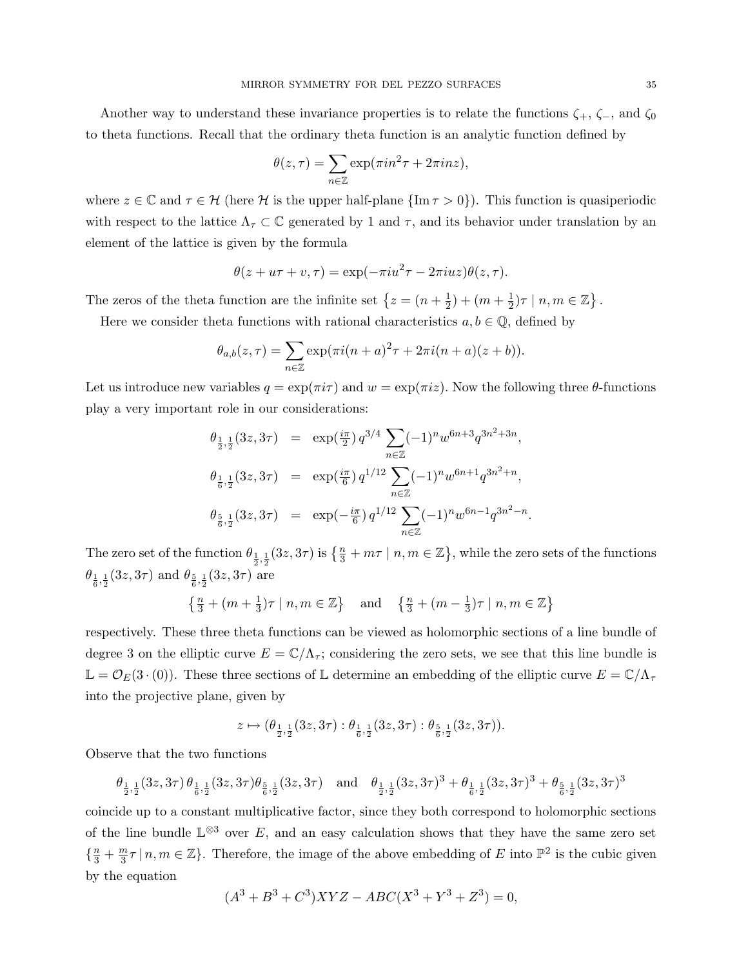Another way to understand these invariance properties is to relate the functions  $\zeta_+$ ,  $\zeta_-$ , and  $\zeta_0$ to theta functions. Recall that the ordinary theta function is an analytic function defined by

$$
\theta(z,\tau) = \sum_{n \in \mathbb{Z}} \exp(\pi i n^2 \tau + 2\pi i n z),
$$

where  $z \in \mathbb{C}$  and  $\tau \in \mathcal{H}$  (here  $\mathcal{H}$  is the upper half-plane  $\{\text{Im }\tau > 0\}$ ). This function is quasiperiodic with respect to the lattice  $\Lambda_{\tau} \subset \mathbb{C}$  generated by 1 and  $\tau$ , and its behavior under translation by an element of the lattice is given by the formula

$$
\theta(z+u\tau+v,\tau)=\exp(-\pi i u^2\tau-2\pi i uz)\theta(z,\tau).
$$

The zeros of the theta function are the infinite set  $\{z = (n + \frac{1}{2})\}$  $(\frac{1}{2}) + (m + \frac{1}{2})$  $(\frac{1}{2})\tau \mid n,m \in \mathbb{Z} \}$ .

Here we consider theta functions with rational characteristics  $a, b \in \mathbb{Q}$ , defined by

$$
\theta_{a,b}(z,\tau) = \sum_{n \in \mathbb{Z}} \exp(\pi i (n+a)^2 \tau + 2\pi i (n+a)(z+b)).
$$

Let us introduce new variables  $q = \exp(\pi i \tau)$  and  $w = \exp(\pi i z)$ . Now the following three  $\theta$ -functions play a very important role in our considerations:

$$
\begin{array}{rcl}\n\theta_{\frac{1}{2},\frac{1}{2}}(3z,3\tau) & = & \exp\left(\frac{i\pi}{2}\right)q^{3/4} \sum_{n\in\mathbb{Z}} (-1)^n w^{6n+3} q^{3n^2+3n}, \\
\theta_{\frac{1}{6},\frac{1}{2}}(3z,3\tau) & = & \exp\left(\frac{i\pi}{6}\right)q^{1/12} \sum_{n\in\mathbb{Z}} (-1)^n w^{6n+1} q^{3n^2+n}, \\
\theta_{\frac{5}{6},\frac{1}{2}}(3z,3\tau) & = & \exp\left(-\frac{i\pi}{6}\right)q^{1/12} \sum_{n\in\mathbb{Z}} (-1)^n w^{6n-1} q^{3n^2-n}.\n\end{array}
$$

The zero set of the function  $\theta_{\frac{1}{2},\frac{1}{2}}(3z,3\tau)$  is  $\{\frac{n}{3}+m\tau\mid n,m\in\mathbb{Z}\}$ , while the zero sets of the functions  $\theta_{\frac{1}{6},\frac{1}{2}}(3z,3\tau)$  and  $\theta_{\frac{5}{6},\frac{1}{2}}(3z,3\tau)$  are

$$
\left\{\frac{n}{3} + (m+\frac{1}{3})\tau \mid n, m \in \mathbb{Z}\right\} \quad \text{and} \quad \left\{\frac{n}{3} + (m-\frac{1}{3})\tau \mid n, m \in \mathbb{Z}\right\}
$$

respectively. These three theta functions can be viewed as holomorphic sections of a line bundle of degree 3 on the elliptic curve  $E = \mathbb{C}/\Lambda_{\tau}$ ; considering the zero sets, we see that this line bundle is  $\mathbb{L} = \mathcal{O}_E(3 \cdot (0))$ . These three sections of  $\mathbb{L}$  determine an embedding of the elliptic curve  $E = \mathbb{C}/\Lambda_\tau$ into the projective plane, given by

$$
z\mapsto (\theta_{\frac{1}{2},\frac{1}{2}}(3z,3\tau):\theta_{\frac{1}{6},\frac{1}{2}}(3z,3\tau):\theta_{\frac{5}{6},\frac{1}{2}}(3z,3\tau)).
$$

Observe that the two functions

 $\theta_{\frac{1}{2},\frac{1}{2}}(3z,3\tau)\theta_{\frac{1}{6},\frac{1}{2}}(3z,3\tau)\theta_{\frac{5}{6},\frac{1}{2}}(3z,3\tau)$  and  $\theta_{\frac{1}{2},\frac{1}{2}}(3z,3\tau)^3 + \theta_{\frac{1}{6},\frac{1}{2}}(3z,3\tau)^3 + \theta_{\frac{5}{6},\frac{1}{2}}(3z,3\tau)^3$ 

coincide up to a constant multiplicative factor, since they both correspond to holomorphic sections of the line bundle  $\mathbb{L}^{\otimes 3}$  over E, and an easy calculation shows that they have the same zero set  $\{\frac{n}{3}+\frac{m}{3}$  $\frac{m}{3}\tau | n,m \in \mathbb{Z} \}$ . Therefore, the image of the above embedding of E into  $\mathbb{P}^2$  is the cubic given by the equation

$$
(A3 + B3 + C3)XYZ - ABC(X3 + Y3 + Z3) = 0,
$$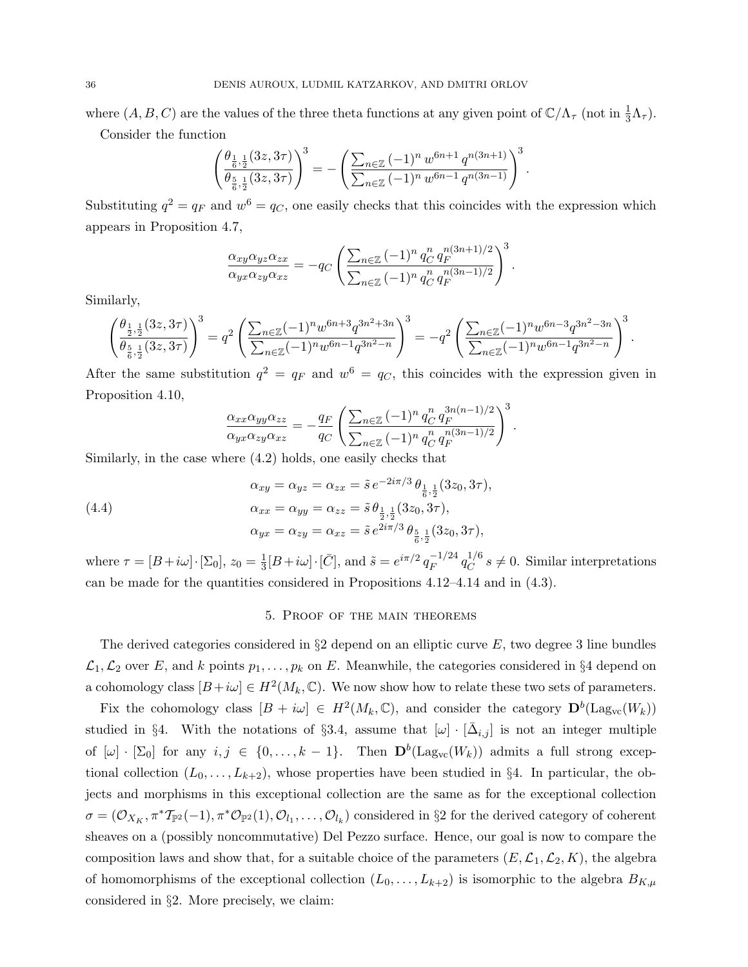where  $(A, B, C)$  are the values of the three theta functions at any given point of  $\mathbb{C}/\Lambda_{\tau}$  (not in  $\frac{1}{3}\Lambda_{\tau}$ ).

Consider the function

$$
\left(\frac{\theta_{\frac{1}{6},\frac{1}{2}}(3z,3\tau)}{\theta_{\frac{5}{6},\frac{1}{2}}(3z,3\tau)}\right)^3 = -\left(\frac{\sum_{n\in\mathbb{Z}} (-1)^n w^{6n+1} q^{n(3n+1)}}{\sum_{n\in\mathbb{Z}} (-1)^n w^{6n-1} q^{n(3n-1)}}\right)^3
$$

.

.

Substituting  $q^2 = q_F$  and  $w^6 = q_C$ , one easily checks that this coincides with the expression which appears in Proposition 4.7,

$$
\frac{\alpha_{xy}\alpha_{yz}\alpha_{zx}}{\alpha_{yx}\alpha_{zy}\alpha_{xz}} = -q_C \left( \frac{\sum_{n\in\mathbb{Z}} (-1)^n q_C^n q_F^{n(3n+1)/2}}{\sum_{n\in\mathbb{Z}} (-1)^n q_C^n q_F^{n(3n-1)/2}} \right)^3
$$

Similarly,

$$
\left(\frac{\theta_{\frac{1}{2},\frac{1}{2}}(3z,3\tau)}{\theta_{\frac{5}{6},\frac{1}{2}}(3z,3\tau)}\right)^3 = q^2 \left(\frac{\sum_{n\in\mathbb{Z}} (-1)^n w^{6n+3} q^{3n^2+3n}}{\sum_{n\in\mathbb{Z}} (-1)^n w^{6n-1} q^{3n^2-n}}\right)^3 = -q^2 \left(\frac{\sum_{n\in\mathbb{Z}} (-1)^n w^{6n-3} q^{3n^2-3n}}{\sum_{n\in\mathbb{Z}} (-1)^n w^{6n-1} q^{3n^2-n}}\right)^3.
$$

After the same substitution  $q^2 = q_F$  and  $w^6 = q_C$ , this coincides with the expression given in Proposition 4.10,

$$
\frac{\alpha_{xx}\alpha_{yy}\alpha_{zz}}{\alpha_{yx}\alpha_{zy}\alpha_{xz}} = -\frac{q_F}{q_C} \left( \frac{\sum_{n\in\mathbb{Z}} (-1)^n q_C^n q_F^{3n(n-1)/2}}{\sum_{n\in\mathbb{Z}} (-1)^n q_C^n q_F^{n(3n-1)/2}} \right)^3.
$$

Similarly, in the case where (4.2) holds, one easily checks that

(4.4) 
$$
\alpha_{xy} = \alpha_{yz} = \alpha_{zx} = \tilde{s} e^{-2i\pi/3} \theta_{\frac{1}{6}, \frac{1}{2}}(3z_0, 3\tau),
$$

$$
\alpha_{xx} = \alpha_{yy} = \alpha_{zz} = \tilde{s} \theta_{\frac{1}{2}, \frac{1}{2}}(3z_0, 3\tau),
$$

$$
\alpha_{yx} = \alpha_{zy} = \alpha_{xz} = \tilde{s} e^{2i\pi/3} \theta_{\frac{5}{6}, \frac{1}{2}}(3z_0, 3\tau),
$$

where  $\tau = [B + i\omega] \cdot [\Sigma_0], z_0 = \frac{1}{3}$  $\frac{1}{3}[B+i\omega] \cdot [\bar{C}],$  and  $\tilde{s} = e^{i\pi/2} q_F^{-1/24}$  $\frac{-1/24}{F} q_C^{1/6}$  $C^{1/6}$  s  $\neq$  0. Similar interpretations can be made for the quantities considered in Propositions 4.12–4.14 and in (4.3).

#### 5. Proof of the main theorems

The derived categories considered in  $\S 2$  depend on an elliptic curve E, two degree 3 line bundles  $\mathcal{L}_1,\mathcal{L}_2$  over E, and k points  $p_1,\ldots,p_k$  on E. Meanwhile, the categories considered in §4 depend on a cohomology class  $[B + i\omega] \in H^2(M_k, \mathbb{C})$ . We now show how to relate these two sets of parameters.

Fix the cohomology class  $[B + i\omega] \in H^2(M_k, \mathbb{C})$ , and consider the category  $\mathbf{D}^b(\mathrm{Lag}_{vc}(W_k))$ studied in §4. With the notations of §3.4, assume that  $[\omega] \cdot [\bar{\Delta}_{i,j}]$  is not an integer multiple of  $[\omega] \cdot [\Sigma_0]$  for any  $i, j \in \{0, ..., k-1\}$ . Then  $\mathbf{D}^b(\mathrm{Lag}_{vc}(W_k))$  admits a full strong exceptional collection  $(L_0, \ldots, L_{k+2})$ , whose properties have been studied in §4. In particular, the objects and morphisms in this exceptional collection are the same as for the exceptional collection  $\sigma=(\mathcal{O}_{X_K},\pi^*\mathcal{T}_{\mathbb{P}^2}(-1),\pi^*\mathcal{O}_{\mathbb{P}^2}(1),\mathcal{O}_{l_1},\ldots,\mathcal{O}_{l_k})$  considered in §2 for the derived category of coherent sheaves on a (possibly noncommutative) Del Pezzo surface. Hence, our goal is now to compare the composition laws and show that, for a suitable choice of the parameters  $(E, \mathcal{L}_1, \mathcal{L}_2, K)$ , the algebra of homomorphisms of the exceptional collection  $(L_0, \ldots, L_{k+2})$  is isomorphic to the algebra  $B_{K,\mu}$ considered in §2. More precisely, we claim: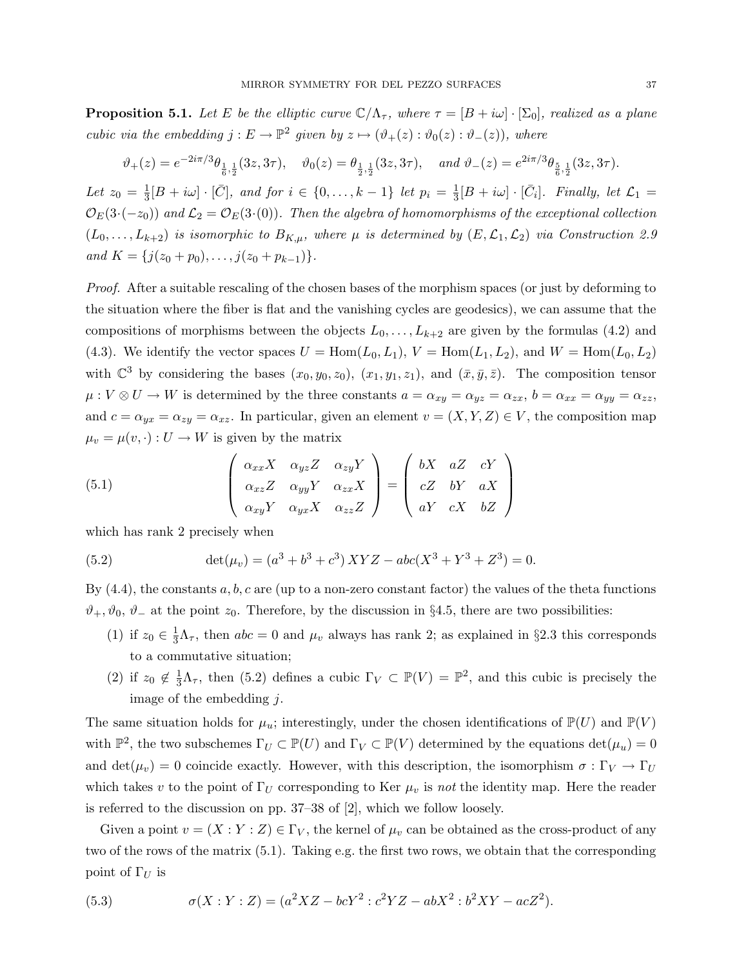**Proposition 5.1.** Let E be the elliptic curve  $\mathbb{C}/\Lambda_{\tau}$ , where  $\tau = [B + i\omega] \cdot [\Sigma_0]$ , realized as a plane cubic via the embedding  $j: E \to \mathbb{P}^2$  given by  $z \mapsto (\vartheta_+(z) : \vartheta_0(z) : \vartheta_-(z))$ , where

$$
\vartheta_+(z) = e^{-2i\pi/3}\theta_{\frac{1}{6},\frac{1}{2}}(3z,3\tau), \quad \vartheta_0(z) = \theta_{\frac{1}{2},\frac{1}{2}}(3z,3\tau), \quad \text{and } \vartheta_-(z) = e^{2i\pi/3}\theta_{\frac{5}{6},\frac{1}{2}}(3z,3\tau).
$$

Let  $z_0 = \frac{1}{3}$  $\frac{1}{3}[B + i\omega] \cdot [\bar{C}],$  and for  $i \in \{0, ..., k-1\}$  let  $p_i = \frac{1}{3}$  $\frac{1}{3}[B+i\omega]\cdot[\bar{C}_i]$ . Finally, let  $\mathcal{L}_1=$  $\mathcal{O}_E(3\cdot(-z_0))$  and  $\mathcal{L}_2=\mathcal{O}_E(3\cdot(0))$ . Then the algebra of homomorphisms of the exceptional collection  $(L_0, \ldots, L_{k+2})$  is isomorphic to  $B_{K,\mu}$ , where  $\mu$  is determined by  $(E, \mathcal{L}_1, \mathcal{L}_2)$  via Construction 2.9 and  $K = \{j(z_0 + p_0), \ldots, j(z_0 + p_{k-1})\}.$ 

Proof. After a suitable rescaling of the chosen bases of the morphism spaces (or just by deforming to the situation where the fiber is flat and the vanishing cycles are geodesics), we can assume that the compositions of morphisms between the objects  $L_0, \ldots, L_{k+2}$  are given by the formulas (4.2) and (4.3). We identify the vector spaces  $U = \text{Hom}(L_0, L_1)$ ,  $V = \text{Hom}(L_1, L_2)$ , and  $W = \text{Hom}(L_0, L_2)$ with  $\mathbb{C}^3$  by considering the bases  $(x_0, y_0, z_0)$ ,  $(x_1, y_1, z_1)$ , and  $(\bar{x}, \bar{y}, \bar{z})$ . The composition tensor  $\mu: V \otimes U \to W$  is determined by the three constants  $a = \alpha_{xy} = \alpha_{yz} = \alpha_{zx}$ ,  $b = \alpha_{xx} = \alpha_{yy} = \alpha_{zz}$ , and  $c = \alpha_{yx} = \alpha_{zy} = \alpha_{xz}$ . In particular, given an element  $v = (X, Y, Z) \in V$ , the composition map  $\mu_v = \mu(v, \cdot) : U \to W$  is given by the matrix

(5.1) 
$$
\begin{pmatrix} \alpha_{xx}X & \alpha_{yz}Z & \alpha_{zy}Y \\ \alpha_{xz}Z & \alpha_{yy}Y & \alpha_{zx}X \\ \alpha_{xy}Y & \alpha_{yx}X & \alpha_{zz}Z \end{pmatrix} = \begin{pmatrix} bX & aZ & cY \\ cZ & bY & aX \\ aY & cX & bZ \end{pmatrix}
$$

which has rank 2 precisely when

(5.2) 
$$
\det(\mu_v) = (a^3 + b^3 + c^3) XYZ - abc(X^3 + Y^3 + Z^3) = 0.
$$

By  $(4.4)$ , the constants a, b, c are (up to a non-zero constant factor) the values of the theta functions  $\vartheta_+$ ,  $\vartheta_0$ ,  $\vartheta_-$  at the point  $z_0$ . Therefore, by the discussion in §4.5, there are two possibilities:

- (1) if  $z_0 \in \frac{1}{3}\Lambda_{\tau}$ , then  $abc = 0$  and  $\mu_v$  always has rank 2; as explained in §2.3 this corresponds to a commutative situation;
- (2) if  $z_0 \notin \frac{1}{3}\Lambda_\tau$ , then (5.2) defines a cubic  $\Gamma_V \subset \mathbb{P}(V) = \mathbb{P}^2$ , and this cubic is precisely the image of the embedding  $j$ .

The same situation holds for  $\mu_u$ ; interestingly, under the chosen identifications of  $\mathbb{P}(U)$  and  $\mathbb{P}(V)$ with  $\mathbb{P}^2$ , the two subschemes  $\Gamma_U \subset \mathbb{P}(U)$  and  $\Gamma_V \subset \mathbb{P}(V)$  determined by the equations  $\det(\mu_u) = 0$ and det( $\mu_v$ ) = 0 coincide exactly. However, with this description, the isomorphism  $\sigma : \Gamma_V \to \Gamma_U$ which takes v to the point of  $\Gamma_U$  corresponding to Ker  $\mu_v$  is not the identity map. Here the reader is referred to the discussion on pp. 37–38 of [2], which we follow loosely.

Given a point  $v = (X : Y : Z) \in \Gamma_V$ , the kernel of  $\mu_v$  can be obtained as the cross-product of any two of the rows of the matrix (5.1). Taking e.g. the first two rows, we obtain that the corresponding point of  $\Gamma_U$  is

(5.3) 
$$
\sigma(X:Y:Z) = (a^2 XZ - bcY^2 : c^2 YZ - abX^2 : b^2 XY - acZ^2).
$$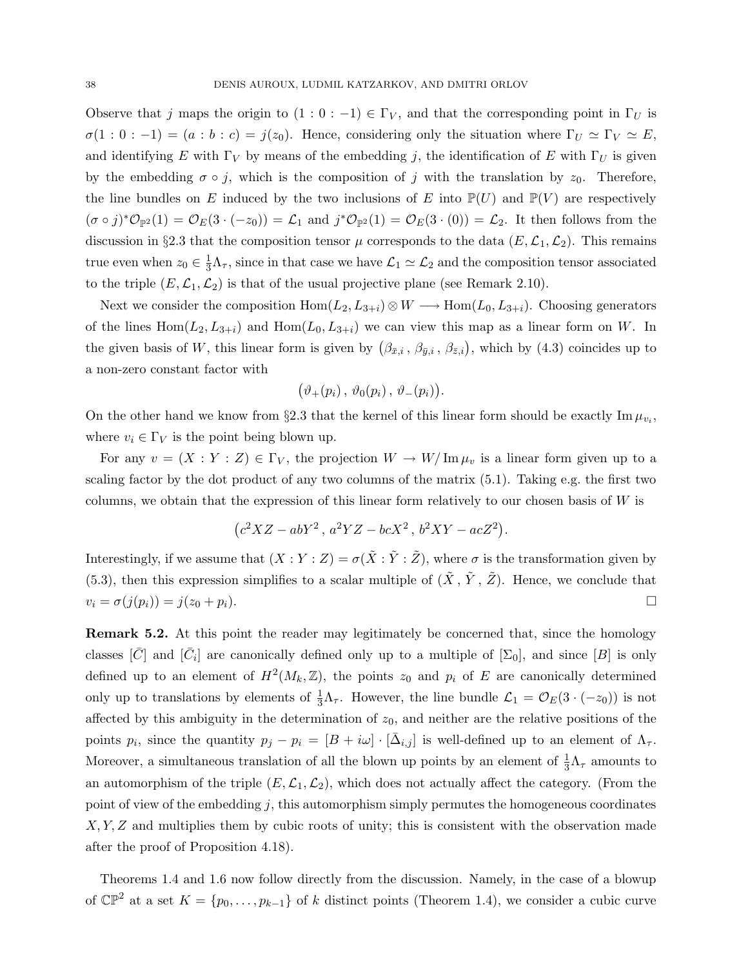Observe that j maps the origin to  $(1:0:-1) \in \Gamma_V$ , and that the corresponding point in  $\Gamma_U$  is  $\sigma(1:0:-1) = (a:b:c) = j(z_0)$ . Hence, considering only the situation where  $\Gamma_U \simeq \Gamma_V \simeq E$ , and identifying E with  $\Gamma_V$  by means of the embedding j, the identification of E with  $\Gamma_U$  is given by the embedding  $\sigma \circ j$ , which is the composition of j with the translation by  $z_0$ . Therefore, the line bundles on E induced by the two inclusions of E into  $\mathbb{P}(U)$  and  $\mathbb{P}(V)$  are respectively  $(\sigma \circ j)^* \mathcal{O}_{\mathbb{P}^2}(1) = \mathcal{O}_E(3 \cdot (-z_0)) = \mathcal{L}_1$  and  $j^* \mathcal{O}_{\mathbb{P}^2}(1) = \mathcal{O}_E(3 \cdot (0)) = \mathcal{L}_2$ . It then follows from the discussion in §2.3 that the composition tensor  $\mu$  corresponds to the data  $(E, \mathcal{L}_1, \mathcal{L}_2)$ . This remains true even when  $z_0 \in \frac{1}{3}\Lambda_{\tau}$ , since in that case we have  $\mathcal{L}_1 \simeq \mathcal{L}_2$  and the composition tensor associated to the triple  $(E, \mathcal{L}_1, \mathcal{L}_2)$  is that of the usual projective plane (see Remark 2.10).

Next we consider the composition  $Hom(L_2,L_{3+i}) \otimes W \longrightarrow Hom(L_0,L_{3+i})$ . Choosing generators of the lines  $Hom(L_2,L_{3+i})$  and  $Hom(L_0,L_{3+i})$  we can view this map as a linear form on W. In the given basis of W, this linear form is given by  $(\beta_{\bar{x},i}, \beta_{\bar{y},i}, \beta_{\bar{z},i})$ , which by  $(4.3)$  coincides up to a non-zero constant factor with

$$
(\vartheta_+(p_i),\,\vartheta_0(p_i),\,\vartheta_-(p_i)).
$$

On the other hand we know from §2.3 that the kernel of this linear form should be exactly  $\text{Im}\,\mu_{v_i}$ , where  $v_i \in \Gamma_V$  is the point being blown up.

For any  $v = (X : Y : Z) \in \Gamma_V$ , the projection  $W \to W/\operatorname{Im}\mu_v$  is a linear form given up to a scaling factor by the dot product of any two columns of the matrix (5.1). Taking e.g. the first two columns, we obtain that the expression of this linear form relatively to our chosen basis of  $W$  is

$$
\left(c^{2}XZ - abY^{2}\,,\,a^{2}YZ - bcX^{2}\,,\,b^{2}XY - acZ^{2}\right).
$$

Interestingly, if we assume that  $(X:Y:Z) = \sigma(\tilde{X}: \tilde{Y}: \tilde{Z})$ , where  $\sigma$  is the transformation given by (5.3), then this expression simplifies to a scalar multiple of  $(\tilde{X}, \tilde{Y}, \tilde{Z})$ . Hence, we conclude that  $v_i = \sigma(j(p_i)) = j(z_0 + p_i).$ 

Remark 5.2. At this point the reader may legitimately be concerned that, since the homology classes  $[\bar{C}]$  and  $[\bar{C}_i]$  are canonically defined only up to a multiple of  $[\Sigma_0]$ , and since  $[B]$  is only defined up to an element of  $H^2(M_k, \mathbb{Z})$ , the points  $z_0$  and  $p_i$  of E are canonically determined only up to translations by elements of  $\frac{1}{3}\Lambda_{\tau}$ . However, the line bundle  $\mathcal{L}_1 = \mathcal{O}_E(3 \cdot (-z_0))$  is not affected by this ambiguity in the determination of  $z_0$ , and neither are the relative positions of the points  $p_i$ , since the quantity  $p_j - p_i = [B + i\omega] \cdot [\bar{\Delta}_{i,j}]$  is well-defined up to an element of  $\Lambda_{\tau}$ . Moreover, a simultaneous translation of all the blown up points by an element of  $\frac{1}{3}\Lambda_{\tau}$  amounts to an automorphism of the triple  $(E,\mathcal{L}_1,\mathcal{L}_2)$ , which does not actually affect the category. (From the point of view of the embedding  $j$ , this automorphism simply permutes the homogeneous coordinates  $X, Y, Z$  and multiplies them by cubic roots of unity; this is consistent with the observation made after the proof of Proposition 4.18).

Theorems 1.4 and 1.6 now follow directly from the discussion. Namely, in the case of a blowup of  $\mathbb{CP}^2$  at a set  $K = \{p_0, \ldots, p_{k-1}\}\$  of k distinct points (Theorem 1.4), we consider a cubic curve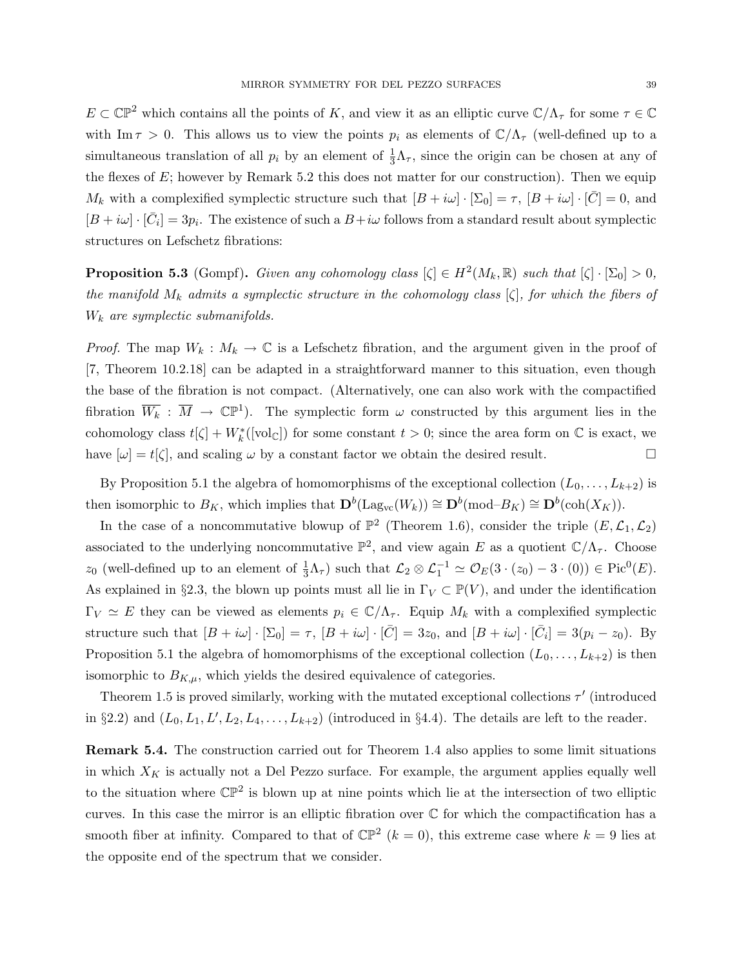$E \subset \mathbb{CP}^2$  which contains all the points of K, and view it as an elliptic curve  $\mathbb{C}/\Lambda_{\tau}$  for some  $\tau \in \mathbb{C}$ with Im  $\tau > 0$ . This allows us to view the points  $p_i$  as elements of  $\mathbb{C}/\Lambda_{\tau}$  (well-defined up to a simultaneous translation of all  $p_i$  by an element of  $\frac{1}{3}\Lambda_{\tau}$ , since the origin can be chosen at any of the flexes of  $E$ ; however by Remark 5.2 this does not matter for our construction). Then we equip  $M_k$  with a complexified symplectic structure such that  $[B + i\omega] \cdot [\Sigma_0] = \tau$ ,  $[B + i\omega] \cdot [\bar{C}] = 0$ , and  $[B + i\omega] \cdot [\bar{C}_i] = 3p_i$ . The existence of such a  $B + i\omega$  follows from a standard result about symplectic structures on Lefschetz fibrations:

**Proposition 5.3** (Gompf). Given any cohomology class  $[\zeta] \in H^2(M_k, \mathbb{R})$  such that  $[\zeta] \cdot [\Sigma_0] > 0$ , the manifold  $M_k$  admits a symplectic structure in the cohomology class  $[\zeta]$ , for which the fibers of  $W_k$  are symplectic submanifolds.

*Proof.* The map  $W_k : M_k \to \mathbb{C}$  is a Lefschetz fibration, and the argument given in the proof of [7, Theorem 10.2.18] can be adapted in a straightforward manner to this situation, even though the base of the fibration is not compact. (Alternatively, one can also work with the compactified fibration  $\overline{W_k}$  :  $\overline{M} \to \mathbb{CP}^1$ ). The symplectic form  $\omega$  constructed by this argument lies in the cohomology class  $t[\zeta] + W_k^*([\text{vol}_{\mathbb{C}}])$  for some constant  $t > 0$ ; since the area form on  $\mathbb{C}$  is exact, we have  $[\omega] = t[\zeta]$ , and scaling  $\omega$  by a constant factor we obtain the desired result.

By Proposition 5.1 the algebra of homomorphisms of the exceptional collection  $(L_0, \ldots, L_{k+2})$  is then isomorphic to  $B_K$ , which implies that  $\mathbf{D}^b(\text{Lag}_{vc}(W_k)) \cong \mathbf{D}^b(\text{mod}-B_K) \cong \mathbf{D}^b(\text{coh}(X_K)).$ 

In the case of a noncommutative blowup of  $\mathbb{P}^2$  (Theorem 1.6), consider the triple  $(E, \mathcal{L}_1, \mathcal{L}_2)$ associated to the underlying noncommutative  $\mathbb{P}^2$ , and view again E as a quotient  $\mathbb{C}/\Lambda_{\tau}$ . Choose z<sub>0</sub> (well-defined up to an element of  $\frac{1}{3}\Lambda_{\tau}$ ) such that  $\mathcal{L}_2 \otimes \mathcal{L}_1^{-1} \simeq \mathcal{O}_E(3 \cdot (z_0) - 3 \cdot (0)) \in \text{Pic}^0(E)$ . As explained in §2.3, the blown up points must all lie in  $\Gamma_V \subset \mathbb{P}(V)$ , and under the identification  $\Gamma_V \simeq E$  they can be viewed as elements  $p_i \in \mathbb{C}/\Lambda_{\tau}$ . Equip  $M_k$  with a complexified symplectic structure such that  $[B + i\omega] \cdot [\Sigma_0] = \tau$ ,  $[B + i\omega] \cdot [\bar{C}] = 3z_0$ , and  $[B + i\omega] \cdot [\bar{C}_i] = 3(p_i - z_0)$ . By Proposition 5.1 the algebra of homomorphisms of the exceptional collection  $(L_0, \ldots, L_{k+2})$  is then isomorphic to  $B_{K,\mu}$ , which yields the desired equivalence of categories.

Theorem 1.5 is proved similarly, working with the mutated exceptional collections  $\tau'$  (introduced in §2.2) and  $(L_0, L_1, L', L_2, L_4, \ldots, L_{k+2})$  (introduced in §4.4). The details are left to the reader.

Remark 5.4. The construction carried out for Theorem 1.4 also applies to some limit situations in which  $X_K$  is actually not a Del Pezzo surface. For example, the argument applies equally well to the situation where  $\mathbb{CP}^2$  is blown up at nine points which lie at the intersection of two elliptic curves. In this case the mirror is an elliptic fibration over C for which the compactification has a smooth fiber at infinity. Compared to that of  $\mathbb{CP}^2$   $(k = 0)$ , this extreme case where  $k = 9$  lies at the opposite end of the spectrum that we consider.